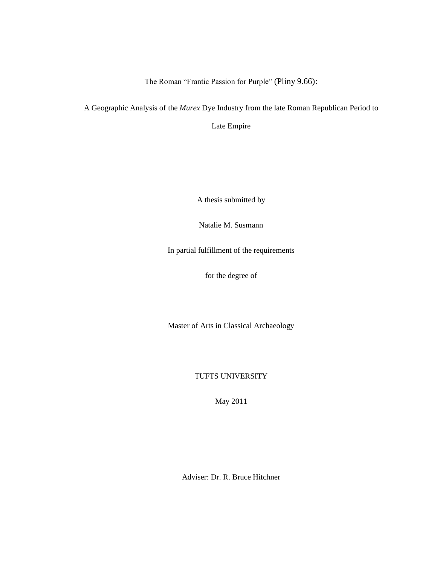The Roman "Frantic Passion for Purple" (Pliny 9.66):

A Geographic Analysis of the *Murex* Dye Industry from the late Roman Republican Period to

Late Empire

A thesis submitted by

Natalie M. Susmann

In partial fulfillment of the requirements

for the degree of

Master of Arts in Classical Archaeology

TUFTS UNIVERSITY

May 2011

Adviser: Dr. R. Bruce Hitchner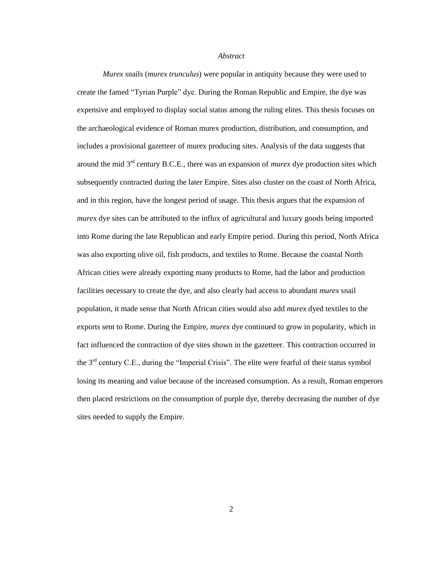#### *Abstract*

*Murex* snails (*murex trunculus*) were popular in antiquity because they were used to create the famed "Tyrian Purple" dye. During the Roman Republic and Empire, the dye was expensive and employed to display social status among the ruling elites. This thesis focuses on the archaeological evidence of Roman murex production, distribution, and consumption, and includes a provisional gazetteer of murex producing sites. Analysis of the data suggests that around the mid 3rd century B.C.E., there was an expansion of *murex* dye production sites which subsequently contracted during the later Empire. Sites also cluster on the coast of North Africa, and in this region, have the longest period of usage. This thesis argues that the expansion of *murex* dye sites can be attributed to the influx of agricultural and luxury goods being imported into Rome during the late Republican and early Empire period. During this period, North Africa was also exporting olive oil, fish products, and textiles to Rome. Because the coastal North African cities were already exporting many products to Rome, had the labor and production facilities necessary to create the dye, and also clearly had access to abundant *murex* snail population, it made sense that North African cities would also add *murex* dyed textiles to the exports sent to Rome. During the Empire, *murex* dye continued to grow in popularity, which in fact influenced the contraction of dye sites shown in the gazetteer. This contraction occurred in the  $3<sup>rd</sup>$  century C.E., during the "Imperial Crisis". The elite were fearful of their status symbol losing its meaning and value because of the increased consumption. As a result, Roman emperors then placed restrictions on the consumption of purple dye, thereby decreasing the number of dye sites needed to supply the Empire.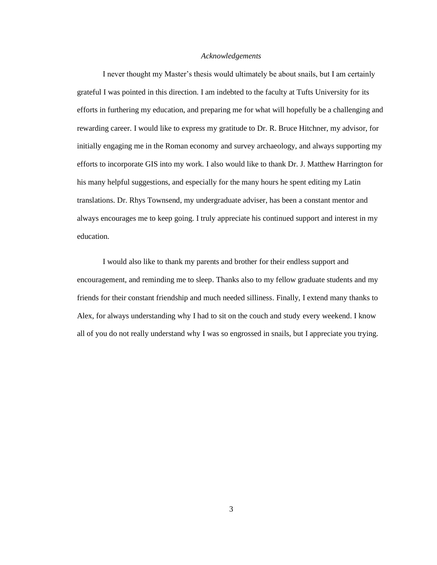#### *Acknowledgements*

I never thought my Master's thesis would ultimately be about snails, but I am certainly grateful I was pointed in this direction. I am indebted to the faculty at Tufts University for its efforts in furthering my education, and preparing me for what will hopefully be a challenging and rewarding career. I would like to express my gratitude to Dr. R. Bruce Hitchner, my advisor, for initially engaging me in the Roman economy and survey archaeology, and always supporting my efforts to incorporate GIS into my work. I also would like to thank Dr. J. Matthew Harrington for his many helpful suggestions, and especially for the many hours he spent editing my Latin translations. Dr. Rhys Townsend, my undergraduate adviser, has been a constant mentor and always encourages me to keep going. I truly appreciate his continued support and interest in my education.

I would also like to thank my parents and brother for their endless support and encouragement, and reminding me to sleep. Thanks also to my fellow graduate students and my friends for their constant friendship and much needed silliness. Finally, I extend many thanks to Alex, for always understanding why I had to sit on the couch and study every weekend. I know all of you do not really understand why I was so engrossed in snails, but I appreciate you trying.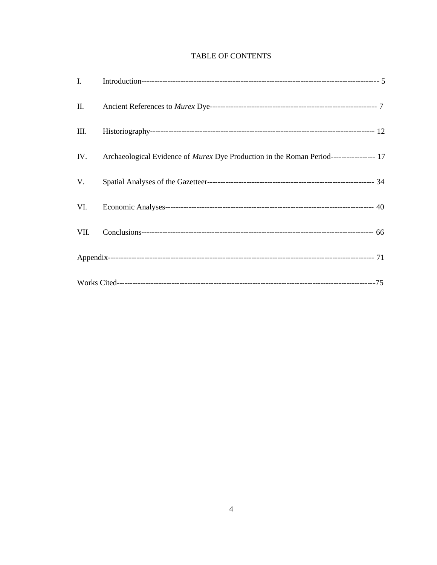# **TABLE OF CONTENTS**

| I.   |                                                                                         |  |
|------|-----------------------------------------------------------------------------------------|--|
| П.   |                                                                                         |  |
| III. |                                                                                         |  |
| IV.  | Archaeological Evidence of Murex Dye Production in the Roman Period----------------- 17 |  |
| V.   |                                                                                         |  |
| VI.  |                                                                                         |  |
| VII. |                                                                                         |  |
|      |                                                                                         |  |
|      |                                                                                         |  |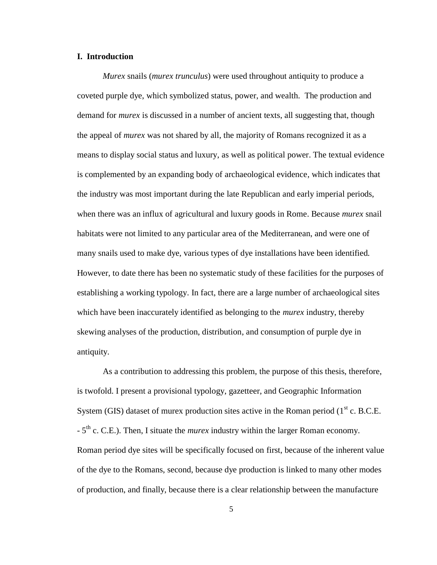### **I. Introduction**

*Murex* snails (*murex trunculus*) were used throughout antiquity to produce a coveted purple dye, which symbolized status, power, and wealth. The production and demand for *murex* is discussed in a number of ancient texts, all suggesting that, though the appeal of *murex* was not shared by all, the majority of Romans recognized it as a means to display social status and luxury, as well as political power. The textual evidence is complemented by an expanding body of archaeological evidence, which indicates that the industry was most important during the late Republican and early imperial periods, when there was an influx of agricultural and luxury goods in Rome. Because *murex* snail habitats were not limited to any particular area of the Mediterranean, and were one of many snails used to make dye, various types of dye installations have been identified. However, to date there has been no systematic study of these facilities for the purposes of establishing a working typology. In fact, there are a large number of archaeological sites which have been inaccurately identified as belonging to the *murex* industry, thereby skewing analyses of the production, distribution, and consumption of purple dye in antiquity.

As a contribution to addressing this problem, the purpose of this thesis, therefore, is twofold. I present a provisional typology, gazetteer, and Geographic Information System (GIS) dataset of murex production sites active in the Roman period ( $1<sup>st</sup>$  c. B.C.E. - 5<sup>th</sup> c. C.E.). Then, I situate the *murex* industry within the larger Roman economy. Roman period dye sites will be specifically focused on first, because of the inherent value of the dye to the Romans, second, because dye production is linked to many other modes of production, and finally, because there is a clear relationship between the manufacture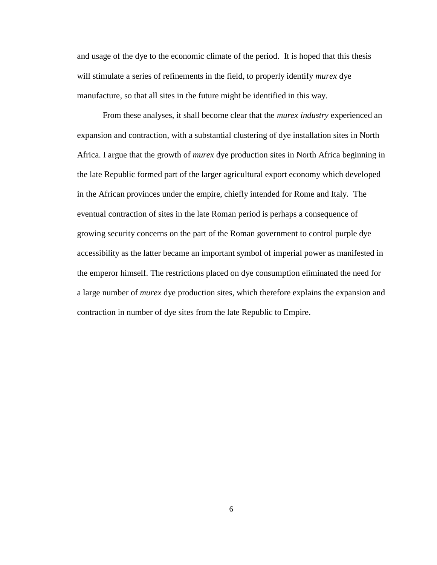and usage of the dye to the economic climate of the period. It is hoped that this thesis will stimulate a series of refinements in the field, to properly identify *murex* dye manufacture, so that all sites in the future might be identified in this way.

From these analyses, it shall become clear that the *murex industry* experienced an expansion and contraction, with a substantial clustering of dye installation sites in North Africa. I argue that the growth of *murex* dye production sites in North Africa beginning in the late Republic formed part of the larger agricultural export economy which developed in the African provinces under the empire, chiefly intended for Rome and Italy. The eventual contraction of sites in the late Roman period is perhaps a consequence of growing security concerns on the part of the Roman government to control purple dye accessibility as the latter became an important symbol of imperial power as manifested in the emperor himself. The restrictions placed on dye consumption eliminated the need for a large number of *murex* dye production sites, which therefore explains the expansion and contraction in number of dye sites from the late Republic to Empire.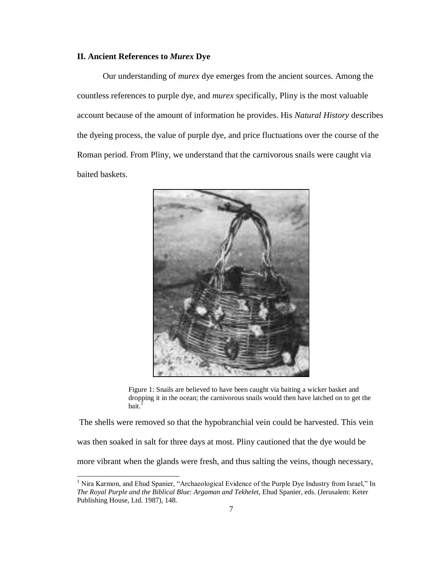### **II. Ancient References to** *Murex* **Dye**

 $\overline{\phantom{a}}$ 

Our understanding of *murex* dye emerges from the ancient sources. Among the countless references to purple dye, and *murex* specifically, Pliny is the most valuable account because of the amount of information he provides. His *Natural History* describes the dyeing process, the value of purple dye, and price fluctuations over the course of the Roman period. From Pliny, we understand that the carnivorous snails were caught via baited baskets.



Figure 1: Snails are believed to have been caught via baiting a wicker basket and dropping it in the ocean; the carnivorous snails would then have latched on to get the  $hat<sup>1</sup>$ 

The shells were removed so that the hypobranchial vein could be harvested. This vein was then soaked in salt for three days at most. Pliny cautioned that the dye would be more vibrant when the glands were fresh, and thus salting the veins, though necessary,

<sup>&</sup>lt;sup>1</sup> Nira Karmon, and Ehud Spanier, "Archaeological Evidence of the Purple Dye Industry from Israel," In *The Royal Purple and the Biblical Blue: Argaman and Tekhelet,* Ehud Spanier, eds. (Jerusalem: Keter Publishing House, Ltd. 1987), 148.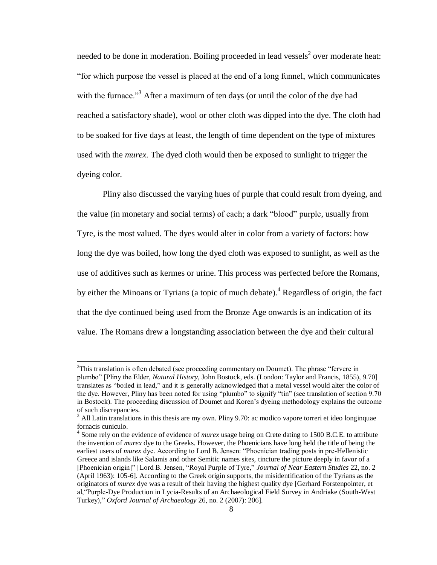needed to be done in moderation. Boiling proceeded in lead vessels<sup>2</sup> over moderate heat: ―for which purpose the vessel is placed at the end of a long funnel, which communicates with the furnace.<sup>33</sup> After a maximum of ten days (or until the color of the dye had reached a satisfactory shade), wool or other cloth was dipped into the dye. The cloth had to be soaked for five days at least, the length of time dependent on the type of mixtures used with the *murex.* The dyed cloth would then be exposed to sunlight to trigger the dyeing color.

Pliny also discussed the varying hues of purple that could result from dyeing, and the value (in monetary and social terms) of each; a dark "blood" purple, usually from Tyre, is the most valued. The dyes would alter in color from a variety of factors: how long the dye was boiled, how long the dyed cloth was exposed to sunlight, as well as the use of additives such as kermes or urine. This process was perfected before the Romans, by either the Minoans or Tyrians (a topic of much debate).<sup>4</sup> Regardless of origin, the fact that the dye continued being used from the Bronze Age onwards is an indication of its value. The Romans drew a longstanding association between the dye and their cultural

l

 $2$ This translation is often debated (see proceeding commentary on Doumet). The phrase "fervere in plumbo‖ [Pliny the Elder, *Natural History,* John Bostock, eds. (London: Taylor and Francis, 1855), 9.70] translates as "boiled in lead," and it is generally acknowledged that a metal vessel would alter the color of the dye. However, Pliny has been noted for using "plumbo" to signify "tin" (see translation of section 9.70) in Bostock). The proceeding discussion of Doumet and Koren's dyeing methodology explains the outcome of such discrepancies.

<sup>&</sup>lt;sup>3</sup> All Latin translations in this thesis are my own. Pliny 9.70: ac modico vapore torreri et ideo longinquae fornacis cuniculo.

<sup>4</sup> Some rely on the evidence of evidence of *murex* usage being on Crete dating to 1500 B.C.E. to attribute the invention of *murex* dye to the Greeks. However, the Phoenicians have long held the title of being the earliest users of *murex* dye. According to Lord B. Jensen: "Phoenician trading posts in pre-Hellenistic Greece and islands like Salamis and other Semitic names sites, tincture the picture deeply in favor of a [Phoenician origin]" [Lord B. Jensen, "Royal Purple of Tyre," Journal of Near Eastern Studies 22, no. 2 (April 1963): 105-6]. According to the Greek origin supports, the misidentification of the Tyrians as the originators of *murex* dye was a result of their having the highest quality dye [Gerhard Forstenpointer, et al, "Purple-Dye Production in Lycia-Results of an Archaeological Field Survey in Andriake (South-West Turkey),‖ *Oxford Journal of Archaeology* 26, no. 2 (2007): 206].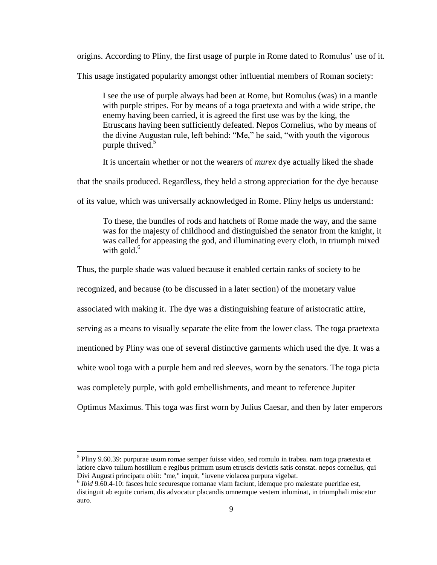origins. According to Pliny, the first usage of purple in Rome dated to Romulus' use of it.

This usage instigated popularity amongst other influential members of Roman society:

I see the use of purple always had been at Rome, but Romulus (was) in a mantle with purple stripes. For by means of a toga praetexta and with a wide stripe, the enemy having been carried, it is agreed the first use was by the king, the Etruscans having been sufficiently defeated. Nepos Cornelius, who by means of the divine Augustan rule, left behind: "Me," he said, "with youth the vigorous purple thrived.<sup>5</sup>

It is uncertain whether or not the wearers of *murex* dye actually liked the shade

that the snails produced. Regardless, they held a strong appreciation for the dye because

of its value, which was universally acknowledged in Rome. Pliny helps us understand:

To these, the bundles of rods and hatchets of Rome made the way, and the same was for the majesty of childhood and distinguished the senator from the knight, it was called for appeasing the god, and illuminating every cloth, in triumph mixed with gold.<sup>6</sup>

Thus, the purple shade was valued because it enabled certain ranks of society to be

recognized, and because (to be discussed in a later section) of the monetary value

associated with making it. The dye was a distinguishing feature of aristocratic attire,

serving as a means to visually separate the elite from the lower class. The toga praetexta

mentioned by Pliny was one of several distinctive garments which used the dye. It was a

white wool toga with a purple hem and red sleeves, worn by the senators. The toga picta

was completely purple, with gold embellishments, and meant to reference Jupiter

Optimus Maximus. This toga was first worn by Julius Caesar, and then by later emperors

<sup>&</sup>lt;sup>5</sup> Pliny 9.60.39[: purpurae](http://www.perseus.tufts.edu/hopper/morph?l=purpurae&la=la) [usum](http://www.perseus.tufts.edu/hopper/morph?l=usum&la=la&prior=purpurae) [romae](http://www.perseus.tufts.edu/hopper/morph?l=romae&la=la&prior=usum) [semper](http://www.perseus.tufts.edu/hopper/morph?l=semper&la=la&prior=romae) [fuisse](http://www.perseus.tufts.edu/hopper/morph?l=fuisse&la=la&prior=semper) [video,](http://www.perseus.tufts.edu/hopper/morph?l=video&la=la&prior=fuisse) [sed](http://www.perseus.tufts.edu/hopper/morph?l=sed&la=la&prior=video) [romulo](http://www.perseus.tufts.edu/hopper/morph?l=romulo&la=la&prior=sed) [in](http://www.perseus.tufts.edu/hopper/morph?l=in&la=la&prior=romulo) [trabea.](http://www.perseus.tufts.edu/hopper/morph?l=trabea&la=la&prior=in) [nam](http://www.perseus.tufts.edu/hopper/morph?l=nam&la=la&prior=trabea) [toga](http://www.perseus.tufts.edu/hopper/morph?l=toga&la=la&prior=nam) [praetexta](http://www.perseus.tufts.edu/hopper/morph?l=praetexta&la=la&prior=toga) [et](http://www.perseus.tufts.edu/hopper/morph?l=et&la=la&prior=praetexta) [latiore](http://www.perseus.tufts.edu/hopper/morph?l=latiore&la=la&prior=et) [clavo](http://www.perseus.tufts.edu/hopper/morph?l=clavo&la=la&prior=latiore) [tullum](http://www.perseus.tufts.edu/hopper/morph?l=tullum&la=la&prior=clavo) [hostilium](http://www.perseus.tufts.edu/hopper/morph?l=hostilium&la=la&prior=tullum) [e](http://www.perseus.tufts.edu/hopper/morph?l=e&la=la&prior=hostilium) [regibus](http://www.perseus.tufts.edu/hopper/morph?l=regibus&la=la&prior=e) [primum](http://www.perseus.tufts.edu/hopper/morph?l=primum&la=la&prior=regibus) [usum](http://www.perseus.tufts.edu/hopper/morph?l=usum&la=la&prior=primum) [etruscis](http://www.perseus.tufts.edu/hopper/morph?l=etruscis&la=la&prior=usum) [devictis](http://www.perseus.tufts.edu/hopper/morph?l=devictis&la=la&prior=etruscis) [satis](http://www.perseus.tufts.edu/hopper/morph?l=satis&la=la&prior=devictis) [constat.](http://www.perseus.tufts.edu/hopper/morph?l=constat&la=la&prior=satis) [nepos](http://www.perseus.tufts.edu/hopper/morph?l=nepos&la=la&prior=constat) [cornelius,](http://www.perseus.tufts.edu/hopper/morph?l=cornelius&la=la&prior=nepos) [qui](http://www.perseus.tufts.edu/hopper/morph?l=qui&la=la&prior=cornelius) [Divi](http://www.perseus.tufts.edu/hopper/morph?l=Divi&la=la&prior=qui) [Augusti](http://www.perseus.tufts.edu/hopper/morph?l=Augusti&la=la&prior=Divi) [principatu](http://www.perseus.tufts.edu/hopper/morph?l=principatu&la=la&prior=Augusti) [obiit:](http://www.perseus.tufts.edu/hopper/morph?l=obiit&la=la&prior=principatu) ["me,"](http://www.perseus.tufts.edu/hopper/morph?l=me&la=la&prior=obiit) [inquit,](http://www.perseus.tufts.edu/hopper/morph?l=inquit&la=la&prior=me) ["iuvene](http://www.perseus.tufts.edu/hopper/morph?l=iuvene&la=la&prior=inquit) [violacea](http://www.perseus.tufts.edu/hopper/morph?l=violacea&la=la&prior=iuvene) [purpura](http://www.perseus.tufts.edu/hopper/morph?l=purpura&la=la&prior=violacea) [vigebat.](http://www.perseus.tufts.edu/hopper/morph?l=vigebat&la=la&prior=purpura)

<sup>&</sup>lt;sup>6</sup> Ibid 9.60.4-10: fasces hui[c securesque](http://www.perseus.tufts.edu/hopper/morph?l=securesque&la=la&prior=ic) [romanae](http://www.perseus.tufts.edu/hopper/morph?l=romanae&la=la&prior=securesque) [viam](http://www.perseus.tufts.edu/hopper/morph?l=viam&la=la&prior=romanae) [faciunt,](http://www.perseus.tufts.edu/hopper/morph?l=faciunt&la=la&prior=viam) [idemque](http://www.perseus.tufts.edu/hopper/morph?l=idemque&la=la&prior=faciunt) [pro](http://www.perseus.tufts.edu/hopper/morph?l=pro&la=la&prior=idemque) [maiestate](http://www.perseus.tufts.edu/hopper/morph?l=maiestate&la=la&prior=pro) [pueritiae](http://www.perseus.tufts.edu/hopper/morph?l=pueritiae&la=la&prior=maiestate) [est,](http://www.perseus.tufts.edu/hopper/morph?l=est&la=la&prior=pueritiae) [distinguit](http://www.perseus.tufts.edu/hopper/morph?l=distinguit&la=la&prior=est) [ab](http://www.perseus.tufts.edu/hopper/morph?l=ab&la=la&prior=distinguit) [equite](http://www.perseus.tufts.edu/hopper/morph?l=equite&la=la&prior=ab) [curiam,](http://www.perseus.tufts.edu/hopper/morph?l=curiam&la=la&prior=equite) [dis](http://www.perseus.tufts.edu/hopper/morph?l=dis&la=la&prior=curiam) [advocatur](http://www.perseus.tufts.edu/hopper/morph?l=advocatur&la=la&prior=dis) [placandis](http://www.perseus.tufts.edu/hopper/morph?l=placandis&la=la&prior=advocatur) [omnemque](http://www.perseus.tufts.edu/hopper/morph?l=omnemque&la=la&prior=placandis) [vestem](http://www.perseus.tufts.edu/hopper/morph?l=vestem&la=la&prior=omnemque) [inluminat,](http://www.perseus.tufts.edu/hopper/morph?l=inluminat&la=la&prior=vestem) [in](http://www.perseus.tufts.edu/hopper/morph?l=in&la=la&prior=inluminat) [triumphali](http://www.perseus.tufts.edu/hopper/morph?l=triumphali&la=la&prior=in) [miscetur](http://www.perseus.tufts.edu/hopper/morph?l=miscetur&la=la&prior=triumphali) [auro.](http://www.perseus.tufts.edu/hopper/morph?l=auro&la=la&prior=miscetur)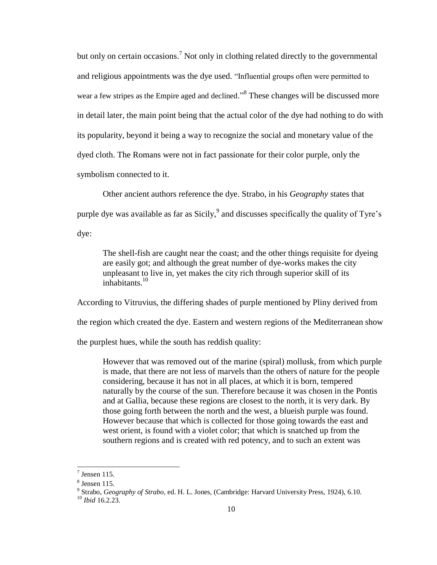but only on certain occasions.<sup>7</sup> Not only in clothing related directly to the governmental and religious appointments was the dye used. "Influential groups often were permitted to wear a few stripes as the Empire aged and declined."<sup>8</sup> These changes will be discussed more in detail later, the main point being that the actual color of the dye had nothing to do with its popularity, beyond it being a way to recognize the social and monetary value of the dyed cloth. The Romans were not in fact passionate for their color purple, only the symbolism connected to it.

Other ancient authors reference the dye. Strabo, in his *Geography* states that purple dye was available as far as Sicily,  $9$  and discusses specifically the quality of Tyre's dye:

The shell-fish are caught near the coast; and the other things requisite for dyeing are easily got; and although the great number of dye-works makes the city unpleasant to live in, yet makes the city rich through superior skill of its inhabitants.<sup>10</sup>

According to Vitruvius, the differing shades of purple mentioned by Pliny derived from the region which created the dye. Eastern and western regions of the Mediterranean show the purplest hues, while the south has reddish quality:

However that was removed out of the marine (spiral) mollusk, from which purple is made, that there are not less of marvels than the others of nature for the people considering, because it has not in all places, at which it is born, tempered naturally by the course of the sun. Therefore because it was chosen in the Pontis and at Gallia, because these regions are closest to the north, it is very dark. By those going forth between the north and the west, a blueish purple was found. However because that which is collected for those going towards the east and west orient, is found with a violet color; that which is snatched up from the southern regions and is created with red potency, and to such an extent was

 $\overline{\phantom{a}}$ 

 $7$  Jensen 115.

<sup>8</sup> Jensen 115.

<sup>9</sup> Strabo, *Geography of Strabo,* ed. H. L. Jones, (Cambridge: Harvard University Press, 1924), 6.10.

<sup>10</sup> *Ibid* 16.2.23.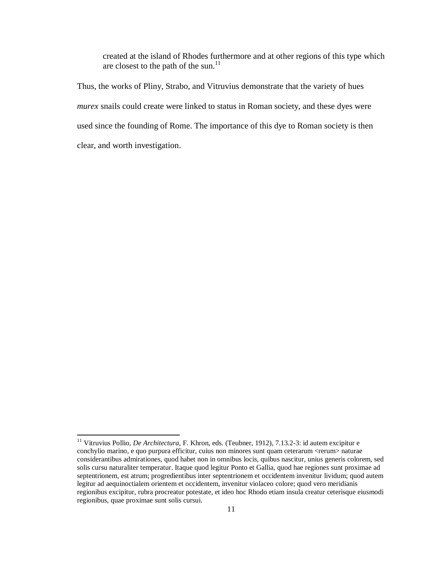created at the island of Rhodes furthermore and at other regions of this type which are closest to the path of the sun.<sup>11</sup>

Thus, the works of Pliny, Strabo, and Vitruvius demonstrate that the variety of hues *murex* snails could create were linked to status in Roman society, and these dyes were used since the founding of Rome. The importance of this dye to Roman society is then clear, and worth investigation.

l

<sup>11</sup> Vitruvius Pollio, *De Architectura,* F. Khron, eds. (Teubner, 1912), 7.13.2-3[: id](http://www.perseus.tufts.edu/hopper/morph?l=id&la=la&prior=suavitatem) [autem](http://www.perseus.tufts.edu/hopper/morph?l=autem&la=la&prior=id) [excipitur](http://www.perseus.tufts.edu/hopper/morph?l=excipitur&la=la&prior=autem) [e](http://www.perseus.tufts.edu/hopper/morph?l=e&la=la&prior=excipitur) [conchylio](http://www.perseus.tufts.edu/hopper/morph?l=conchylio&la=la&prior=e) [marino,](http://www.perseus.tufts.edu/hopper/morph?l=marino&la=la&prior=conchylio) [e](http://www.perseus.tufts.edu/hopper/morph?l=e&la=la&prior=marino) [quo](http://www.perseus.tufts.edu/hopper/morph?l=quo&la=la&prior=e) [purpura](http://www.perseus.tufts.edu/hopper/morph?l=purpura&la=la&prior=quo) [efficitur,](http://www.perseus.tufts.edu/hopper/morph?l=efficitur&la=la&prior=purpura) [cuius](http://www.perseus.tufts.edu/hopper/morph?l=cuius&la=la&prior=efficitur) [non](http://www.perseus.tufts.edu/hopper/morph?l=non&la=la&prior=cuius) [minores](http://www.perseus.tufts.edu/hopper/morph?l=minores&la=la&prior=non) [sunt](http://www.perseus.tufts.edu/hopper/morph?l=sunt&la=la&prior=minores) [quam](http://www.perseus.tufts.edu/hopper/morph?l=quam&la=la&prior=sunt) [ceterarum](http://www.perseus.tufts.edu/hopper/morph?l=ceterarum&la=la&prior=quam) [<rerum>](http://www.perseus.tufts.edu/hopper/morph?l=rerum&la=la&prior=ceterarum) [naturae](http://www.perseus.tufts.edu/hopper/morph?l=naturae&la=la&prior=rerum) [considerantibus](http://www.perseus.tufts.edu/hopper/morph?l=considerantibus&la=la&prior=naturae) [admirationes,](http://www.perseus.tufts.edu/hopper/morph?l=admirationes&la=la&prior=considerantibus) [quod](http://www.perseus.tufts.edu/hopper/morph?l=quod&la=la&prior=admirationes) [habet](http://www.perseus.tufts.edu/hopper/morph?l=habet&la=la&prior=quod) [non](http://www.perseus.tufts.edu/hopper/morph?l=non&la=la&prior=habet) [in](http://www.perseus.tufts.edu/hopper/morph?l=in&la=la&prior=non) [omnibus](http://www.perseus.tufts.edu/hopper/morph?l=omnibus&la=la&prior=in) [locis,](http://www.perseus.tufts.edu/hopper/morph?l=locis&la=la&prior=omnibus) [quibus](http://www.perseus.tufts.edu/hopper/morph?l=quibus&la=la&prior=locis) [nascitur,](http://www.perseus.tufts.edu/hopper/morph?l=nascitur&la=la&prior=quibus) [unius](http://www.perseus.tufts.edu/hopper/morph?l=unius&la=la&prior=nascitur) [generis](http://www.perseus.tufts.edu/hopper/morph?l=generis&la=la&prior=unius) [colorem,](http://www.perseus.tufts.edu/hopper/morph?l=colorem&la=la&prior=generis) [sed](http://www.perseus.tufts.edu/hopper/morph?l=sed&la=la&prior=colorem) [solis](http://www.perseus.tufts.edu/hopper/morph?l=solis&la=la&prior=sed) [cursu](http://www.perseus.tufts.edu/hopper/morph?l=cursu&la=la&prior=solis) [naturaliter](http://www.perseus.tufts.edu/hopper/morph?l=naturaliter&la=la&prior=cursu) [temperatur.](http://www.perseus.tufts.edu/hopper/morph?l=temperatur&la=la&prior=naturaliter) [Itaque](http://www.perseus.tufts.edu/hopper/morph?l=Itaque&la=la) [quod](http://www.perseus.tufts.edu/hopper/morph?l=quod&la=la&prior=Itaque) [legitur](http://www.perseus.tufts.edu/hopper/morph?l=legitur&la=la&prior=quod) [Ponto](http://www.perseus.tufts.edu/hopper/morph?l=Ponto&la=la&prior=legitur) [et](http://www.perseus.tufts.edu/hopper/morph?l=et&la=la&prior=Ponto) [Gallia,](http://www.perseus.tufts.edu/hopper/morph?l=Gallia&la=la&prior=et) [quod](http://www.perseus.tufts.edu/hopper/morph?l=quod&la=la&prior=Gallia) [hae](http://www.perseus.tufts.edu/hopper/morph?l=hae&la=la&prior=quod) [regiones](http://www.perseus.tufts.edu/hopper/morph?l=regiones&la=la&prior=hae) [sunt](http://www.perseus.tufts.edu/hopper/morph?l=sunt&la=la&prior=regiones) [proximae](http://www.perseus.tufts.edu/hopper/morph?l=proximae&la=la&prior=sunt) [ad](http://www.perseus.tufts.edu/hopper/morph?l=ad&la=la&prior=proximae) [septentrionem,](http://www.perseus.tufts.edu/hopper/morph?l=septentrionem&la=la&prior=ad) [est](http://www.perseus.tufts.edu/hopper/morph?l=est&la=la&prior=septentrionem) [atrum;](http://www.perseus.tufts.edu/hopper/morph?l=atrum&la=la&prior=est) [progredientibus](http://www.perseus.tufts.edu/hopper/morph?l=progredientibus&la=la&prior=atrum) [inter](http://www.perseus.tufts.edu/hopper/morph?l=inter&la=la&prior=progredientibus) [septentrionem](http://www.perseus.tufts.edu/hopper/morph?l=septentrionem&la=la&prior=inter) [et](http://www.perseus.tufts.edu/hopper/morph?l=et&la=la&prior=septentrionem) [occidentem](http://www.perseus.tufts.edu/hopper/morph?l=occidentem&la=la&prior=et) [invenitur](http://www.perseus.tufts.edu/hopper/morph?l=invenitur&la=la&prior=occidentem) [lividum;](http://www.perseus.tufts.edu/hopper/morph?l=lividum&la=la&prior=invenitur) [quod](http://www.perseus.tufts.edu/hopper/morph?l=quod&la=la&prior=lividum) [autem](http://www.perseus.tufts.edu/hopper/morph?l=autem&la=la&prior=quod) [legitur](http://www.perseus.tufts.edu/hopper/morph?l=legitur&la=la&prior=autem) [ad](http://www.perseus.tufts.edu/hopper/morph?l=ad&la=la&prior=legitur) [aequinoctialem](http://www.perseus.tufts.edu/hopper/morph?l=aequinoctialem&la=la&prior=ad) [orientem](http://www.perseus.tufts.edu/hopper/morph?l=orientem&la=la&prior=aequinoctialem) [et](http://www.perseus.tufts.edu/hopper/morph?l=et&la=la&prior=orientem) [occidentem,](http://www.perseus.tufts.edu/hopper/morph?l=occidentem&la=la&prior=et) [invenitur](http://www.perseus.tufts.edu/hopper/morph?l=invenitur&la=la&prior=occidentem) [violaceo](http://www.perseus.tufts.edu/hopper/morph?l=violaceo&la=la&prior=invenitur) [colore;](http://www.perseus.tufts.edu/hopper/morph?l=colore&la=la&prior=violaceo) [quod](http://www.perseus.tufts.edu/hopper/morph?l=quod&la=la&prior=colore) [vero](http://www.perseus.tufts.edu/hopper/morph?l=vero&la=la&prior=quod) [meridianis](http://www.perseus.tufts.edu/hopper/morph?l=meridianis&la=la&prior=vero) [regionibus](http://www.perseus.tufts.edu/hopper/morph?l=regionibus&la=la&prior=meridianis) [excipitur,](http://www.perseus.tufts.edu/hopper/morph?l=excipitur&la=la&prior=regionibus) [rubra](http://www.perseus.tufts.edu/hopper/morph?l=rubra&la=la&prior=excipitur) [procreatur](http://www.perseus.tufts.edu/hopper/morph?l=procreatur&la=la&prior=rubra) [potestate,](http://www.perseus.tufts.edu/hopper/morph?l=potestate&la=la&prior=procreatur) [et](http://www.perseus.tufts.edu/hopper/morph?l=et&la=la&prior=potestate) [ideo](http://www.perseus.tufts.edu/hopper/morph?l=ideo&la=la&prior=et) [hoc](http://www.perseus.tufts.edu/hopper/morph?l=hoc&la=la&prior=ideo) [Rhodo](http://www.perseus.tufts.edu/hopper/morph?l=Rhodo&la=la&prior=hoc) [etiam](http://www.perseus.tufts.edu/hopper/morph?l=etiam&la=la&prior=Rhodo) [insula](http://www.perseus.tufts.edu/hopper/morph?l=insula&la=la&prior=etiam) [creatur](http://www.perseus.tufts.edu/hopper/morph?l=creatur&la=la&prior=insula) [ceterisque](http://www.perseus.tufts.edu/hopper/morph?l=ceterisque&la=la&prior=creatur) [eiusmodi](http://www.perseus.tufts.edu/hopper/morph?l=eiusmodi&la=la&prior=ceterisque) [regionibus,](http://www.perseus.tufts.edu/hopper/morph?l=regionibus&la=la&prior=eiusmodi) [quae](http://www.perseus.tufts.edu/hopper/morph?l=quae&la=la&prior=regionibus) [proximae](http://www.perseus.tufts.edu/hopper/morph?l=proximae&la=la&prior=quae) [sunt](http://www.perseus.tufts.edu/hopper/morph?l=sunt&la=la&prior=proximae) [solis](http://www.perseus.tufts.edu/hopper/morph?l=solis&la=la&prior=sunt) [cursui.](http://www.perseus.tufts.edu/hopper/morph?l=cursui&la=la&prior=solis)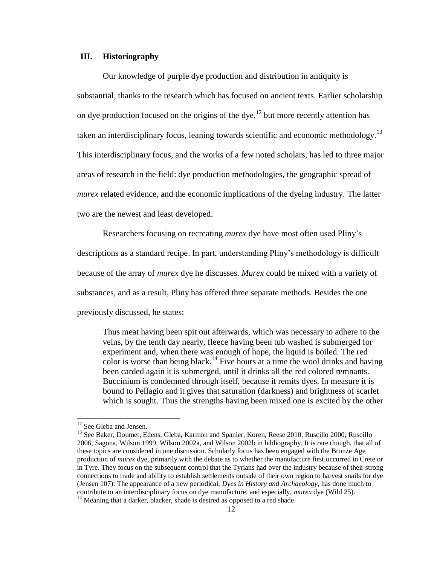### **III. Historiography**

Our knowledge of purple dye production and distribution in antiquity is substantial, thanks to the research which has focused on ancient texts. Earlier scholarship on dye production focused on the origins of the dye,<sup>12</sup> but more recently attention has taken an interdisciplinary focus, leaning towards scientific and economic methodology.<sup>13</sup> This interdisciplinary focus, and the works of a few noted scholars, has led to three major areas of research in the field: dye production methodologies, the geographic spread of *murex* related evidence, and the economic implications of the dyeing industry. The latter two are the newest and least developed.

Researchers focusing on recreating *murex* dye have most often used Pliny's descriptions as a standard recipe. In part, understanding Pliny's methodology is difficult because of the array of *murex* dye he discusses. *Murex* could be mixed with a variety of substances, and as a result, Pliny has offered three separate methods. Besides the one previously discussed, he states:

Thus meat having been spit out afterwards, which was necessary to adhere to the veins, by the tenth day nearly, fleece having been tub washed is submerged for experiment and, when there was enough of hope, the liquid is boiled. The red color is worse than being black.<sup>14</sup> Five hours at a time the wool drinks and having been carded again it is submerged, until it drinks all the red colored remnants. Buccinium is condemned through itself, because it remits dyes. In measure it is bound to Pellagio and it gives that saturation (darkness) and brightness of scarlet which is sought. Thus the strengths having been mixed one is excited by the other

 $\overline{\phantom{a}}$ 

<sup>&</sup>lt;sup>12</sup> See Gleba and Jensen.

<sup>&</sup>lt;sup>13</sup> See Baker, Doumet, Edens, Gleba, Karmon and Spanier, Koren, Reese 2010, Ruscillo 2000, Ruscillo 2006, Sagona, Wilson 1999, Wilson 2002a, and Wilson 2002b in bibliography. It is rare though, that all of these topics are considered in one discussion. Scholarly focus has been engaged with the Bronze Age production of *murex* dye, primarily with the debate as to whether the manufacture first occurred in Crete or in Tyre. They focus on the subsequent control that the Tyrians had over the industry because of their strong connections to trade and ability to establish settlements outside of their own region to harvest snails for dye (Jensen 107). The appearance of a new periodical, *Dyes in History and Archaeology,* has done much to contribute to an interdisciplinary focus on dye manufacture, and especially, *murex* dye (Wild 25). <sup>14</sup> Meaning that a darker, blacker, shade is desired as opposed to a red shade.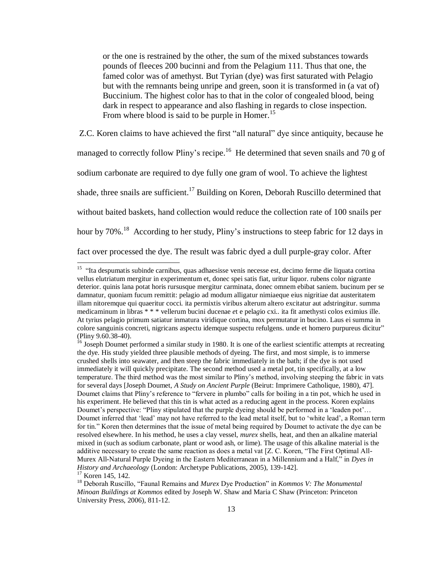or the one is restrained by the other, the sum of the mixed substances towards pounds of fleeces 200 bucinni and from the Pelagium 111. Thus that one, the famed color was of amethyst. But Tyrian (dye) was first saturated with Pelagio but with the remnants being unripe and green, soon it is transformed in (a vat of) Buccinium. The highest color has to that in the color of congealed blood, being dark in respect to appearance and also flashing in regards to close inspection. From where blood is said to be purple in Homer.<sup>15</sup>

Z.C. Koren claims to have achieved the first "all natural" dye since antiquity, because he managed to correctly follow Pliny's recipe.<sup>16</sup> He determined that seven snails and 70 g of sodium carbonate are required to dye fully one gram of wool. To achieve the lightest shade, three snails are sufficient.<sup>17</sup> Building on Koren, Deborah Ruscillo determined that without baited baskets, hand collection would reduce the collection rate of 100 snails per hour by 70%.<sup>18</sup> According to her study, Pliny's instructions to steep fabric for 12 days in fact over processed the dye. The result was fabric dyed a dull purple-gray color. After

<sup>17</sup> Koren 145, 142.

l

<sup>&</sup>lt;sup>15</sup> "Ita [despumatis](http://www.perseus.tufts.edu/hopper/morph?l=despumatis&la=la&prior=ita) [subinde](http://www.perseus.tufts.edu/hopper/morph?l=subinde&la=la&prior=despumatis) [carnibus,](http://www.perseus.tufts.edu/hopper/morph?l=carnibus&la=la&prior=subinde) [quas](http://www.perseus.tufts.edu/hopper/morph?l=quas&la=la&prior=carnibus) [adhaesisse](http://www.perseus.tufts.edu/hopper/morph?l=adhaesisse&la=la&prior=quas) [venis](http://www.perseus.tufts.edu/hopper/morph?l=venis&la=la&prior=adhaesisse) [necesse](http://www.perseus.tufts.edu/hopper/morph?l=necesse&la=la&prior=venis) [est,](http://www.perseus.tufts.edu/hopper/morph?l=est&la=la&prior=necesse) [decimo](http://www.perseus.tufts.edu/hopper/morph?l=decimo&la=la&prior=est) [ferme](http://www.perseus.tufts.edu/hopper/morph?l=ferme&la=la&prior=decimo) [die](http://www.perseus.tufts.edu/hopper/morph?l=die&la=la&prior=ferme) [liquata](http://www.perseus.tufts.edu/hopper/morph?l=liquata&la=la&prior=die) [cortina](http://www.perseus.tufts.edu/hopper/morph?l=cortina&la=la&prior=liquata) [vellus](http://www.perseus.tufts.edu/hopper/morph?l=vellus&la=la&prior=cortina) [el](http://www.perseus.tufts.edu/hopper/morph?l=el&la=la&prior=vellus)*[u](http://www.perseus.tufts.edu/hopper/morph?l=el&la=la&prior=vellus)*[triatum](http://www.perseus.tufts.edu/hopper/morph?l=triatum&la=la&prior=u) [mergitur](http://www.perseus.tufts.edu/hopper/morph?l=mergitur&la=la&prior=triatum) [in](http://www.perseus.tufts.edu/hopper/morph?l=in&la=la&prior=mergitur) [experimentum](http://www.perseus.tufts.edu/hopper/morph?l=experimentum&la=la&prior=in) [et,](http://www.perseus.tufts.edu/hopper/morph?l=et&la=la&prior=experimentum) [donec](http://www.perseus.tufts.edu/hopper/morph?l=donec&la=la&prior=et) [spei](http://www.perseus.tufts.edu/hopper/morph?l=spei&la=la&prior=donec) [satis](http://www.perseus.tufts.edu/hopper/morph?l=satis&la=la&prior=spei) [fiat,](http://www.perseus.tufts.edu/hopper/morph?l=fiat&la=la&prior=satis) [uritur](http://www.perseus.tufts.edu/hopper/morph?l=uritur&la=la&prior=fiat) [liquor.](http://www.perseus.tufts.edu/hopper/morph?l=liquor&la=la&prior=uritur) [rubens](http://www.perseus.tufts.edu/hopper/morph?l=rubens&la=la&prior=liquor) [color](http://www.perseus.tufts.edu/hopper/morph?l=color&la=la&prior=rubens) [nigrante](http://www.perseus.tufts.edu/hopper/morph?l=nigrante&la=la&prior=color) [deterior.](http://www.perseus.tufts.edu/hopper/morph?l=deterior&la=la&prior=nigrante) [quinis](http://www.perseus.tufts.edu/hopper/morph?l=quinis&la=la&prior=deterior) [lana](http://www.perseus.tufts.edu/hopper/morph?l=lana&la=la&prior=quinis) [potat](http://www.perseus.tufts.edu/hopper/morph?l=potat&la=la&prior=lana) [horis](http://www.perseus.tufts.edu/hopper/morph?l=horis&la=la&prior=potat) [rursusque](http://www.perseus.tufts.edu/hopper/morph?l=rursusque&la=la&prior=horis) [mergitur](http://www.perseus.tufts.edu/hopper/morph?l=mergitur&la=la&prior=rursusque) [carminata,](http://www.perseus.tufts.edu/hopper/morph?l=carminata&la=la&prior=mergitur) [donec](http://www.perseus.tufts.edu/hopper/morph?l=donec&la=la&prior=carminata) [omnem](http://www.perseus.tufts.edu/hopper/morph?l=omnem&la=la&prior=donec) [ebibat](http://www.perseus.tufts.edu/hopper/morph?l=ebibat&la=la&prior=omnem) [saniem.](http://www.perseus.tufts.edu/hopper/morph?l=saniem&la=la&prior=ebibat) [bucinum](http://www.perseus.tufts.edu/hopper/morph?l=bucinum&la=la&prior=saniem) [per](http://www.perseus.tufts.edu/hopper/morph?l=per&la=la&prior=bucinum) [se](http://www.perseus.tufts.edu/hopper/morph?l=se&la=la&prior=per) [damnatur,](http://www.perseus.tufts.edu/hopper/morph?l=damnatur&la=la&prior=se) [quoniam](http://www.perseus.tufts.edu/hopper/morph?l=quoniam&la=la&prior=damnatur) [fucum](http://www.perseus.tufts.edu/hopper/morph?l=fucum&la=la&prior=quoniam) [remittit:](http://www.perseus.tufts.edu/hopper/morph?l=remittit&la=la&prior=fucum) [pelagio](http://www.perseus.tufts.edu/hopper/morph?l=pelagio&la=la&prior=remittit) [ad](http://www.perseus.tufts.edu/hopper/morph?l=ad&la=la&prior=pelagio) [modum](http://www.perseus.tufts.edu/hopper/morph?l=modum&la=la&prior=ad) [alligatur](http://www.perseus.tufts.edu/hopper/morph?l=alligatur&la=la&prior=modum) [nimiaeque](http://www.perseus.tufts.edu/hopper/morph?l=nimiaeque&la=la&prior=alligatur) [eius](http://www.perseus.tufts.edu/hopper/morph?l=eius&la=la&prior=nimiaeque) [nigritiae](http://www.perseus.tufts.edu/hopper/morph?l=nigritiae&la=la&prior=eius) [dat](http://www.perseus.tufts.edu/hopper/morph?l=dat&la=la&prior=nigritiae) [austeritatem](http://www.perseus.tufts.edu/hopper/morph?l=austeritatem&la=la&prior=dat) [illam](http://www.perseus.tufts.edu/hopper/morph?l=illam&la=la&prior=austeritatem) [nitoremque](http://www.perseus.tufts.edu/hopper/morph?l=nitoremque&la=la&prior=illam) [qui](http://www.perseus.tufts.edu/hopper/morph?l=qui&la=la&prior=nitoremque) [quaeritur](http://www.perseus.tufts.edu/hopper/morph?l=quaeritur&la=la&prior=qui) [cocci.](http://www.perseus.tufts.edu/hopper/morph?l=cocci&la=la&prior=quaeritur) [ita](http://www.perseus.tufts.edu/hopper/morph?l=ita&la=la&prior=cocci) [permixtis](http://www.perseus.tufts.edu/hopper/morph?l=permixtis&la=la&prior=ita) [viribus](http://www.perseus.tufts.edu/hopper/morph?l=viribus&la=la&prior=permixtis) [alterum](http://www.perseus.tufts.edu/hopper/morph?l=alterum&la=la&prior=viribus) [altero](http://www.perseus.tufts.edu/hopper/morph?l=altero&la=la&prior=alterum) [excitatur](http://www.perseus.tufts.edu/hopper/morph?l=excitatur&la=la&prior=altero) [aut](http://www.perseus.tufts.edu/hopper/morph?l=aut&la=la&prior=excitatur) [adstringitur.](http://www.perseus.tufts.edu/hopper/morph?l=adstringitur&la=la&prior=aut) [summa](http://www.perseus.tufts.edu/hopper/morph?l=summa&la=la&prior=adstringitur) [medicaminum](http://www.perseus.tufts.edu/hopper/morph?l=medicaminum&la=la&prior=summa) [in](http://www.perseus.tufts.edu/hopper/morph?l=in&la=la&prior=medicaminum) [libras](http://www.perseus.tufts.edu/hopper/morph?l=libras&la=la&prior=in) \* \* \* [vellerum](http://www.perseus.tufts.edu/hopper/morph?l=vellerum&la=la&prior=libras) [bucini](http://www.perseus.tufts.edu/hopper/morph?l=bucini&la=la&prior=vellerum) [ducenae](http://www.perseus.tufts.edu/hopper/morph?l=ducenae&la=la&prior=bucini) *[e](http://www.perseus.tufts.edu/hopper/morph?l=e&la=la&prior=ducenae)*[t](http://www.perseus.tufts.edu/hopper/morph?l=e&la=la&prior=ducenae) [e](http://www.perseus.tufts.edu/hopper/morph?l=e&la=la&prior=t) [pela](http://www.perseus.tufts.edu/hopper/morph?l=pela&la=la&prior=e)*[g](http://www.perseus.tufts.edu/hopper/morph?l=pela&la=la&prior=e)*[io](http://www.perseus.tufts.edu/hopper/morph?l=io&la=la&prior=g) [cxi.](http://www.perseus.tufts.edu/hopper/morph?l=cxi&la=la&prior=io). [ita](http://www.perseus.tufts.edu/hopper/morph?l=ita&la=la&prior=cxi) [fit](http://www.perseus.tufts.edu/hopper/morph?l=fit&la=la&prior=ita) [amethysti](http://www.perseus.tufts.edu/hopper/morph?l=amethysti&la=la&prior=fit) [colos](http://www.perseus.tufts.edu/hopper/morph?l=colos&la=la&prior=amethysti) [eximius](http://www.perseus.tufts.edu/hopper/morph?l=eximius&la=la&prior=colos) [ille.](http://www.perseus.tufts.edu/hopper/morph?l=ille&la=la&prior=eximius) [At](http://www.perseus.tufts.edu/hopper/morph?l=at&la=la&prior=ille) [tyrius](http://www.perseus.tufts.edu/hopper/morph?l=tyrius&la=la&prior=at) [pelagio](http://www.perseus.tufts.edu/hopper/morph?l=pelagio&la=la&prior=tyrius) [primum](http://www.perseus.tufts.edu/hopper/morph?l=primum&la=la&prior=pelagio) [satiatur](http://www.perseus.tufts.edu/hopper/morph?l=satiatur&la=la&prior=primum) [inmatura](http://www.perseus.tufts.edu/hopper/morph?l=inmatura&la=la&prior=satiatur) [viridique](http://www.perseus.tufts.edu/hopper/morph?l=viridique&la=la&prior=inmatura) [cortina,](http://www.perseus.tufts.edu/hopper/morph?l=cortina&la=la&prior=viridique) [mox](http://www.perseus.tufts.edu/hopper/morph?l=mox&la=la&prior=cortina) [permutatur](http://www.perseus.tufts.edu/hopper/morph?l=permutatur&la=la&prior=mox) [in](http://www.perseus.tufts.edu/hopper/morph?l=in&la=la&prior=permutatur) [bucino.](http://www.perseus.tufts.edu/hopper/morph?l=bucino&la=la&prior=in) [Laus](http://www.perseus.tufts.edu/hopper/morph?l=laus&la=la&prior=bucino) [ei](http://www.perseus.tufts.edu/hopper/morph?l=ei&la=la&prior=laus) [summa](http://www.perseus.tufts.edu/hopper/morph?l=summa&la=la&prior=ei) [in](http://www.perseus.tufts.edu/hopper/morph?l=in&la=la&prior=summa) [colore](http://www.perseus.tufts.edu/hopper/morph?l=colore&la=la&prior=in) [sanguinis](http://www.perseus.tufts.edu/hopper/morph?l=sanguinis&la=la&prior=colore) [concreti,](http://www.perseus.tufts.edu/hopper/morph?l=concreti&la=la&prior=sanguinis) [nigricans](http://www.perseus.tufts.edu/hopper/morph?l=nigricans&la=la&prior=concreti) [aspectu](http://www.perseus.tufts.edu/hopper/morph?l=aspectu&la=la&prior=nigricans) [idemque](http://www.perseus.tufts.edu/hopper/morph?l=idemque&la=la&prior=aspectu) [suspectu](http://www.perseus.tufts.edu/hopper/morph?l=suspectu&la=la&prior=idemque) refulgens, [unde](http://www.perseus.tufts.edu/hopper/morph?l=unde&la=la&prior=refulgens) [et](http://www.perseus.tufts.edu/hopper/morph?l=et&la=la&prior=unde) [homero](http://www.perseus.tufts.edu/hopper/morph?l=homero&la=la&prior=et) [purpureus](http://www.perseus.tufts.edu/hopper/morph?l=purpureus&la=la&prior=homero) dicitur" (Pliny 9.60.38-40).

<sup>&</sup>lt;sup>16</sup> Joseph Doumet performed a similar study in 1980. It is one of the earliest scientific attempts at recreating the dye. His study yielded three plausible methods of dyeing. The first, and most simple, is to immerse crushed shells into seawater, and then steep the fabric immediately in the bath; if the dye is not used immediately it will quickly precipitate. The second method used a metal pot, tin specifically, at a low temperature. The third method was the most similar to Pliny's method, involving steeping the fabric in vats for several days [Joseph Doumet, *A Study on Ancient Purple* (Beirut: Imprimere Catholique, 1980), 47]. Doumet claims that Pliny's reference to "fervere in plumbo" calls for boiling in a tin pot, which he used in his experiment. He believed that this tin is what acted as a reducing agent in the process. Koren explains Doumet's perspective: "Pliny stipulated that the purple dyeing should be performed in a 'leaden pot'... Doumet inferred that 'lead' may not have referred to the lead metal itself, but to 'white lead', a Roman term for tin." Koren then determines that the issue of metal being required by Doumet to activate the dye can be resolved elsewhere. In his method, he uses a clay vessel, *murex* shells, heat, and then an alkaline material mixed in (such as sodium carbonate, plant or wood ash, or lime). The usage of this alkaline material is the additive necessary to create the same reaction as does a metal vat [Z. C. Koren, "The First Optimal All-Murex All-Natural Purple Dyeing in the Eastern Mediterranean in a Millennium and a Half," in *Dyes in History and Archaeology* (London: Archetype Publications, 2005), 139-142].

<sup>&</sup>lt;sup>18</sup> Deborah Ruscillo, "Faunal Remains and *Murex* Dye Production" in *Kommos V: The Monumental Minoan Buildings at Kommos* edited by Joseph W. Shaw and Maria C Shaw (Princeton: Princeton University Press, 2006), 811-12.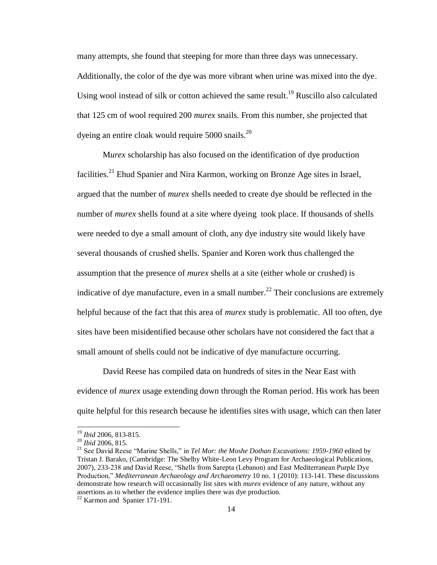many attempts, she found that steeping for more than three days was unnecessary. Additionally, the color of the dye was more vibrant when urine was mixed into the dye. Using wool instead of silk or cotton achieved the same result.<sup>19</sup> Ruscillo also calculated that 125 cm of wool required 200 *murex* snails. From this number, she projected that dyeing an entire cloak would require  $5000$  snails.<sup>20</sup>

M*urex* scholarship has also focused on the identification of dye production facilities.<sup>21</sup> Ehud Spanier and Nira Karmon, working on Bronze Age sites in Israel, argued that the number of *murex* shells needed to create dye should be reflected in the number of *murex* shells found at a site where dyeing took place. If thousands of shells were needed to dye a small amount of cloth, any dye industry site would likely have several thousands of crushed shells. Spanier and Koren work thus challenged the assumption that the presence of *murex* shells at a site (either whole or crushed) is indicative of dye manufacture, even in a small number.<sup>22</sup> Their conclusions are extremely helpful because of the fact that this area of *murex* study is problematic. All too often, dye sites have been misidentified because other scholars have not considered the fact that a small amount of shells could not be indicative of dye manufacture occurring.

David Reese has compiled data on hundreds of sites in the Near East with evidence of *murex* usage extending down through the Roman period. His work has been quite helpful for this research because he identifies sites with usage, which can then later

 $\overline{\phantom{a}}$ 

<sup>19</sup> *Ibid* 2006, 813-815.

<sup>20</sup> *Ibid* 2006, 815.

<sup>&</sup>lt;sup>21</sup> See David Reese "Marine Shells," in *Tel Mor: the Moshe Dothan Excavations: 1959-1960* edited by Tristan J. Barako, (Cambridge: The Shelby White-Leon Levy Program for Archaeological Publications, 2007), 233-238 and David Reese, "Shells from Sarepta (Lebanon) and East Mediterranean Purple Dye Production,‖ *Mediterranean Archaeology and Archaeometry* 10 no. 1 (2010): 113-141. These discussions demonstrate how research will occasionally list sites with *murex* evidence of any nature, without any assertions as to whether the evidence implies there was dye production.

<sup>22</sup> Karmon and Spanier 171-191.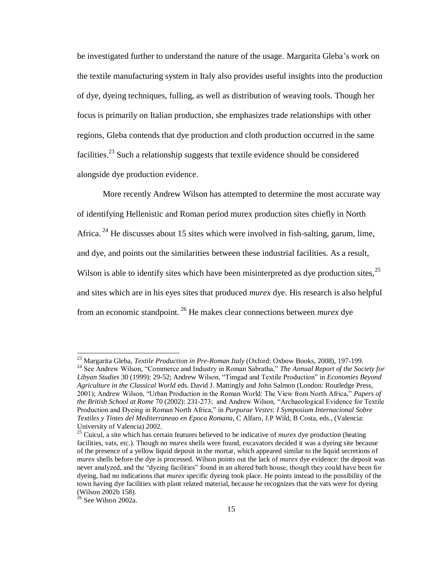be investigated further to understand the nature of the usage. Margarita Gleba's work on the textile manufacturing system in Italy also provides useful insights into the production of dye, dyeing techniques, fulling, as well as distribution of weaving tools. Though her focus is primarily on Italian production, she emphasizes trade relationships with other regions, Gleba contends that dye production and cloth production occurred in the same facilities.<sup>23</sup> Such a relationship suggests that textile evidence should be considered alongside dye production evidence.

More recently Andrew Wilson has attempted to determine the most accurate way of identifying Hellenistic and Roman period murex production sites chiefly in North Africa.<sup>24</sup> He discusses about 15 sites which were involved in fish-salting, garum, lime, and dye, and points out the similarities between these industrial facilities. As a result, Wilson is able to identify sites which have been misinterpreted as dye production sites,  $^{25}$ and sites which are in his eyes sites that produced *murex* dye. His research is also helpful from an economic standpoint. <sup>26</sup> He makes clear connections between *murex* dye

<sup>23</sup> Margarita Gleba, *Textile Production in Pre-Roman Italy* (Oxford: Oxbow Books, 2008), 197-199.

<sup>&</sup>lt;sup>24</sup> See Andrew Wilson, "Commerce and Industry in Roman Sabratha," The Annual Report of the Society for Libyan Studies 30 (1999): 29-52; Andrew Wilson, "Timgad and Textile Production" in *Economies Beyond Agriculture in the Classical World* eds. David J. Mattingly and John Salmon (London: Routledge Press, 2001); Andrew Wilson, "Urban Production in the Roman World: The View from North Africa," *Papers of the British School at Rome* 70 (2002): 231-273; and Andrew Wilson, "Archaeological Evidence for Textile Production and Dyeing in Roman North Africa," in *Purpurae Vestes: I Symposium Internacional Sobre Textiles y Tintes del Mediterraneao en Epoca Romana,* C Alfaro, J.P Wild, B Costa, eds., (Valencia: University of Valencia) 2002.

<sup>25</sup> Cuicul, a site which has certain features believed to be indicative of *murex* dye production (heating facilities, vats, etc.). Though no *murex* shells were found, excavators decided it was a dyeing site because of the presence of a yellow liquid deposit in the mortar, which appeared similar to the liquid secretions of *murex* shells before the dye is processed. Wilson points out the lack of *murex* dye evidence: the deposit was never analyzed, and the "dyeing facilities" found in an altered bath house, though they could have been for dyeing, had no indications that *murex* specific dyeing took place. He points instead to the possibility of the town having dye facilities with plant related material, because he recognizes that the vats were for dyeing (Wilson 2002b 158).

 $26$  See Wilson 2002a.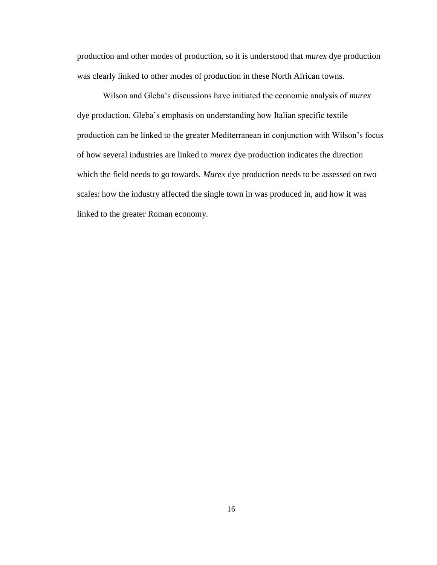production and other modes of production, so it is understood that *murex* dye production was clearly linked to other modes of production in these North African towns.

Wilson and Gleba's discussions have initiated the economic analysis of *murex*  dye production. Gleba's emphasis on understanding how Italian specific textile production can be linked to the greater Mediterranean in conjunction with Wilson's focus of how several industries are linked to *murex* dye production indicates the direction which the field needs to go towards. *Murex* dye production needs to be assessed on two scales: how the industry affected the single town in was produced in, and how it was linked to the greater Roman economy.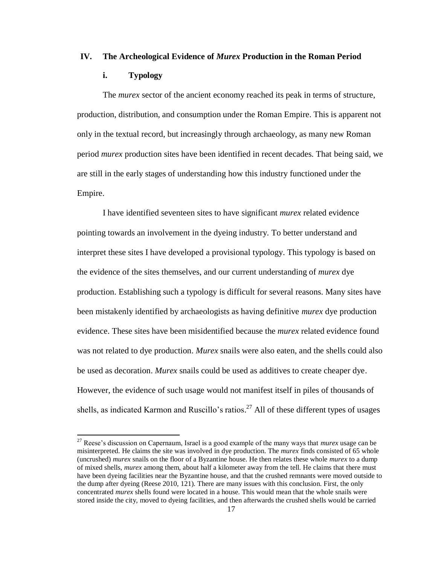### **IV. The Archeological Evidence of** *Murex* **Production in the Roman Period**

### **i. Typology**

l

The *murex* sector of the ancient economy reached its peak in terms of structure, production, distribution, and consumption under the Roman Empire. This is apparent not only in the textual record, but increasingly through archaeology, as many new Roman period *murex* production sites have been identified in recent decades. That being said, we are still in the early stages of understanding how this industry functioned under the Empire.

I have identified seventeen sites to have significant *murex* related evidence pointing towards an involvement in the dyeing industry. To better understand and interpret these sites I have developed a provisional typology. This typology is based on the evidence of the sites themselves, and our current understanding of *murex* dye production. Establishing such a typology is difficult for several reasons. Many sites have been mistakenly identified by archaeologists as having definitive *murex* dye production evidence. These sites have been misidentified because the *murex* related evidence found was not related to dye production. *Murex* snails were also eaten, and the shells could also be used as decoration. *Murex* snails could be used as additives to create cheaper dye. However, the evidence of such usage would not manifest itself in piles of thousands of shells, as indicated Karmon and Ruscillo's ratios.<sup>27</sup> All of these different types of usages

<sup>27</sup> Reese's discussion on Capernaum, Israel is a good example of the many ways that *murex* usage can be misinterpreted. He claims the site was involved in dye production. The *murex* finds consisted of 65 whole (uncrushed) *murex* snails on the floor of a Byzantine house. He then relates these whole *murex* to a dump of mixed shells, *murex* among them, about half a kilometer away from the tell. He claims that there must have been dyeing facilities near the Byzantine house, and that the crushed remnants were moved outside to the dump after dyeing (Reese 2010, 121). There are many issues with this conclusion. First, the only concentrated *murex* shells found were located in a house. This would mean that the whole snails were stored inside the city, moved to dyeing facilities, and then afterwards the crushed shells would be carried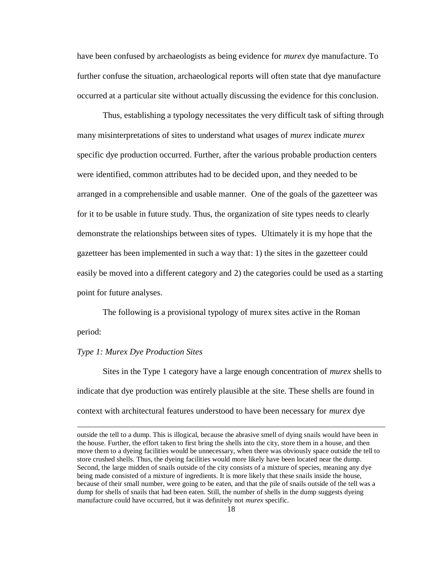have been confused by archaeologists as being evidence for *murex* dye manufacture. To further confuse the situation, archaeological reports will often state that dye manufacture occurred at a particular site without actually discussing the evidence for this conclusion.

Thus, establishing a typology necessitates the very difficult task of sifting through many misinterpretations of sites to understand what usages of *murex* indicate *murex*  specific dye production occurred. Further, after the various probable production centers were identified, common attributes had to be decided upon, and they needed to be arranged in a comprehensible and usable manner. One of the goals of the gazetteer was for it to be usable in future study. Thus, the organization of site types needs to clearly demonstrate the relationships between sites of types. Ultimately it is my hope that the gazetteer has been implemented in such a way that: 1) the sites in the gazetteer could easily be moved into a different category and 2) the categories could be used as a starting point for future analyses.

The following is a provisional typology of murex sites active in the Roman period:

#### *Type 1: Murex Dye Production Sites*

 $\overline{\phantom{a}}$ 

Sites in the Type 1 category have a large enough concentration of *murex* shells to indicate that dye production was entirely plausible at the site. These shells are found in context with architectural features understood to have been necessary for *murex* dye

outside the tell to a dump. This is illogical, because the abrasive smell of dying snails would have been in the house. Further, the effort taken to first bring the shells into the city, store them in a house, and then move them to a dyeing facilities would be unnecessary, when there was obviously space outside the tell to store crushed shells. Thus, the dyeing facilities would more likely have been located near the dump. Second, the large midden of snails outside of the city consists of a mixture of species, meaning any dye being made consisted of a mixture of ingredients. It is more likely that these snails inside the house, because of their small number, were going to be eaten, and that the pile of snails outside of the tell was a dump for shells of snails that had been eaten. Still, the number of shells in the dump suggests dyeing manufacture could have occurred, but it was definitely not *murex* specific.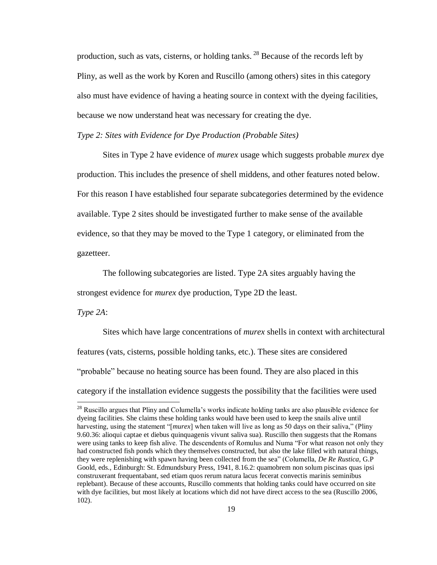production, such as vats, cisterns, or holding tanks.  $^{28}$  Because of the records left by Pliny, as well as the work by Koren and Ruscillo (among others) sites in this category also must have evidence of having a heating source in context with the dyeing facilities, because we now understand heat was necessary for creating the dye.

### *Type 2: Sites with Evidence for Dye Production (Probable Sites)*

Sites in Type 2 have evidence of *murex* usage which suggests probable *murex* dye production. This includes the presence of shell middens, and other features noted below. For this reason I have established four separate subcategories determined by the evidence available. Type 2 sites should be investigated further to make sense of the available evidence, so that they may be moved to the Type 1 category, or eliminated from the gazetteer.

The following subcategories are listed. Type 2A sites arguably having the strongest evidence for *murex* dye production, Type 2D the least.

*Type 2A*:

Sites which have large concentrations of *murex* shells in context with architectural features (vats, cisterns, possible holding tanks, etc.). These sites are considered "probable" because no heating source has been found. They are also placed in this category if the installation evidence suggests the possibility that the facilities were used

<sup>&</sup>lt;sup>28</sup> Ruscillo argues that Pliny and Columella's works indicate holding tanks are also plausible evidence for dyeing facilities. She claims these holding tanks would have been used to keep the snails alive until harvesting, using the statement "[*murex*] when taken will live as long as 50 days on their saliva," (Pliny 9.60.36: alioqui captae et diebus quinquagenis vivunt saliva sua). Ruscillo then suggests that the Romans were using tanks to keep fish alive. The descendents of Romulus and Numa "For what reason not only they had constructed fish ponds which they themselves constructed, but also the lake filled with natural things, they were replenishing with spawn having been collected from the sea‖ (Columella, *De Re Rustica,* G.P Goold, eds., Edinburgh: St. Edmundsbury Press, 1941, 8.16.2: quamobrem non solum piscinas quas ipsi construxerant frequentabant, sed etiam quos rerum natura lacus fecerat convectis marinis seminibus replebant). Because of these accounts, Ruscillo comments that holding tanks could have occurred on site with dye facilities, but most likely at locations which did not have direct access to the sea (Ruscillo 2006, 102).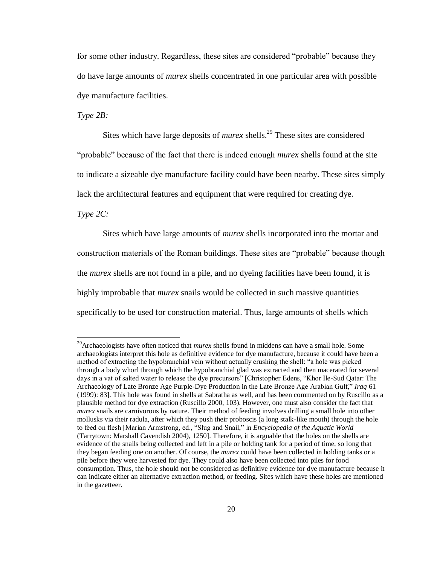for some other industry. Regardless, these sites are considered "probable" because they do have large amounts of *murex* shells concentrated in one particular area with possible dye manufacture facilities.

*Type 2B:* 

Sites which have large deposits of *murex* shells.<sup>29</sup> These sites are considered "probable" because of the fact that there is indeed enough *murex* shells found at the site to indicate a sizeable dye manufacture facility could have been nearby. These sites simply lack the architectural features and equipment that were required for creating dye.

*Type 2C:*

l

Sites which have large amounts of *murex* shells incorporated into the mortar and construction materials of the Roman buildings. These sites are "probable" because though the *murex* shells are not found in a pile, and no dyeing facilities have been found, it is highly improbable that *murex* snails would be collected in such massive quantities specifically to be used for construction material. Thus, large amounts of shells which

<sup>29</sup>Archaeologists have often noticed that *murex* shells found in middens can have a small hole. Some archaeologists interpret this hole as definitive evidence for dye manufacture, because it could have been a method of extracting the hypobranchial vein without actually crushing the shell: "a hole was picked through a body whorl through which the hypobranchial glad was extracted and then macerated for several days in a vat of salted water to release the dye precursors" [Christopher Edens, "Khor Ile-Sud Oatar: The Archaeology of Late Bronze Age Purple-Dye Production in the Late Bronze Age Arabian Gulf," *Iraq* 61 (1999): 83]. This hole was found in shells at Sabratha as well, and has been commented on by Ruscillo as a plausible method for dye extraction (Ruscillo 2000, 103). However, one must also consider the fact that *murex* snails are carnivorous by nature. Their method of feeding involves drilling a small hole into other mollusks via their radula, after which they push their proboscis (a long stalk-like mouth) through the hole to feed on flesh [Marian Armstrong, ed., "Slug and Snail," in *Encyclopedia of the Aquatic World* (Tarrytown: Marshall Cavendish 2004), 1250]. Therefore, it is arguable that the holes on the shells are evidence of the snails being collected and left in a pile or holding tank for a period of time, so long that they began feeding one on another. Of course, the *murex* could have been collected in holding tanks or a pile before they were harvested for dye. They could also have been collected into piles for food consumption. Thus, the hole should not be considered as definitive evidence for dye manufacture because it can indicate either an alternative extraction method, or feeding. Sites which have these holes are mentioned in the gazetteer.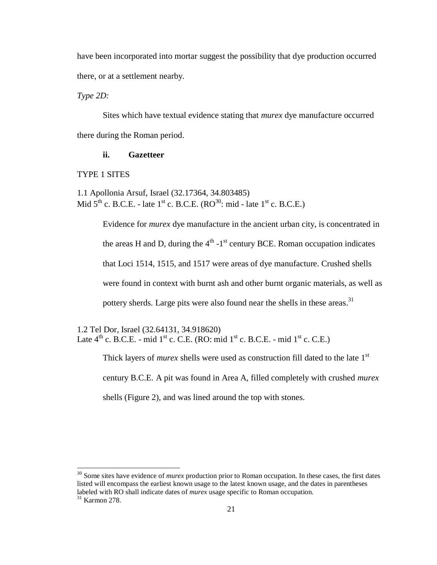have been incorporated into mortar suggest the possibility that dye production occurred there, or at a settlement nearby.

*Type 2D:*

Sites which have textual evidence stating that *murex* dye manufacture occurred there during the Roman period.

### **ii. Gazetteer**

TYPE 1 SITES

 $\overline{\phantom{a}}$ 

1.1 Apollonia Arsuf, Israel (32.17364, 34.803485) Mid  $5<sup>th</sup>$  c. B.C.E. - late  $1<sup>st</sup>$  c. B.C.E. (RO<sup>30</sup>: mid - late  $1<sup>st</sup>$  c. B.C.E.)

> Evidence for *murex* dye manufacture in the ancient urban city, is concentrated in the areas H and D, during the  $4<sup>th</sup>$  -1<sup>st</sup> century BCE. Roman occupation indicates that Loci 1514, 1515, and 1517 were areas of dye manufacture. Crushed shells were found in context with burnt ash and other burnt organic materials, as well as pottery sherds. Large pits were also found near the shells in these areas.<sup>31</sup>

1.2 Tel Dor, Israel (32.64131, 34.918620) Late  $4<sup>th</sup>$  c. B.C.E. - mid  $1<sup>st</sup>$  c. C.E. (RO: mid  $1<sup>st</sup>$  c. B.C.E. - mid  $1<sup>st</sup>$  c. C.E.)

> Thick layers of *murex* shells were used as construction fill dated to the late 1<sup>st</sup> century B.C.E. A pit was found in Area A, filled completely with crushed *murex*  shells (Figure 2), and was lined around the top with stones.

<sup>&</sup>lt;sup>30</sup> Some sites have evidence of *murex* production prior to Roman occupation. In these cases, the first dates listed will encompass the earliest known usage to the latest known usage, and the dates in parentheses labeled with RO shall indicate dates of *murex* usage specific to Roman occupation.  $31$  Karmon 278.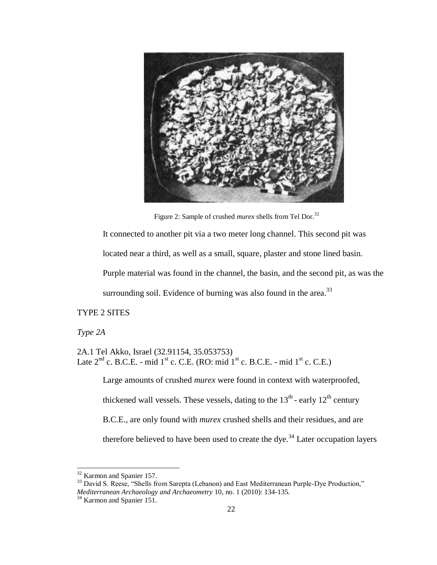

Figure 2: Sample of crushed *murex* shells from Tel Dor.<sup>32</sup>

It connected to another pit via a two meter long channel. This second pit was

located near a third, as well as a small, square, plaster and stone lined basin.

Purple material was found in the channel, the basin, and the second pit, as was the

surrounding soil. Evidence of burning was also found in the area. $^{33}$ 

## TYPE 2 SITES

*Type 2A* 

 $\overline{\phantom{a}}$ 

2A.1 Tel Akko, Israel (32.91154, 35.053753) Late  $2^{nd}$  c. B.C.E. - mid  $1^{st}$  c. C.E. (RO: mid  $1^{st}$  c. B.C.E. - mid  $1^{st}$  c. C.E.)

Large amounts of crushed *murex* were found in context with waterproofed, thickened wall vessels. These vessels, dating to the  $13<sup>th</sup>$  - early  $12<sup>th</sup>$  century B.C.E., are only found with *murex* crushed shells and their residues, and are therefore believed to have been used to create the dye.<sup>34</sup> Later occupation layers

<sup>&</sup>lt;sup>32</sup> Karmon and Spanier 157.

<sup>&</sup>lt;sup>33</sup> David S. Reese, "Shells from Sarepta (Lebanon) and East Mediterranean Purple-Dye Production," *Mediterranean Archaeology and Archaeometry* 10, no. 1 (2010): 134-135.

<sup>&</sup>lt;sup>34</sup> Karmon and Spanier 151.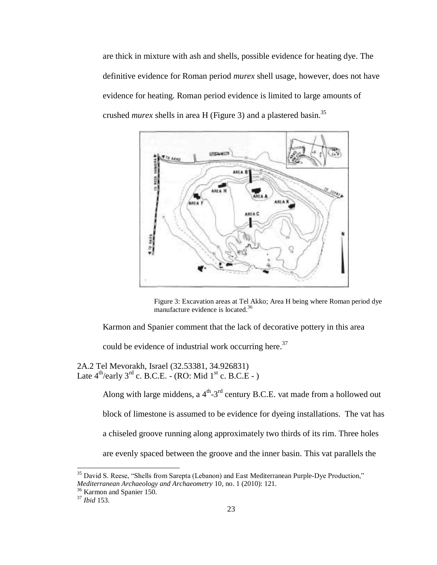are thick in mixture with ash and shells, possible evidence for heating dye. The definitive evidence for Roman period *murex* shell usage, however, does not have evidence for heating. Roman period evidence is limited to large amounts of crushed *murex* shells in area H (Figure 3) and a plastered basin. 35



Figure 3: Excavation areas at Tel Akko; Area H being where Roman period dye manufacture evidence is located.<sup>36</sup>

Karmon and Spanier comment that the lack of decorative pottery in this area

could be evidence of industrial work occurring here.<sup>37</sup>

2A.2 Tel Mevorakh, Israel (32.53381, 34.926831) Late  $4^{\text{th}}$ /early  $3^{\text{rd}}$  c. B.C.E. - (RO: Mid  $1^{\text{st}}$  c. B.C.E - )

> Along with large middens, a  $4^{\text{th}}-3^{\text{rd}}$  century B.C.E. vat made from a hollowed out block of limestone is assumed to be evidence for dyeing installations. The vat has a chiseled groove running along approximately two thirds of its rim. Three holes are evenly spaced between the groove and the inner basin. This vat parallels the

 $\overline{\phantom{a}}$ 

<sup>&</sup>lt;sup>35</sup> David S. Reese, "Shells from Sarepta (Lebanon) and East Mediterranean Purple-Dye Production," *Mediterranean Archaeology and Archaeometry* 10, no. 1 (2010): 121.

<sup>&</sup>lt;sup>36</sup> Karmon and Spanier 150.

<sup>37</sup> *Ibid* 153.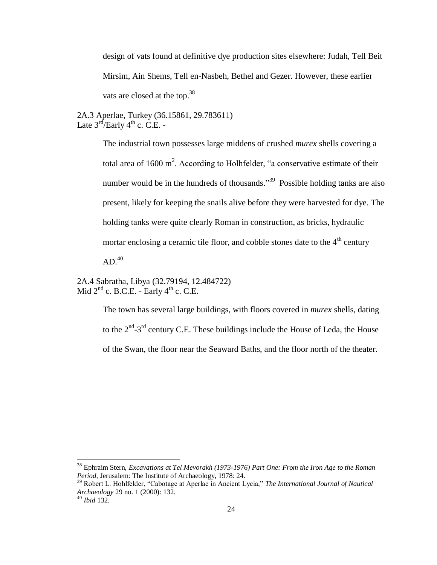design of vats found at definitive dye production sites elsewhere: Judah, Tell Beit Mirsim, Ain Shems, Tell en-Nasbeh, Bethel and Gezer. However, these earlier vats are closed at the top.<sup>38</sup>

2A.3 Aperlae, Turkey (36.15861, 29.783611) Late  $3^{\text{rd}}$ /Early  $4^{\text{th}}$  c. C.E. -

> The industrial town possesses large middens of crushed *murex* shells covering a total area of 1600 m<sup>2</sup>. According to Holhfelder, "a conservative estimate of their number would be in the hundreds of thousands.<sup>39</sup> Possible holding tanks are also present, likely for keeping the snails alive before they were harvested for dye. The holding tanks were quite clearly Roman in construction, as bricks, hydraulic mortar enclosing a ceramic tile floor, and cobble stones date to the  $4<sup>th</sup>$  century  $AD.<sup>40</sup>$

2A.4 Sabratha, Libya (32.79194, 12.484722) Mid  $2<sup>nd</sup>$  c. B.C.E. - Early  $4<sup>th</sup>$  c. C.E.

> The town has several large buildings, with floors covered in *murex* shells, dating to the  $2<sup>nd</sup> - 3<sup>rd</sup>$  century C.E. These buildings include the House of Leda, the House of the Swan, the floor near the Seaward Baths, and the floor north of the theater.

<sup>38</sup> Ephraim Stern, *Excavations at Tel Mevorakh (1973-1976) Part One: From the Iron Age to the Roman Period,* Jerusalem: The Institute of Archaeology, 1978: 24.

<sup>&</sup>lt;sup>39</sup> Robert L. Hohlfelder, "Cabotage at Aperlae in Ancient Lycia," The International Journal of Nautical *Archaeology* 29 no. 1 (2000): 132.

<sup>40</sup> *Ibid* 132.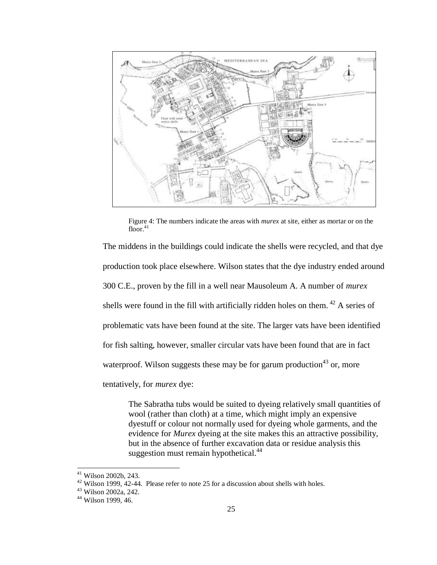

Figure 4: The numbers indicate the areas with *murex* at site, either as mortar or on the  $floor^{41}$ 

The middens in the buildings could indicate the shells were recycled, and that dye production took place elsewhere. Wilson states that the dye industry ended around 300 C.E., proven by the fill in a well near Mausoleum A. A number of *murex*  shells were found in the fill with artificially ridden holes on them.  $42$  A series of problematic vats have been found at the site. The larger vats have been identified for fish salting, however, smaller circular vats have been found that are in fact waterproof. Wilson suggests these may be for garum production  $43$  or, more tentatively, for *murex* dye:

The Sabratha tubs would be suited to dyeing relatively small quantities of wool (rather than cloth) at a time, which might imply an expensive dyestuff or colour not normally used for dyeing whole garments, and the evidence for *Murex* dyeing at the site makes this an attractive possibility, but in the absence of further excavation data or residue analysis this suggestion must remain hypothetical. $44$ 

 $\overline{\phantom{a}}$ 

<sup>41</sup> Wilson 2002b, 243.

 $42$  Wilson 1999, 42-44. Please refer to note 25 for a discussion about shells with holes.

<sup>43</sup> Wilson 2002a, 242.

<sup>44</sup> Wilson 1999, 46.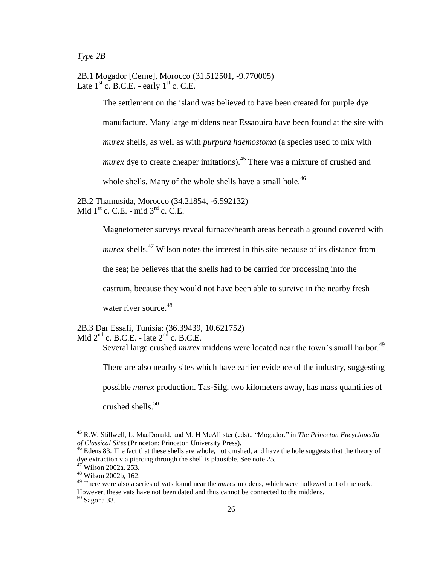*Type 2B*

2B.1 Mogador [Cerne], Morocco (31.512501, -9.770005) Late  $1<sup>st</sup>$  c. B.C.E. - early  $1<sup>st</sup>$  c. C.E.

> The settlement on the island was believed to have been created for purple dye manufacture. Many large middens near Essaouira have been found at the site with *murex* shells, as well as with *purpura haemostoma* (a species used to mix with *murex* dye to create cheaper imitations).<sup>45</sup> There was a mixture of crushed and whole shells. Many of the whole shells have a small hole.<sup>46</sup>

2B.2 Thamusida, Morocco (34.21854, -6.592132) Mid  $1^{\text{st}}$  c. C.E. - mid  $3^{\text{rd}}$  c. C.E.

Magnetometer surveys reveal furnace/hearth areas beneath a ground covered with

*murex* shells.<sup>47</sup> Wilson notes the interest in this site because of its distance from

the sea; he believes that the shells had to be carried for processing into the

castrum, because they would not have been able to survive in the nearby fresh

water river source. $48$ 

2B.3 Dar Essafi, Tunisia: (36.39439, 10.621752) Mid  $2^{nd}$  c. B.C.E. - late  $2^{nd}$  c. B.C.E.

Several large crushed *murex* middens were located near the town's small harbor.<sup>49</sup>

There are also nearby sites which have earlier evidence of the industry, suggesting

possible *murex* production. Tas-Silg, two kilometers away, has mass quantities of

crushed shells. 50

l

<sup>&</sup>lt;sup>45</sup> R.W. Stillwell, L. MacDonald, and M. H McAllister (eds)., "Mogador," in *The Princeton Encyclopedia of Classical Sites* (Princeton: Princeton University Press).

 $46$  Edens 83. The fact that these shells are whole, not crushed, and have the hole suggests that the theory of dye extraction via piercing through the shell is plausible. See note 25.

Wilson 2002a, 253.

<sup>48</sup> Wilson 2002b, 162.

<sup>49</sup> There were also a series of vats found near the *murex* middens, which were hollowed out of the rock. However, these vats have not been dated and thus cannot be connected to the middens.

<sup>50</sup> Sagona 33.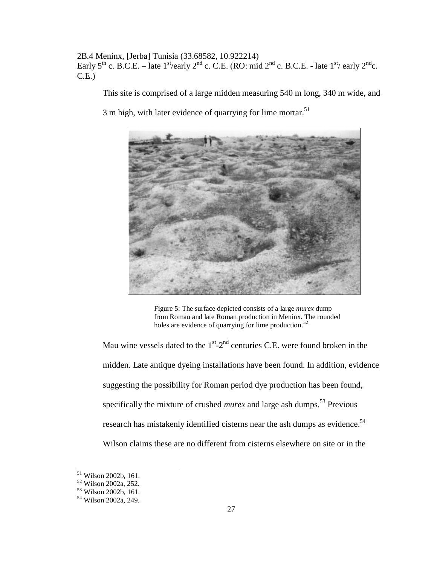2B.4 Meninx, [Jerba] Tunisia (33.68582, 10.922214) Early 5<sup>th</sup> c. B.C.E. – late 1<sup>st</sup>/early 2<sup>nd</sup> c. C.E. (RO: mid 2<sup>nd</sup> c. B.C.E. - late 1<sup>st</sup>/ early 2<sup>nd</sup>c. C.E.)

This site is comprised of a large midden measuring 540 m long, 340 m wide, and

3 m high, with later evidence of quarrying for lime mortar.<sup>51</sup>



Figure 5: The surface depicted consists of a large *murex* dump from Roman and late Roman production in Meninx. The rounded holes are evidence of quarrying for lime production.<sup>52</sup>

Mau wine vessels dated to the  $1<sup>st</sup>$ - $2<sup>nd</sup>$  centuries C.E. were found broken in the midden. Late antique dyeing installations have been found. In addition, evidence suggesting the possibility for Roman period dye production has been found, specifically the mixture of crushed *murex* and large ash dumps.<sup>53</sup> Previous</sup> research has mistakenly identified cisterns near the ash dumps as evidence.<sup>54</sup> Wilson claims these are no different from cisterns elsewhere on site or in the

l

<sup>51</sup> Wilson 2002b, 161.

<sup>52</sup> Wilson 2002a, 252.

<sup>53</sup> Wilson 2002b, 161.

<sup>54</sup> Wilson 2002a, 249.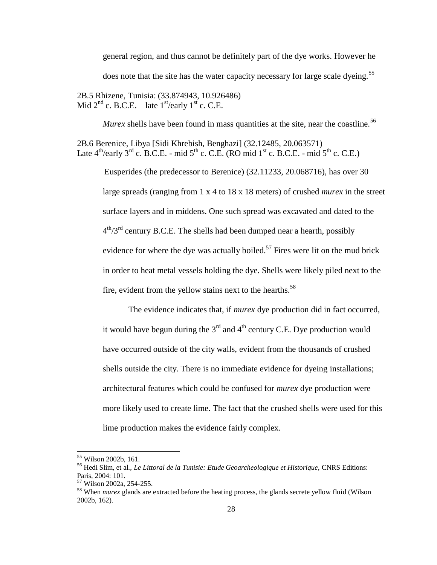general region, and thus cannot be definitely part of the dye works. However he does note that the site has the water capacity necessary for large scale dyeing.<sup>55</sup>

2B.5 Rhizene, Tunisia: (33.874943, 10.926486) Mid  $2<sup>nd</sup>$  c. B.C.E. – late  $1<sup>st</sup>/early 1<sup>st</sup>$  c. C.E.

*Murex* shells have been found in mass quantities at the site, near the coastline.<sup>56</sup>

2B.6 Berenice, Libya [Sidi Khrebish, Benghazi] (32.12485, 20.063571) Late  $4^{th}/e$ early  $3^{rd}$  c. B.C.E. - mid  $5^{th}$  c. C.E. (RO mid  $1^{st}$  c. B.C.E. - mid  $5^{th}$  c. C.E.)

Eusperides (the predecessor to Berenice) (32.11233, 20.068716), has over 30 large spreads (ranging from 1 x 4 to 18 x 18 meters) of crushed *murex* in the street surface layers and in middens. One such spread was excavated and dated to the  $4<sup>th</sup>/3<sup>rd</sup>$  century B.C.E. The shells had been dumped near a hearth, possibly evidence for where the dye was actually boiled.<sup>57</sup> Fires were lit on the mud brick in order to heat metal vessels holding the dye. Shells were likely piled next to the fire, evident from the yellow stains next to the hearths.<sup>58</sup>

The evidence indicates that, if *murex* dye production did in fact occurred, it would have begun during the  $3<sup>rd</sup>$  and  $4<sup>th</sup>$  century C.E. Dye production would have occurred outside of the city walls, evident from the thousands of crushed shells outside the city. There is no immediate evidence for dyeing installations; architectural features which could be confused for *murex* dye production were more likely used to create lime. The fact that the crushed shells were used for this lime production makes the evidence fairly complex.

<sup>55</sup> Wilson 2002b, 161.

<sup>56</sup> Hedi Slim, et al., *Le Littoral de la Tunisie: Etude Geoarcheologique et Historique,* CNRS Editions: Paris, 2004: 101.

<sup>57</sup> Wilson 2002a, 254-255.

<sup>58</sup> When *murex* glands are extracted before the heating process, the glands secrete yellow fluid (Wilson 2002b, 162).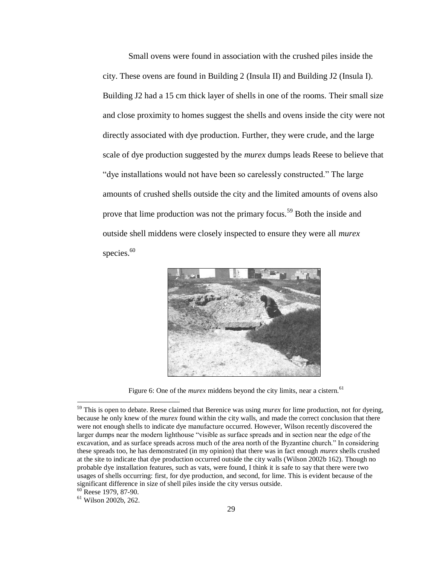Small ovens were found in association with the crushed piles inside the city. These ovens are found in Building 2 (Insula II) and Building J2 (Insula I). Building J2 had a 15 cm thick layer of shells in one of the rooms. Their small size and close proximity to homes suggest the shells and ovens inside the city were not directly associated with dye production. Further, they were crude, and the large scale of dye production suggested by the *murex* dumps leads Reese to believe that " dye installations would not have been so carelessly constructed." The large amounts of crushed shells outside the city and the limited amounts of ovens also prove that lime production was not the primary focus.<sup>59</sup> Both the inside and outside shell middens were closely inspected to ensure they were all *murex* species. 60



Figure 6: One of the *murex* middens beyond the city limits, near a cistern.<sup>61</sup>

<sup>59</sup> This is open to debate. Reese claimed that Berenice was using *murex* for lime production, not for dyeing, because he only knew of the *murex* found within the city walls, and made the correct conclusion that there were not enough shells to indicate dye manufacture occurred. However, Wilson recently discovered the larger dumps near the modern lighthouse "visible as surface spreads and in section near the edge of the excavation, and as surface spreads across much of the area north of the Byzantine church." In considering these spreads too, he has demonstrated (in my opinion) that there was in fact enough *murex* shells crushed at the site to indicate that dye production occurred outside the city walls (Wilson 2002b 162). Though no probable dye installation features, such as vats, were found, I think it is safe to say that there were two usages of shells occurring: first, for dye production, and second, for lime. This is evident because of the significant difference in size of shell piles inside the city versus outside.  $60$  Reese 1979, 87-90.

<sup>61</sup> Wilson 2002b, 262.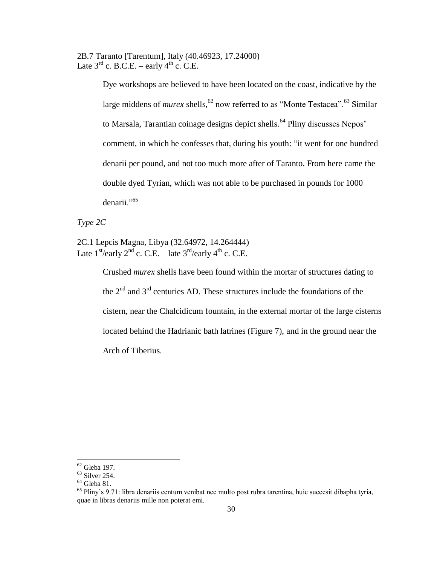2B.7 Taranto [Tarentum], Italy (40.46923, 17.24000) Late  $3<sup>rd</sup>$  c. B.C.E. – early  $4<sup>th</sup>$  c. C.E.

> Dye workshops are believed to have been located on the coast, indicative by the large middens of *murex* shells,<sup>62</sup> now referred to as "Monte Testacea".<sup>63</sup> Similar to Marsala, Tarantian coinage designs depict shells.<sup>64</sup> Pliny discusses Nepos' comment, in which he confesses that, during his youth: "it went for one hundred denarii per pound, and not too much more after of Taranto. From here came the double dyed Tyrian, which was not able to be purchased in pounds for 1000 denarii."<sup>65</sup>

*Type 2C*

2C.1 Lepcis Magna, Libya (32.64972, 14.264444) Late  $1^{\text{st}}$ /early  $2^{\text{nd}}$  c. C.E. – late  $3^{\text{rd}}$ /early  $4^{\text{th}}$  c. C.E.

> Crushed *murex* shells have been found within the mortar of structures dating to the  $2<sup>nd</sup>$  and  $3<sup>rd</sup>$  centuries AD. These structures include the foundations of the cistern, near the Chalcidicum fountain, in the external mortar of the large cisterns located behind the Hadrianic bath latrines (Figure 7), and in the ground near the Arch of Tiberius.

 $62$  Gleba 197.

<sup>63</sup> Silver 254.

 $^{64}$  Gleba 81.

<sup>65</sup> Pliny's 9.71: libra denariis centum venibat nec multo post rubra tarentina, huic succesit dibapha tyria, quae in libras denariis mille non poterat emi.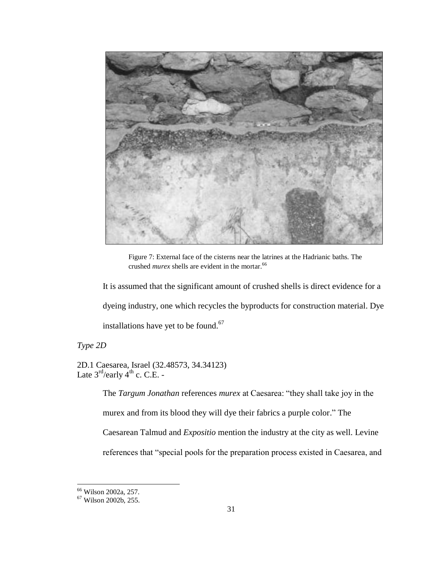

Figure 7: External face of the cisterns near the latrines at the Hadrianic baths. The crushed *murex* shells are evident in the mortar.<sup>66</sup>

It is assumed that the significant amount of crushed shells is direct evidence for a dyeing industry, one which recycles the byproducts for construction material. Dye installations have yet to be found.<sup>67</sup>

*Type 2D*

2D.1 Caesarea, Israel (32.48573, 34.34123) Late  $3^{\text{rd}}$ /early  $4^{\text{th}}$  c. C.E. -

> The *Targum Jonathan* references *murex* at Caesarea: "they shall take joy in the murex and from its blood they will dye their fabrics a purple color." The Caesarean Talmud and *Expositio* mention the industry at the city as well. Levine references that "special pools for the preparation process existed in Caesarea, and

l

<sup>66</sup> Wilson 2002a, 257.

<sup>67</sup> Wilson 2002b, 255.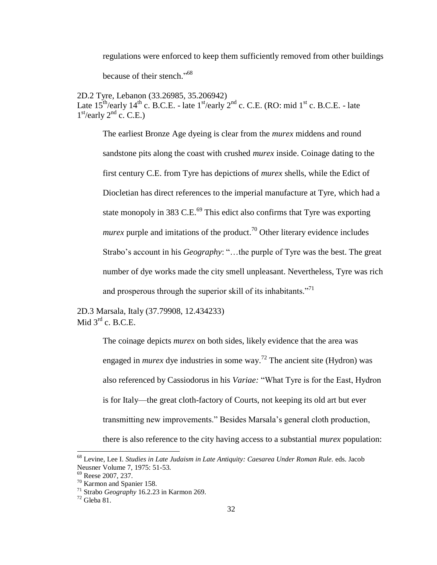regulations were enforced to keep them sufficiently removed from other buildings

because of their stench."<sup>68</sup>

2D.2 Tyre, Lebanon (33.26985, 35.206942) Late  $15^{th}/early$   $14^{th}$  c. B.C.E. - late  $1<sup>st</sup>/early$   $2<sup>nd</sup>$  c. C.E. (RO: mid  $1<sup>st</sup>$  c. B.C.E. - late  $1<sup>st</sup>/early 2<sup>nd</sup> c. C.E.)$ 

The earliest Bronze Age dyeing is clear from the *murex* middens and round sandstone pits along the coast with crushed *murex* inside. Coinage dating to the first century C.E. from Tyre has depictions of *murex* shells, while the Edict of Diocletian has direct references to the imperial manufacture at Tyre, which had a state monopoly in 383 C.E. $^{69}$  This edict also confirms that Tyre was exporting *murex* purple and imitations of the product.<sup>70</sup> Other literary evidence includes Strabo's account in his *Geography*: "...the purple of Tyre was the best. The great number of dye works made the city smell unpleasant. Nevertheless, Tyre was rich and prosperous through the superior skill of its inhabitants.<sup>771</sup>

2D.3 Marsala, Italy (37.79908, 12.434233) Mid  $3^{\text{rd}}$  c. B.C.E.

> The coinage depicts *murex* on both sides, likely evidence that the area was engaged in *murex* dye industries in some way. <sup>72</sup> The ancient site (Hydron) was also referenced by Cassiodorus in his *Variae:* "What Tyre is for the East, Hydron is for Italy—the great cloth-factory of Courts, not keeping its old art but ever transmitting new improvements." Besides Marsala's general cloth production, there is also reference to the city having access to a substantial *murex* population:

<sup>68</sup> Levine, Lee I. *Studies in Late Judaism in Late Antiquity: Caesarea Under Roman Rule.* eds. Jacob Neusner Volume 7, 1975: 51-53.

<sup>&</sup>lt;sup>69</sup> Reese 2007, 237.

<sup>70</sup> Karmon and Spanier 158.

<sup>71</sup> Strabo *Geography* 16.2.23 in Karmon 269.

 $72$  Gleba 81.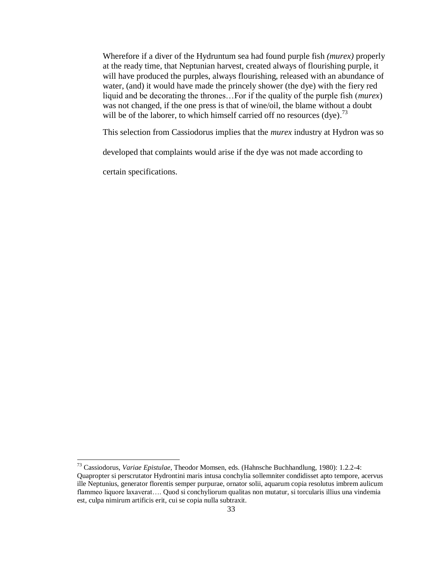Wherefore if a diver of the Hydruntum sea had found purple fish *(murex)* properly at the ready time, that Neptunian harvest, created always of flourishing purple, it will have produced the purples, always flourishing, released with an abundance of water, (and) it would have made the princely shower (the dye) with the fiery red liquid and be decorating the thrones…For if the quality of the purple fish (*murex*) was not changed, if the one press is that of wine/oil, the blame without a doubt will be of the laborer, to which himself carried off no resources  $(dye)$ .<sup>73</sup>

This selection from Cassiodorus implies that the *murex* industry at Hydron was so

developed that complaints would arise if the dye was not made according to

certain specifications.

<sup>73</sup> Cassiodorus, *Variae Epistulae,* Theodor Momsen, eds. (Hahnsche Buchhandlung, 1980): 1.2.2-4: Quapropter si perscrutator Hydrontini maris intusa conchylia sollemniter condidisset apto tempore, acervus ille Neptunius, generator florentis semper purpurae, ornator solii, aquarum copia resolutus imbrem aulicum flammeo liquore laxaverat…. Quod si conchyliorum qualitas non mutatur, si torcularis illius una vindemia est, culpa nimirum artificis erit, cui se copia nulla subtraxit.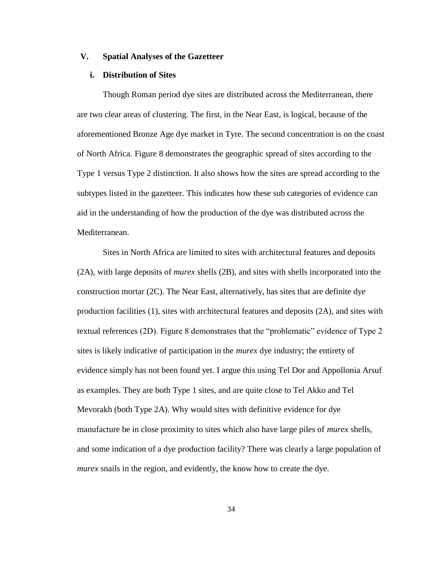## **V. Spatial Analyses of the Gazetteer**

### **i. Distribution of Sites**

Though Roman period dye sites are distributed across the Mediterranean, there are two clear areas of clustering. The first, in the Near East, is logical, because of the aforementioned Bronze Age dye market in Tyre. The second concentration is on the coast of North Africa. Figure 8 demonstrates the geographic spread of sites according to the Type 1 versus Type 2 distinction. It also shows how the sites are spread according to the subtypes listed in the gazetteer. This indicates how these sub categories of evidence can aid in the understanding of how the production of the dye was distributed across the Mediterranean.

Sites in North Africa are limited to sites with architectural features and deposits (2A), with large deposits of *murex* shells (2B), and sites with shells incorporated into the construction mortar (2C). The Near East, alternatively, has sites that are definite dye production facilities (1), sites with architectural features and deposits (2A), and sites with textual references (2D). Figure 8 demonstrates that the "problematic" evidence of Type 2 sites is likely indicative of participation in the *murex* dye industry; the entirety of evidence simply has not been found yet. I argue this using Tel Dor and Appollonia Arsuf as examples. They are both Type 1 sites, and are quite close to Tel Akko and Tel Mevorakh (both Type 2A). Why would sites with definitive evidence for dye manufacture be in close proximity to sites which also have large piles of *murex* shells, and some indication of a dye production facility? There was clearly a large population of *murex* snails in the region, and evidently, the know how to create the dye.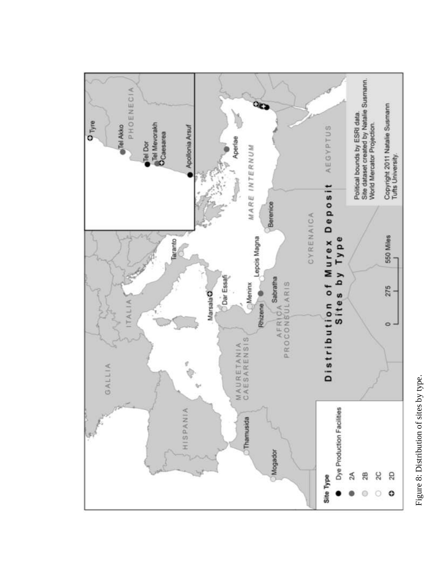

Figure 8: Distribution of sites by type. Figure 8: Distribution of sites by type.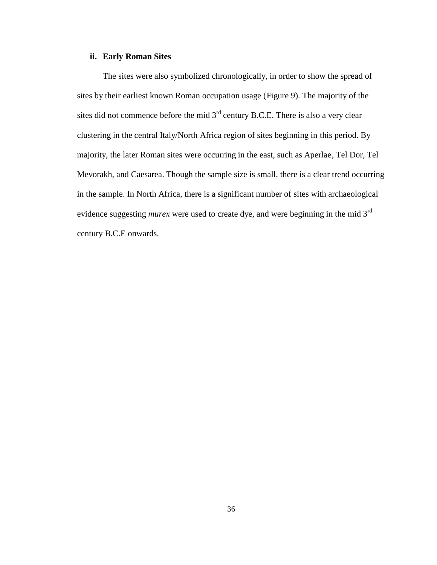## **ii. Early Roman Sites**

The sites were also symbolized chronologically, in order to show the spread of sites by their earliest known Roman occupation usage (Figure 9). The majority of the sites did not commence before the mid  $3<sup>rd</sup>$  century B.C.E. There is also a very clear clustering in the central Italy/North Africa region of sites beginning in this period. By majority, the later Roman sites were occurring in the east, such as Aperlae, Tel Dor, Tel Mevorakh, and Caesarea. Though the sample size is small, there is a clear trend occurring in the sample. In North Africa, there is a significant number of sites with archaeological evidence suggesting *murex* were used to create dye, and were beginning in the mid 3rd century B.C.E onwards.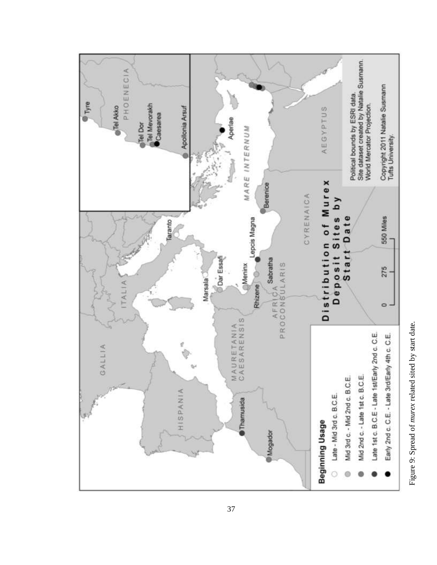

Figure 9: Spread of murex related sited by start date. Figure 9: Spread of *murex* related sited by start date.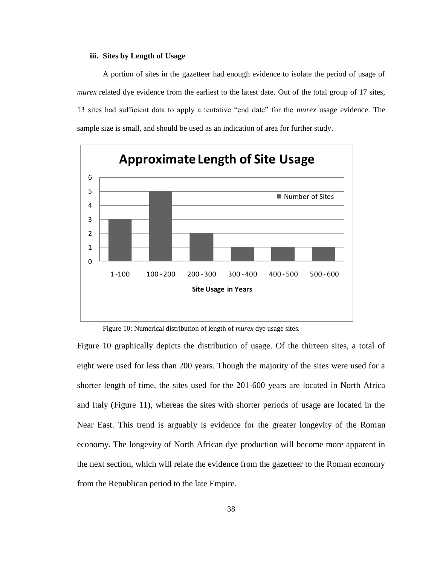#### **iii. Sites by Length of Usage**

A portion of sites in the gazetteer had enough evidence to isolate the period of usage of *murex* related dye evidence from the earliest to the latest date. Out of the total group of 17 sites, 13 sites had sufficient data to apply a tentative "end date" for the *murex* usage evidence. The sample size is small, and should be used as an indication of area for further study.



Figure 10: Numerical distribution of length of *murex* dye usage sites.

Figure 10 graphically depicts the distribution of usage. Of the thirteen sites, a total of eight were used for less than 200 years. Though the majority of the sites were used for a shorter length of time, the sites used for the 201-600 years are located in North Africa and Italy (Figure 11), whereas the sites with shorter periods of usage are located in the Near East. This trend is arguably is evidence for the greater longevity of the Roman economy. The longevity of North African dye production will become more apparent in the next section, which will relate the evidence from the gazetteer to the Roman economy from the Republican period to the late Empire.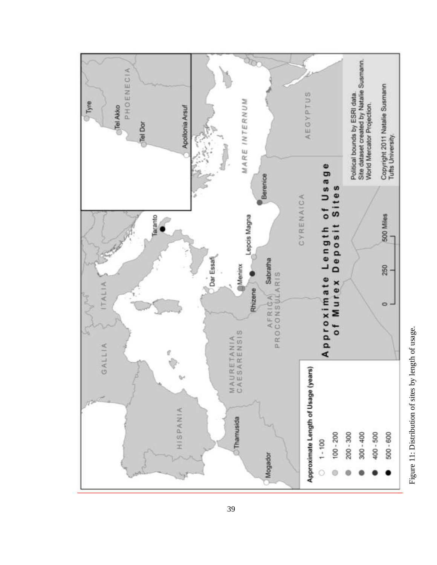

Figure 11: Distribution of sites by length of usage. Figure 11: Distribution of sites by length of usage.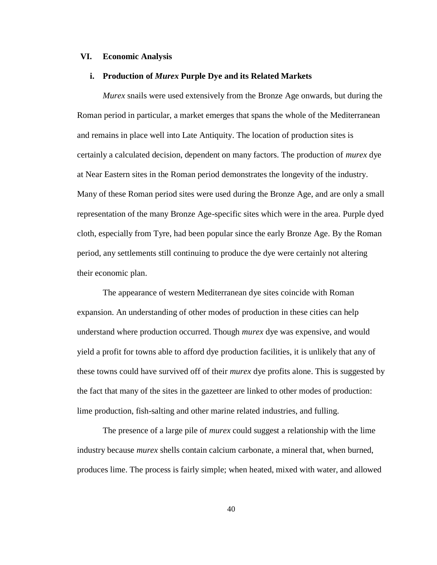### **VI. Economic Analysis**

### **i. Production of** *Murex* **Purple Dye and its Related Markets**

*Murex* snails were used extensively from the Bronze Age onwards, but during the Roman period in particular, a market emerges that spans the whole of the Mediterranean and remains in place well into Late Antiquity. The location of production sites is certainly a calculated decision, dependent on many factors. The production of *murex* dye at Near Eastern sites in the Roman period demonstrates the longevity of the industry. Many of these Roman period sites were used during the Bronze Age, and are only a small representation of the many Bronze Age-specific sites which were in the area. Purple dyed cloth, especially from Tyre, had been popular since the early Bronze Age. By the Roman period, any settlements still continuing to produce the dye were certainly not altering their economic plan.

The appearance of western Mediterranean dye sites coincide with Roman expansion. An understanding of other modes of production in these cities can help understand where production occurred. Though *murex* dye was expensive, and would yield a profit for towns able to afford dye production facilities, it is unlikely that any of these towns could have survived off of their *murex* dye profits alone. This is suggested by the fact that many of the sites in the gazetteer are linked to other modes of production: lime production, fish-salting and other marine related industries, and fulling.

The presence of a large pile of *murex* could suggest a relationship with the lime industry because *murex* shells contain calcium carbonate, a mineral that, when burned, produces lime. The process is fairly simple; when heated, mixed with water, and allowed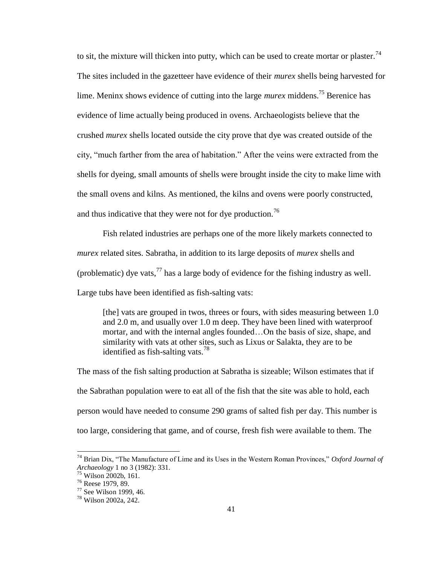to sit, the mixture will thicken into putty, which can be used to create mortar or plaster.<sup>74</sup> The sites included in the gazetteer have evidence of their *murex* shells being harvested for lime. Meninx shows evidence of cutting into the large *murex* middens.<sup>75</sup> Berenice has evidence of lime actually being produced in ovens. Archaeologists believe that the crushed *murex* shells located outside the city prove that dye was created outside of the city, "much farther from the area of habitation." After the veins were extracted from the shells for dyeing, small amounts of shells were brought inside the city to make lime with the small ovens and kilns. As mentioned, the kilns and ovens were poorly constructed, and thus indicative that they were not for dye production.<sup>76</sup>

Fish related industries are perhaps one of the more likely markets connected to *murex* related sites. Sabratha, in addition to its large deposits of *murex* shells and (problematic) dye vats,  $^{77}$  has a large body of evidence for the fishing industry as well. Large tubs have been identified as fish-salting vats:

[the] vats are grouped in twos, threes or fours, with sides measuring between 1.0 and 2.0 m, and usually over 1.0 m deep. They have been lined with waterproof mortar, and with the internal angles founded…On the basis of size, shape, and similarity with vats at other sites, such as Lixus or Salakta, they are to be identified as fish-salting vats.<sup>78</sup>

The mass of the fish salting production at Sabratha is sizeable; Wilson estimates that if the Sabrathan population were to eat all of the fish that the site was able to hold, each person would have needed to consume 290 grams of salted fish per day. This number is too large, considering that game, and of course, fresh fish were available to them. The

 $^{74}$  Brian Dix, "The Manufacture of Lime and its Uses in the Western Roman Provinces," *Oxford Journal of Archaeology* 1 no 3 (1982): 331.

<sup>75</sup> Wilson 2002b, 161.

<sup>76</sup> Reese 1979, 89.

<sup>77</sup> See Wilson 1999, 46.

<sup>78</sup> Wilson 2002a, 242.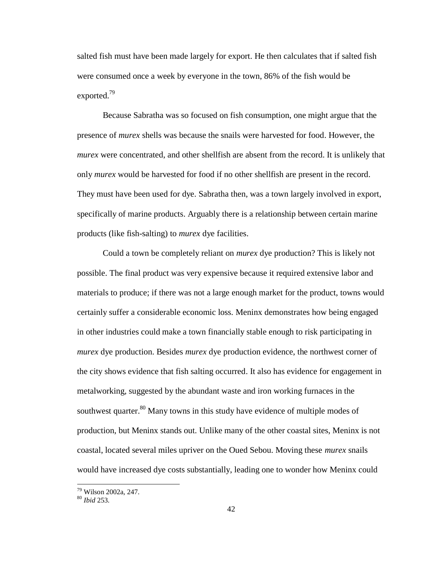salted fish must have been made largely for export. He then calculates that if salted fish were consumed once a week by everyone in the town, 86% of the fish would be exported.<sup>79</sup>

Because Sabratha was so focused on fish consumption, one might argue that the presence of *murex* shells was because the snails were harvested for food. However, the *murex* were concentrated, and other shellfish are absent from the record. It is unlikely that only *murex* would be harvested for food if no other shellfish are present in the record. They must have been used for dye. Sabratha then, was a town largely involved in export, specifically of marine products. Arguably there is a relationship between certain marine products (like fish-salting) to *murex* dye facilities.

Could a town be completely reliant on *murex* dye production? This is likely not possible. The final product was very expensive because it required extensive labor and materials to produce; if there was not a large enough market for the product, towns would certainly suffer a considerable economic loss. Meninx demonstrates how being engaged in other industries could make a town financially stable enough to risk participating in *murex* dye production. Besides *murex* dye production evidence, the northwest corner of the city shows evidence that fish salting occurred. It also has evidence for engagement in metalworking, suggested by the abundant waste and iron working furnaces in the southwest quarter.<sup>80</sup> Many towns in this study have evidence of multiple modes of production, but Meninx stands out. Unlike many of the other coastal sites, Meninx is not coastal, located several miles upriver on the Oued Sebou. Moving these *murex* snails would have increased dye costs substantially, leading one to wonder how Meninx could

<sup>79</sup> Wilson 2002a, 247.

<sup>80</sup> *Ibid* 253.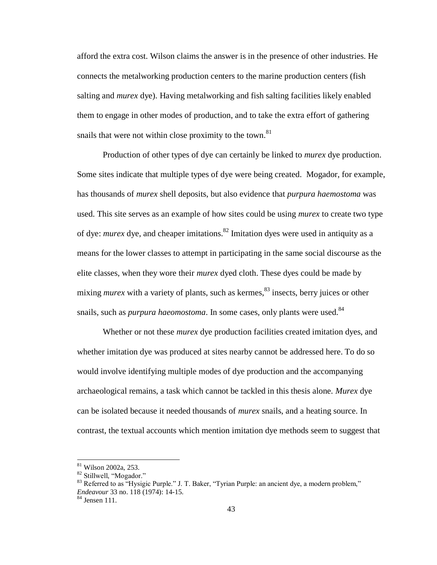afford the extra cost. Wilson claims the answer is in the presence of other industries. He connects the metalworking production centers to the marine production centers (fish salting and *murex* dye). Having metalworking and fish salting facilities likely enabled them to engage in other modes of production, and to take the extra effort of gathering snails that were not within close proximity to the town.<sup>81</sup>

Production of other types of dye can certainly be linked to *murex* dye production. Some sites indicate that multiple types of dye were being created. Mogador, for example, has thousands of *murex* shell deposits, but also evidence that *purpura haemostoma* was used. This site serves as an example of how sites could be using *murex* to create two type of dye: *murex* dye, and cheaper imitations.<sup>82</sup> Imitation dyes were used in antiquity as a means for the lower classes to attempt in participating in the same social discourse as the elite classes, when they wore their *murex* dyed cloth. These dyes could be made by mixing *murex* with a variety of plants, such as kermes,<sup>83</sup> insects, berry juices or other snails, such as *purpura haeomostoma*. In some cases, only plants were used.<sup>84</sup>

Whether or not these *murex* dye production facilities created imitation dyes, and whether imitation dye was produced at sites nearby cannot be addressed here. To do so would involve identifying multiple modes of dye production and the accompanying archaeological remains, a task which cannot be tackled in this thesis alone. *Murex* dye can be isolated because it needed thousands of *murex* snails, and a heating source. In contrast, the textual accounts which mention imitation dye methods seem to suggest that

<sup>81</sup> Wilson 2002a, 253.

<sup>82</sup> Stillwell, "Mogador."

 $83$  Referred to as "Hysigic Purple." J. T. Baker, "Tyrian Purple: an ancient dye, a modern problem," *Endeavour* 33 no. 118 (1974): 14-15.

<sup>84</sup> Jensen 111.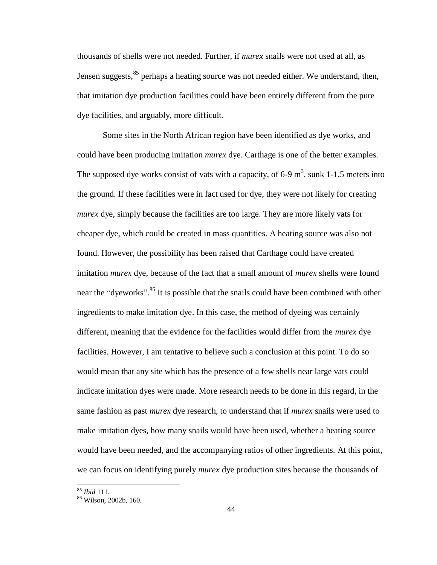thousands of shells were not needed. Further, if *murex* snails were not used at all, as Jensen suggests, <sup>85</sup> perhaps a heating source was not needed either. We understand, then, that imitation dye production facilities could have been entirely different from the pure dye facilities, and arguably, more difficult.

Some sites in the North African region have been identified as dye works, and could have been producing imitation *murex* dye. Carthage is one of the better examples. The supposed dye works consist of vats with a capacity, of 6-9  $m<sup>3</sup>$ , sunk 1-1.5 meters into the ground. If these facilities were in fact used for dye, they were not likely for creating *murex* dye, simply because the facilities are too large. They are more likely vats for cheaper dye, which could be created in mass quantities. A heating source was also not found. However, the possibility has been raised that Carthage could have created imitation *murex* dye, because of the fact that a small amount of *murex* shells were found near the "dyeworks".<sup>86</sup> It is possible that the snails could have been combined with other ingredients to make imitation dye. In this case, the method of dyeing was certainly different, meaning that the evidence for the facilities would differ from the *murex* dye facilities. However, I am tentative to believe such a conclusion at this point. To do so would mean that any site which has the presence of a few shells near large vats could indicate imitation dyes were made. More research needs to be done in this regard, in the same fashion as past *murex* dye research, to understand that if *murex* snails were used to make imitation dyes, how many snails would have been used, whether a heating source would have been needed, and the accompanying ratios of other ingredients. At this point, we can focus on identifying purely *murex* dye production sites because the thousands of

<sup>85</sup> *Ibid* 111.

 $86$  Wilson, 2002b, 160.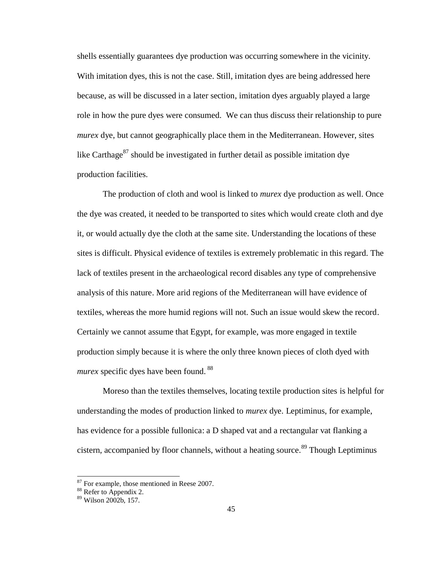shells essentially guarantees dye production was occurring somewhere in the vicinity. With imitation dyes, this is not the case. Still, imitation dyes are being addressed here because, as will be discussed in a later section, imitation dyes arguably played a large role in how the pure dyes were consumed. We can thus discuss their relationship to pure *murex* dye, but cannot geographically place them in the Mediterranean. However, sites like Carthage<sup>87</sup> should be investigated in further detail as possible imitation dye production facilities.

The production of cloth and wool is linked to *murex* dye production as well. Once the dye was created, it needed to be transported to sites which would create cloth and dye it, or would actually dye the cloth at the same site. Understanding the locations of these sites is difficult. Physical evidence of textiles is extremely problematic in this regard. The lack of textiles present in the archaeological record disables any type of comprehensive analysis of this nature. More arid regions of the Mediterranean will have evidence of textiles, whereas the more humid regions will not. Such an issue would skew the record. Certainly we cannot assume that Egypt, for example, was more engaged in textile production simply because it is where the only three known pieces of cloth dyed with *murex* specific dyes have been found.<sup>88</sup>

Moreso than the textiles themselves, locating textile production sites is helpful for understanding the modes of production linked to *murex* dye. Leptiminus, for example, has evidence for a possible fullonica: a D shaped vat and a rectangular vat flanking a cistern, accompanied by floor channels, without a heating source.<sup>89</sup> Though Leptiminus

 $87$  For example, those mentioned in Reese 2007.

<sup>&</sup>lt;sup>88</sup> Refer to Appendix 2.

<sup>89</sup> Wilson 2002b, 157.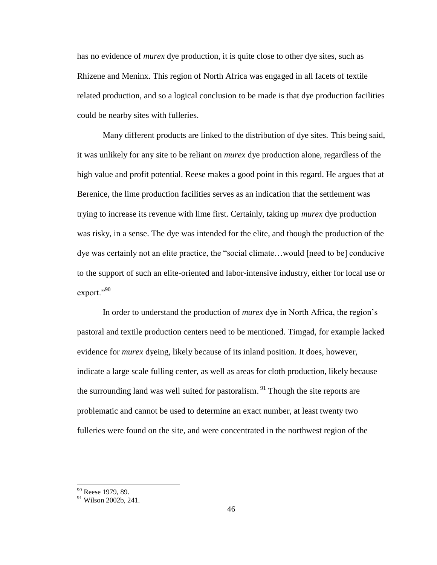has no evidence of *murex* dye production, it is quite close to other dye sites, such as Rhizene and Meninx. This region of North Africa was engaged in all facets of textile related production, and so a logical conclusion to be made is that dye production facilities could be nearby sites with fulleries.

Many different products are linked to the distribution of dye sites. This being said, it was unlikely for any site to be reliant on *murex* dye production alone, regardless of the high value and profit potential. Reese makes a good point in this regard. He argues that at Berenice, the lime production facilities serves as an indication that the settlement was trying to increase its revenue with lime first. Certainly, taking up *murex* dye production was risky, in a sense. The dye was intended for the elite, and though the production of the dye was certainly not an elite practice, the "social climate...would [need to be] conducive to the support of such an elite-oriented and labor-intensive industry, either for local use or export."<sup>90</sup>

In order to understand the production of *murex* dye in North Africa, the region's pastoral and textile production centers need to be mentioned. Timgad, for example lacked evidence for *murex* dyeing, likely because of its inland position. It does, however, indicate a large scale fulling center, as well as areas for cloth production, likely because the surrounding land was well suited for pastoralism.<sup>91</sup> Though the site reports are problematic and cannot be used to determine an exact number, at least twenty two fulleries were found on the site, and were concentrated in the northwest region of the

<sup>&</sup>lt;sup>90</sup> Reese 1979, 89.

 $91$  Wilson 2002b, 241.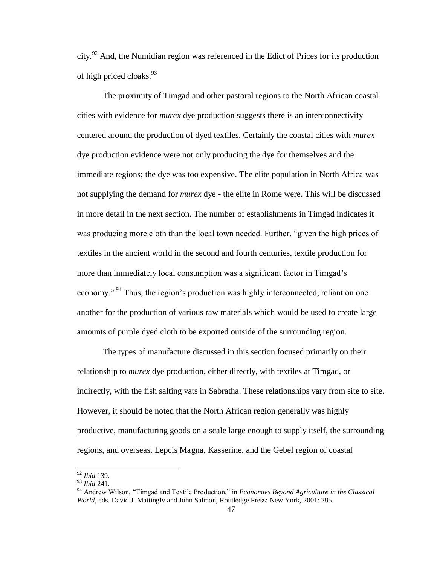city.<sup>92</sup> And, the Numidian region was referenced in the Edict of Prices for its production of high priced cloaks.  $93$ 

The proximity of Timgad and other pastoral regions to the North African coastal cities with evidence for *murex* dye production suggests there is an interconnectivity centered around the production of dyed textiles. Certainly the coastal cities with *murex*  dye production evidence were not only producing the dye for themselves and the immediate regions; the dye was too expensive. The elite population in North Africa was not supplying the demand for *murex* dye - the elite in Rome were. This will be discussed in more detail in the next section. The number of establishments in Timgad indicates it was producing more cloth than the local town needed. Further, "given the high prices of textiles in the ancient world in the second and fourth centuries, textile production for more than immediately local consumption was a significant factor in Timgad's economy."<sup>94</sup> Thus, the region's production was highly interconnected, reliant on one another for the production of various raw materials which would be used to create large amounts of purple dyed cloth to be exported outside of the surrounding region.

The types of manufacture discussed in this section focused primarily on their relationship to *murex* dye production, either directly, with textiles at Timgad, or indirectly, with the fish salting vats in Sabratha. These relationships vary from site to site. However, it should be noted that the North African region generally was highly productive, manufacturing goods on a scale large enough to supply itself, the surrounding regions, and overseas. Lepcis Magna, Kasserine, and the Gebel region of coastal

<sup>92</sup> *Ibid* 139.

<sup>93</sup> *Ibid* 241.

<sup>&</sup>lt;sup>94</sup> Andrew Wilson, "Timgad and Textile Production," in *Economies Beyond Agriculture in the Classical World,* eds. David J. Mattingly and John Salmon, Routledge Press: New York, 2001: 285.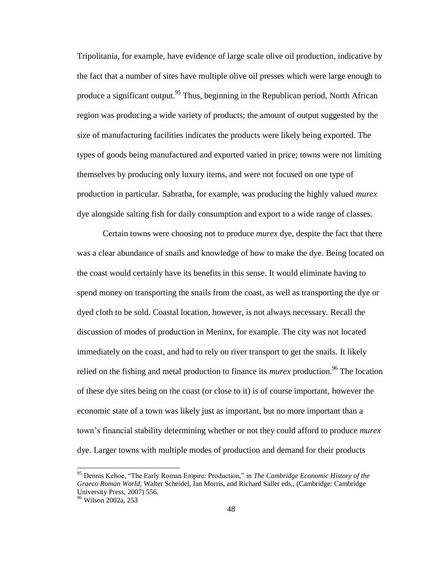Tripolitania, for example, have evidence of large scale olive oil production, indicative by the fact that a number of sites have multiple olive oil presses which were large enough to produce a significant output.<sup>95</sup> Thus, beginning in the Republican period, North African region was producing a wide variety of products; the amount of output suggested by the size of manufacturing facilities indicates the products were likely being exported. The types of goods being manufactured and exported varied in price; towns were not limiting themselves by producing only luxury items, and were not focused on one type of production in particular*.* Sabratha, for example, was producing the highly valued *murex*  dye alongside salting fish for daily consumption and export to a wide range of classes.

Certain towns were choosing not to produce *murex* dye, despite the fact that there was a clear abundance of snails and knowledge of how to make the dye. Being located on the coast would certainly have its benefits in this sense. It would eliminate having to spend money on transporting the snails from the coast, as well as transporting the dye or dyed cloth to be sold. Coastal location, however, is not always necessary. Recall the discussion of modes of production in Meninx, for example. The city was not located immediately on the coast, and had to rely on river transport to get the snails. It likely relied on the fishing and metal production to finance its *murex* production.<sup>96</sup> The location of these dye sites being on the coast (or close to it) is of course important, however the economic state of a town was likely just as important, but no more important than a town's financial stability determining whether or not they could afford to produce *murex*  dye. Larger towns with multiple modes of production and demand for their products

<sup>&</sup>lt;sup>95</sup> Dennis Kehoe, "The Early Roman Empire: Production," in *The Cambridge Economic History of the Graeco Roman World,* Walter Scheidel, Ian Morris, and Richard Saller eds., (Cambridge: Cambridge University Press, 2007) 556.

<sup>96</sup> Wilson 2002a, 253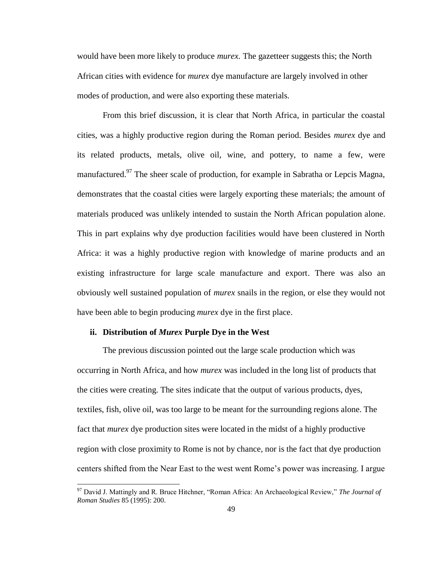would have been more likely to produce *murex.* The gazetteer suggests this; the North African cities with evidence for *murex* dye manufacture are largely involved in other modes of production, and were also exporting these materials.

From this brief discussion, it is clear that North Africa, in particular the coastal cities, was a highly productive region during the Roman period. Besides *murex* dye and its related products, metals, olive oil, wine, and pottery, to name a few, were manufactured.<sup>97</sup> The sheer scale of production, for example in Sabratha or Lepcis Magna, demonstrates that the coastal cities were largely exporting these materials; the amount of materials produced was unlikely intended to sustain the North African population alone. This in part explains why dye production facilities would have been clustered in North Africa: it was a highly productive region with knowledge of marine products and an existing infrastructure for large scale manufacture and export. There was also an obviously well sustained population of *murex* snails in the region, or else they would not have been able to begin producing *murex* dye in the first place.

## **ii. Distribution of** *Murex* **Purple Dye in the West**

l

The previous discussion pointed out the large scale production which was occurring in North Africa, and how *murex* was included in the long list of products that the cities were creating. The sites indicate that the output of various products, dyes, textiles, fish, olive oil, was too large to be meant for the surrounding regions alone. The fact that *murex* dye production sites were located in the midst of a highly productive region with close proximity to Rome is not by chance, nor is the fact that dye production centers shifted from the Near East to the west went Rome's power was increasing. I argue

<sup>&</sup>lt;sup>97</sup> David J. Mattingly and R. Bruce Hitchner, "Roman Africa: An Archaeological Review," The Journal of *Roman Studies* 85 (1995): 200.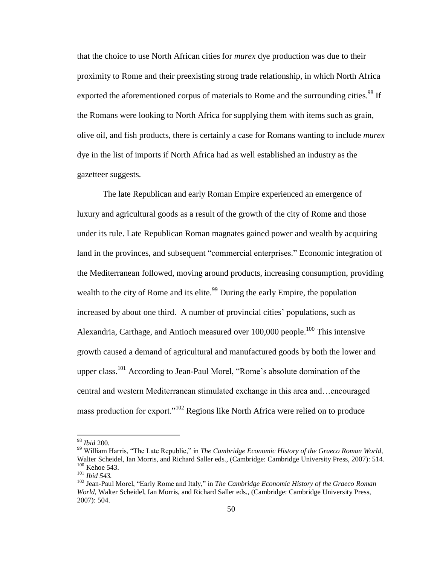that the choice to use North African cities for *murex* dye production was due to their proximity to Rome and their preexisting strong trade relationship, in which North Africa exported the aforementioned corpus of materials to Rome and the surrounding cities.<sup>98</sup> If the Romans were looking to North Africa for supplying them with items such as grain, olive oil, and fish products, there is certainly a case for Romans wanting to include *murex*  dye in the list of imports if North Africa had as well established an industry as the gazetteer suggests.

The late Republican and early Roman Empire experienced an emergence of luxury and agricultural goods as a result of the growth of the city of Rome and those under its rule. Late Republican Roman magnates gained power and wealth by acquiring land in the provinces, and subsequent "commercial enterprises." Economic integration of the Mediterranean followed, moving around products, increasing consumption, providing wealth to the city of Rome and its elite.<sup>99</sup> During the early Empire, the population increased by about one third. A number of provincial cities' populations, such as Alexandria, Carthage, and Antioch measured over 100,000 people.<sup>100</sup> This intensive growth caused a demand of agricultural and manufactured goods by both the lower and upper class.<sup>101</sup> According to Jean-Paul Morel, "Rome's absolute domination of the central and western Mediterranean stimulated exchange in this area and…encouraged mass production for export."<sup>102</sup> Regions like North Africa were relied on to produce

<sup>98</sup> *Ibid* 200.

<sup>&</sup>lt;sup>99</sup> William Harris, "The Late Republic," in *The Cambridge Economic History of the Graeco Roman World,* Walter Scheidel, Ian Morris, and Richard Saller eds., (Cambridge: Cambridge University Press, 2007): 514. <sup>100</sup> Kehoe 543.

<sup>101</sup> *Ibid 543.*

<sup>&</sup>lt;sup>102</sup> Jean-Paul Morel, "Early Rome and Italy," in *The Cambridge Economic History of the Graeco Roman World,* Walter Scheidel, Ian Morris, and Richard Saller eds., (Cambridge: Cambridge University Press, 2007): 504.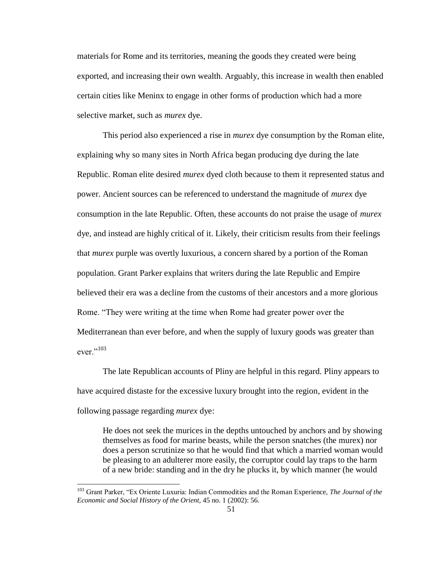materials for Rome and its territories, meaning the goods they created were being exported, and increasing their own wealth. Arguably, this increase in wealth then enabled certain cities like Meninx to engage in other forms of production which had a more selective market, such as *murex* dye.

This period also experienced a rise in *murex* dye consumption by the Roman elite, explaining why so many sites in North Africa began producing dye during the late Republic. Roman elite desired *murex* dyed cloth because to them it represented status and power. Ancient sources can be referenced to understand the magnitude of *murex* dye consumption in the late Republic. Often, these accounts do not praise the usage of *murex*  dye, and instead are highly critical of it. Likely, their criticism results from their feelings that *murex* purple was overtly luxurious, a concern shared by a portion of the Roman population. Grant Parker explains that writers during the late Republic and Empire believed their era was a decline from the customs of their ancestors and a more glorious Rome. "They were writing at the time when Rome had greater power over the Mediterranean than ever before, and when the supply of luxury goods was greater than ever." $103$ 

The late Republican accounts of Pliny are helpful in this regard. Pliny appears to have acquired distaste for the excessive luxury brought into the region, evident in the following passage regarding *murex* dye:

He does not seek the murices in the depths untouched by anchors and by showing themselves as food for marine beasts, while the person snatches (the murex) nor does a person scrutinize so that he would find that which a married woman would be pleasing to an adulterer more easily, the corruptor could lay traps to the harm of a new bride: standing and in the dry he plucks it, by which manner (he would

<sup>&</sup>lt;sup>103</sup> Grant Parker, "Ex Oriente Luxuria: Indian Commodities and the Roman Experience, *The Journal of the Economic and Social History of the Orient,* 45 no. 1 (2002): 56.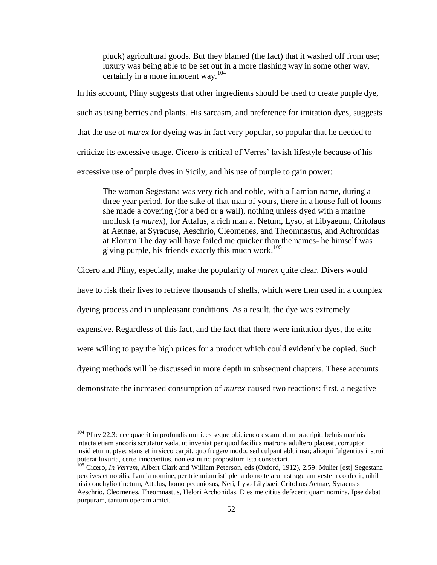pluck) agricultural goods. But they blamed (the fact) that it washed off from use; luxury was being able to be set out in a more flashing way in some other way, certainly in a more innocent way.<sup>104</sup>

In his account, Pliny suggests that other ingredients should be used to create purple dye, such as using berries and plants. His sarcasm, and preference for imitation dyes, suggests that the use of *murex* for dyeing was in fact very popular, so popular that he needed to criticize its excessive usage. Cicero is critical of Verres' lavish lifestyle because of his excessive use of purple dyes in Sicily, and his use of purple to gain power:

The woman Segestana was very rich and noble, with a Lamian name, during a three year period, for the sake of that man of yours, there in a house full of looms she made a covering (for a bed or a wall), nothing unless dyed with a marine mollusk (a *murex*), for Attalus, a rich man at Netum, Lyso, at Libyaeum, Critolaus at Aetnae, at Syracuse, Aeschrio, Cleomenes, and Theomnastus, and Achronidas at Elorum.The day will have failed me quicker than the names- he himself was giving purple, his friends exactly this much work.<sup>105</sup>

Cicero and Pliny, especially, make the popularity of *murex* quite clear. Divers would

have to risk their lives to retrieve thousands of shells, which were then used in a complex

dyeing process and in unpleasant conditions. As a result, the dye was extremely

expensive. Regardless of this fact, and the fact that there were imitation dyes, the elite

were willing to pay the high prices for a product which could evidently be copied. Such

dyeing methods will be discussed in more depth in subsequent chapters. These accounts

demonstrate the increased consumption of *murex* caused two reactions: first, a negative

<sup>&</sup>lt;sup>104</sup> Pliny 22.3[: nec](http://www.perseus.tufts.edu/hopper/morph?l=nec&la=la&prior=colores) [quaerit](http://www.perseus.tufts.edu/hopper/morph?l=quaerit&la=la&prior=nec) [in](http://www.perseus.tufts.edu/hopper/morph?l=in&la=la&prior=quaerit) [profundis](http://www.perseus.tufts.edu/hopper/morph?l=profundis&la=la&prior=in) [murices](http://www.perseus.tufts.edu/hopper/morph?l=murices&la=la&prior=profundis) [seque](http://www.perseus.tufts.edu/hopper/morph?l=seque&la=la&prior=murices) [obiciendo](http://www.perseus.tufts.edu/hopper/morph?l=obiciendo&la=la&prior=seque) [escam,](http://www.perseus.tufts.edu/hopper/morph?l=escam&la=la&prior=obiciendo) [dum](http://www.perseus.tufts.edu/hopper/morph?l=dum&la=la&prior=escam) [praeripit,](http://www.perseus.tufts.edu/hopper/morph?l=praeripit&la=la&prior=dum) [beluis](http://www.perseus.tufts.edu/hopper/morph?l=beluis&la=la&prior=praeripit) [marinis](http://www.perseus.tufts.edu/hopper/morph?l=marinis&la=la&prior=beluis) [intacta](http://www.perseus.tufts.edu/hopper/morph?l=intacta&la=la&prior=marinis) [etiam](http://www.perseus.tufts.edu/hopper/morph?l=etiam&la=la&prior=intacta) [ancoris](http://www.perseus.tufts.edu/hopper/morph?l=ancoris&la=la&prior=etiam) [scrutatur](http://www.perseus.tufts.edu/hopper/morph?l=scrutatur&la=la&prior=ancoris) [vada,](http://www.perseus.tufts.edu/hopper/morph?l=vada&la=la&prior=scrutatur) [ut](http://www.perseus.tufts.edu/hopper/morph?l=ut&la=la&prior=vada) [inveniat](http://www.perseus.tufts.edu/hopper/morph?l=inveniat&la=la&prior=ut) [per](http://www.perseus.tufts.edu/hopper/morph?l=per&la=la&prior=inveniat) [quod](http://www.perseus.tufts.edu/hopper/morph?l=quod&la=la&prior=per) [facilius](http://www.perseus.tufts.edu/hopper/morph?l=facilius&la=la&prior=quod) [matrona](http://www.perseus.tufts.edu/hopper/morph?l=matrona&la=la&prior=facilius) [adultero](http://www.perseus.tufts.edu/hopper/morph?l=adultero&la=la&prior=matrona) [placeat,](http://www.perseus.tufts.edu/hopper/morph?l=placeat&la=la&prior=adultero) [corruptor](http://www.perseus.tufts.edu/hopper/morph?l=corruptor&la=la&prior=placeat) [insidietur](http://www.perseus.tufts.edu/hopper/morph?l=insidietur&la=la&prior=corruptor) [nuptae:](http://www.perseus.tufts.edu/hopper/morph?l=nuptae&la=la&prior=insidietur) [stans](http://www.perseus.tufts.edu/hopper/morph?l=stans&la=la&prior=nuptae) [et](http://www.perseus.tufts.edu/hopper/morph?l=et&la=la&prior=stans) [in](http://www.perseus.tufts.edu/hopper/morph?l=in&la=la&prior=et) [sicco](http://www.perseus.tufts.edu/hopper/morph?l=sicco&la=la&prior=in) [carpit,](http://www.perseus.tufts.edu/hopper/morph?l=carpit&la=la&prior=sicco) [quo](http://www.perseus.tufts.edu/hopper/morph?l=quo&la=la&prior=carpit) [fruge](http://www.perseus.tufts.edu/hopper/morph?l=fruge&la=la&prior=quo)*[m](http://www.perseus.tufts.edu/hopper/morph?l=fruge&la=la&prior=quo)* [modo.](http://www.perseus.tufts.edu/hopper/morph?l=modo&la=la&prior=m) [sed](http://www.perseus.tufts.edu/hopper/morph?l=sed&la=la&prior=modo) [culpant](http://www.perseus.tufts.edu/hopper/morph?l=culpant&la=la&prior=sed) [ablui](http://www.perseus.tufts.edu/hopper/morph?l=ablui&la=la&prior=culpant) [usu;](http://www.perseus.tufts.edu/hopper/morph?l=usu&la=la&prior=ablui) [alioqui](http://www.perseus.tufts.edu/hopper/morph?l=alioqui&la=la&prior=usu) [fulgentius](http://www.perseus.tufts.edu/hopper/morph?l=fulgentius&la=la&prior=alioqui) [instrui](http://www.perseus.tufts.edu/hopper/morph?l=instrui&la=la&prior=fulgentius) [poterat](http://www.perseus.tufts.edu/hopper/morph?l=poterat&la=la&prior=instrui) [luxuria,](http://www.perseus.tufts.edu/hopper/morph?l=luxuria&la=la&prior=poterat) [certe](http://www.perseus.tufts.edu/hopper/morph?l=certe&la=la&prior=luxuria) [innocentius.](http://www.perseus.tufts.edu/hopper/morph?l=innocentius&la=la&prior=certe) [non](http://www.perseus.tufts.edu/hopper/morph?l=non&la=la) [est](http://www.perseus.tufts.edu/hopper/morph?l=est&la=la&prior=non) [nunc](http://www.perseus.tufts.edu/hopper/morph?l=nunc&la=la&prior=est) [propositum](http://www.perseus.tufts.edu/hopper/morph?l=propositum&la=la&prior=nunc) [ista](http://www.perseus.tufts.edu/hopper/morph?l=ista&la=la&prior=propositum) [consectari.](http://www.perseus.tufts.edu/hopper/morph?l=consectari&la=la&prior=ista)

<sup>105</sup> Cicero, *In Verrem,* Albert Clark and William Peterson, eds (Oxford, 1912), 2.59: Mulier [est] Segestana perdives et nobilis, Lamia nomine, per triennium isti plena domo telarum stragulam vestem confecit, nihil nisi conchylio tinctum, Attalus, homo pecuniosus, Neti, Lyso Lilybaei, Critolaus Aetnae, Syracusis Aeschrio, Cleomenes, Theomnastus, Helori Archonidas. Dies me citius defecerit quam nomina. Ipse dabat purpuram, tantum operam amici.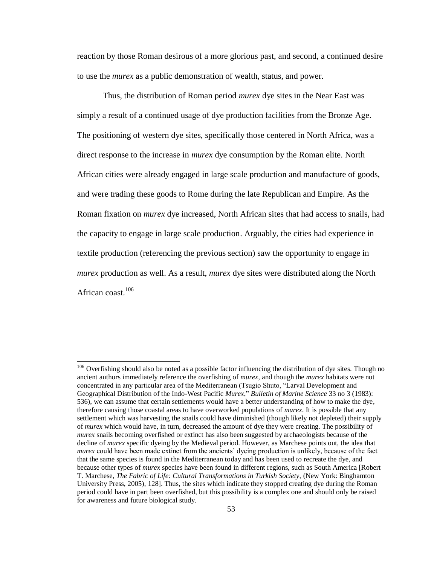reaction by those Roman desirous of a more glorious past, and second, a continued desire to use the *murex* as a public demonstration of wealth, status, and power.

Thus, the distribution of Roman period *murex* dye sites in the Near East was simply a result of a continued usage of dye production facilities from the Bronze Age. The positioning of western dye sites, specifically those centered in North Africa, was a direct response to the increase in *murex* dye consumption by the Roman elite. North African cities were already engaged in large scale production and manufacture of goods, and were trading these goods to Rome during the late Republican and Empire. As the Roman fixation on *murex* dye increased, North African sites that had access to snails, had the capacity to engage in large scale production. Arguably, the cities had experience in textile production (referencing the previous section) saw the opportunity to engage in *murex* production as well. As a result, *murex* dye sites were distributed along the North African coast.<sup>106</sup>

<sup>&</sup>lt;sup>106</sup> Overfishing should also be noted as a possible factor influencing the distribution of dye sites. Though no ancient authors immediately reference the overfishing of *murex,* and though the *murex* habitats were not concentrated in any particular area of the Mediterranean (Tsugio Shuto, "Larval Development and Geographical Distribution of the Indo-West Pacific *Murex*," *Bulletin of Marine Science* 33 no 3 (1983): 536), we can assume that certain settlements would have a better understanding of how to make the dye, therefore causing those coastal areas to have overworked populations of *murex*. It is possible that any settlement which was harvesting the snails could have diminished (though likely not depleted) their supply of *murex* which would have, in turn, decreased the amount of dye they were creating. The possibility of *murex* snails becoming overfished or extinct has also been suggested by archaeologists because of the decline of *murex* specific dyeing by the Medieval period. However, as Marchese points out, the idea that *murex* could have been made extinct from the ancients' dyeing production is unlikely, because of the fact that the same species is found in the Mediterranean today and has been used to recreate the dye, and because other types of *murex* species have been found in different regions, such as South America [Robert T. Marchese, *The Fabric of Life: Cultural Transformations in Turkish Society,* (New York: Binghamton University Press, 2005), 128]. Thus, the sites which indicate they stopped creating dye during the Roman period could have in part been overfished, but this possibility is a complex one and should only be raised for awareness and future biological study.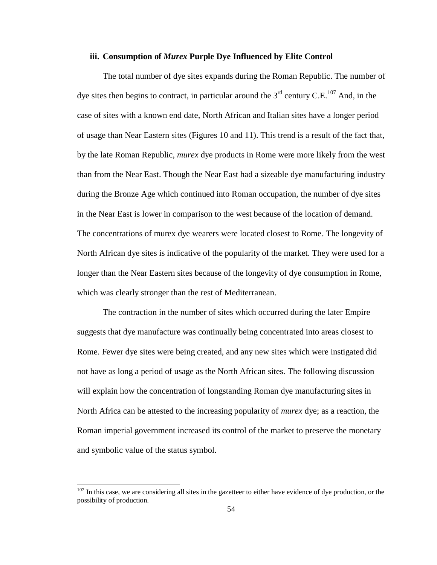## **iii. Consumption of** *Murex* **Purple Dye Influenced by Elite Control**

The total number of dye sites expands during the Roman Republic. The number of dye sites then begins to contract, in particular around the  $3<sup>rd</sup>$  century C.E.<sup>107</sup> And, in the case of sites with a known end date, North African and Italian sites have a longer period of usage than Near Eastern sites (Figures 10 and 11). This trend is a result of the fact that, by the late Roman Republic, *murex* dye products in Rome were more likely from the west than from the Near East. Though the Near East had a sizeable dye manufacturing industry during the Bronze Age which continued into Roman occupation, the number of dye sites in the Near East is lower in comparison to the west because of the location of demand. The concentrations of murex dye wearers were located closest to Rome. The longevity of North African dye sites is indicative of the popularity of the market. They were used for a longer than the Near Eastern sites because of the longevity of dye consumption in Rome, which was clearly stronger than the rest of Mediterranean.

The contraction in the number of sites which occurred during the later Empire suggests that dye manufacture was continually being concentrated into areas closest to Rome. Fewer dye sites were being created, and any new sites which were instigated did not have as long a period of usage as the North African sites. The following discussion will explain how the concentration of longstanding Roman dye manufacturing sites in North Africa can be attested to the increasing popularity of *murex* dye; as a reaction, the Roman imperial government increased its control of the market to preserve the monetary and symbolic value of the status symbol.

 $107$  In this case, we are considering all sites in the gazetteer to either have evidence of dye production, or the possibility of production.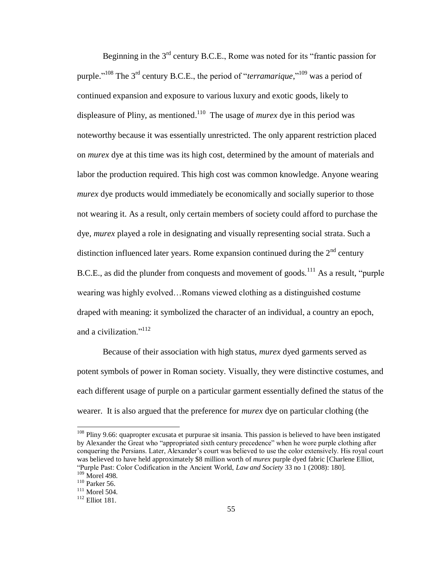Beginning in the  $3<sup>rd</sup>$  century B.C.E., Rome was noted for its "frantic passion for purple."<sup>108</sup> The 3<sup>rd</sup> century B.C.E., the period of "*terramarique*,"<sup>109</sup> was a period of continued expansion and exposure to various luxury and exotic goods, likely to displeasure of Pliny, as mentioned.<sup>110</sup> The usage of *murex* dye in this period was noteworthy because it was essentially unrestricted. The only apparent restriction placed on *murex* dye at this time was its high cost, determined by the amount of materials and labor the production required. This high cost was common knowledge. Anyone wearing *murex* dye products would immediately be economically and socially superior to those not wearing it. As a result, only certain members of society could afford to purchase the dye, *murex* played a role in designating and visually representing social strata. Such a distinction influenced later years. Rome expansion continued during the  $2<sup>nd</sup>$  century B.C.E., as did the plunder from conquests and movement of goods.<sup>111</sup> As a result, "purple" wearing was highly evolved…Romans viewed clothing as a distinguished costume draped with meaning: it symbolized the character of an individual, a country an epoch, and a civilization."<sup>112</sup>

Because of their association with high status, *murex* dyed garments served as potent symbols of power in Roman society. Visually, they were distinctive costumes, and each different usage of purple on a particular garment essentially defined the status of the wearer. It is also argued that the preference for *murex* dye on particular clothing (the

<sup>108</sup> Pliny 9.66: quapropter excusata et purpurae sit insania. This passion is believed to have been instigated by Alexander the Great who "appropriated sixth century precedence" when he wore purple clothing after conquering the Persians. Later, Alexander's court was believed to use the color extensively. His royal court was believed to have held approximately \$8 million worth of *murex* purple dyed fabric [Charlene Elliot, ―Purple Past: Color Codification in the Ancient World, *Law and Society* 33 no 1 (2008): 180].

 $109$  Morel 498.

<sup>110</sup> Parker 56.

<sup>111</sup> Morel 504.

<sup>112</sup> Elliot 181.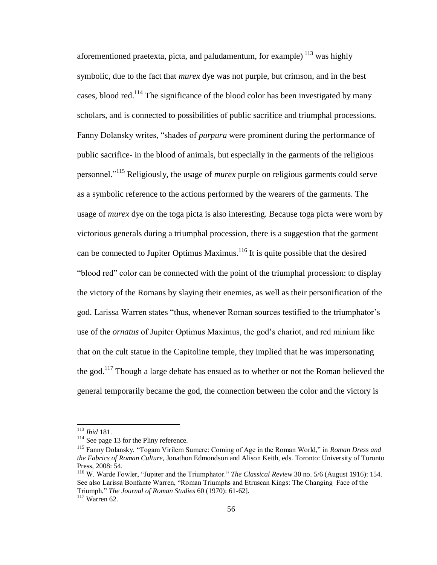aforementioned praetexta, picta, and paludamentum, for example)  $^{113}$  was highly symbolic, due to the fact that *murex* dye was not purple, but crimson, and in the best cases, blood red.<sup>114</sup> The significance of the blood color has been investigated by many scholars, and is connected to possibilities of public sacrifice and triumphal processions. Fanny Dolansky writes, "shades of *purpura* were prominent during the performance of public sacrifice- in the blood of animals, but especially in the garments of the religious personnel.‖<sup>115</sup> Religiously, the usage of *murex* purple on religious garments could serve as a symbolic reference to the actions performed by the wearers of the garments. The usage of *murex* dye on the toga picta is also interesting. Because toga picta were worn by victorious generals during a triumphal procession, there is a suggestion that the garment can be connected to Jupiter Optimus Maximus. $116$  It is quite possible that the desired "blood red" color can be connected with the point of the triumphal procession: to display the victory of the Romans by slaying their enemies, as well as their personification of the god. Larissa Warren states "thus, whenever Roman sources testified to the triumphator's use of the *ornatus* of Jupiter Optimus Maximus, the god's chariot, and red minium like that on the cult statue in the Capitoline temple, they implied that he was impersonating the god.<sup>117</sup> Though a large debate has ensued as to whether or not the Roman believed the general temporarily became the god, the connection between the color and the victory is

<sup>113</sup> *Ibid* 181.

<sup>&</sup>lt;sup>114</sup> See page 13 for the Pliny reference.

<sup>&</sup>lt;sup>115</sup> Fanny Dolansky, "Togam Virilem Sumere: Coming of Age in the Roman World," in *Roman Dress and the Fabrics of Roman Culture,* Jonathon Edmondson and Alison Keith, eds. Toronto: University of Toronto Press, 2008: 54.

<sup>&</sup>lt;sup>116</sup> W. Warde Fowler, "Jupiter and the Triumphator." *The Classical Review* 30 no. 5/6 (August 1916): 154. See also Larissa Bonfante Warren, "Roman Triumphs and Etruscan Kings: The Changing Face of the Triumph," *The Journal of Roman Studies* 60 (1970): 61-62].

<sup>117</sup> Warren 62.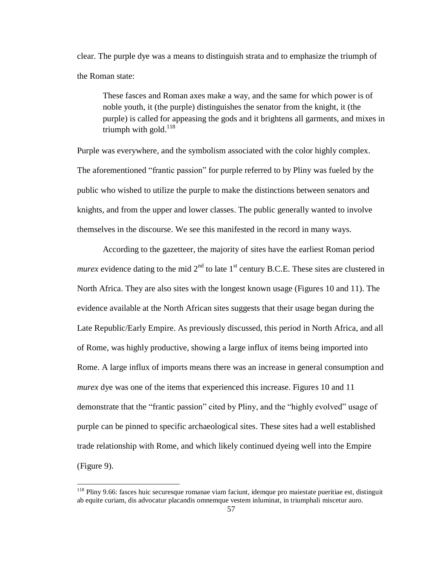clear. The purple dye was a means to distinguish strata and to emphasize the triumph of the Roman state:

These fasces and Roman axes make a way, and the same for which power is of noble youth, it (the purple) distinguishes the senator from the knight, it (the purple) is called for appeasing the gods and it brightens all garments, and mixes in triumph with gold. $118$ 

Purple was everywhere, and the symbolism associated with the color highly complex. The aforementioned "frantic passion" for purple referred to by Pliny was fueled by the public who wished to utilize the purple to make the distinctions between senators and knights, and from the upper and lower classes. The public generally wanted to involve themselves in the discourse. We see this manifested in the record in many ways.

According to the gazetteer, the majority of sites have the earliest Roman period *murex* evidence dating to the mid  $2<sup>nd</sup>$  to late 1<sup>st</sup> century B.C.E. These sites are clustered in North Africa. They are also sites with the longest known usage (Figures 10 and 11). The evidence available at the North African sites suggests that their usage began during the Late Republic/Early Empire. As previously discussed, this period in North Africa, and all of Rome, was highly productive, showing a large influx of items being imported into Rome. A large influx of imports means there was an increase in general consumption and *murex* dye was one of the items that experienced this increase. Figures 10 and 11 demonstrate that the "frantic passion" cited by Pliny, and the "highly evolved" usage of purple can be pinned to specific archaeological sites. These sites had a well established trade relationship with Rome, and which likely continued dyeing well into the Empire (Figure 9).

<sup>&</sup>lt;sup>118</sup> Pliny 9.66[: fasces](http://www.perseus.tufts.edu/hopper/morph?l=fasces&la=la&prior=europae) [hu](http://www.perseus.tufts.edu/hopper/morph?l=h&la=la&prior=fasces)[ic](http://www.perseus.tufts.edu/hopper/morph?l=ic&la=la&prior=u) [securesque](http://www.perseus.tufts.edu/hopper/morph?l=securesque&la=la&prior=ic) [romanae](http://www.perseus.tufts.edu/hopper/morph?l=romanae&la=la&prior=securesque) [viam](http://www.perseus.tufts.edu/hopper/morph?l=viam&la=la&prior=romanae) [faciunt,](http://www.perseus.tufts.edu/hopper/morph?l=faciunt&la=la&prior=viam) [idemque](http://www.perseus.tufts.edu/hopper/morph?l=idemque&la=la&prior=faciunt) [pro](http://www.perseus.tufts.edu/hopper/morph?l=pro&la=la&prior=idemque) [maiestate](http://www.perseus.tufts.edu/hopper/morph?l=maiestate&la=la&prior=pro) [pueritiae](http://www.perseus.tufts.edu/hopper/morph?l=pueritiae&la=la&prior=maiestate) [est,](http://www.perseus.tufts.edu/hopper/morph?l=est&la=la&prior=pueritiae) [distinguit](http://www.perseus.tufts.edu/hopper/morph?l=distinguit&la=la&prior=est) [ab](http://www.perseus.tufts.edu/hopper/morph?l=ab&la=la&prior=distinguit) [equite](http://www.perseus.tufts.edu/hopper/morph?l=equite&la=la&prior=ab) [curiam,](http://www.perseus.tufts.edu/hopper/morph?l=curiam&la=la&prior=equite) [dis](http://www.perseus.tufts.edu/hopper/morph?l=dis&la=la&prior=curiam) [advocatur](http://www.perseus.tufts.edu/hopper/morph?l=advocatur&la=la&prior=dis) [placandis](http://www.perseus.tufts.edu/hopper/morph?l=placandis&la=la&prior=advocatur) [omnemque](http://www.perseus.tufts.edu/hopper/morph?l=omnemque&la=la&prior=placandis) [vestem](http://www.perseus.tufts.edu/hopper/morph?l=vestem&la=la&prior=omnemque) [inluminat,](http://www.perseus.tufts.edu/hopper/morph?l=inluminat&la=la&prior=vestem) [in](http://www.perseus.tufts.edu/hopper/morph?l=in&la=la&prior=inluminat) [triumphali](http://www.perseus.tufts.edu/hopper/morph?l=triumphali&la=la&prior=in) [miscetur](http://www.perseus.tufts.edu/hopper/morph?l=miscetur&la=la&prior=triumphali) [auro.](http://www.perseus.tufts.edu/hopper/morph?l=auro&la=la&prior=miscetur)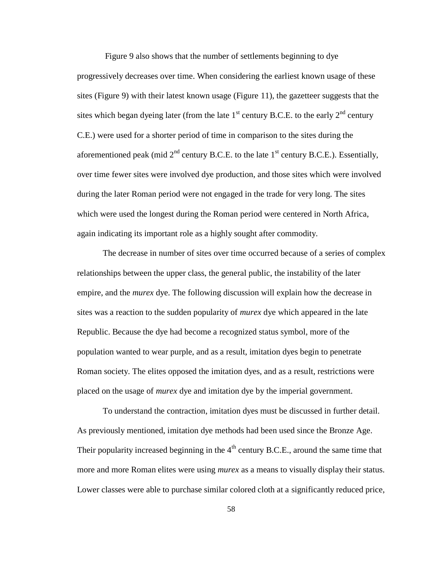Figure 9 also shows that the number of settlements beginning to dye progressively decreases over time. When considering the earliest known usage of these sites (Figure 9) with their latest known usage (Figure 11), the gazetteer suggests that the sites which began dyeing later (from the late  $1<sup>st</sup>$  century B.C.E. to the early  $2<sup>nd</sup>$  century C.E.) were used for a shorter period of time in comparison to the sites during the aforementioned peak (mid  $2<sup>nd</sup>$  century B.C.E. to the late  $1<sup>st</sup>$  century B.C.E.). Essentially, over time fewer sites were involved dye production, and those sites which were involved during the later Roman period were not engaged in the trade for very long. The sites which were used the longest during the Roman period were centered in North Africa, again indicating its important role as a highly sought after commodity.

The decrease in number of sites over time occurred because of a series of complex relationships between the upper class, the general public, the instability of the later empire, and the *murex* dye. The following discussion will explain how the decrease in sites was a reaction to the sudden popularity of *murex* dye which appeared in the late Republic. Because the dye had become a recognized status symbol, more of the population wanted to wear purple, and as a result, imitation dyes begin to penetrate Roman society. The elites opposed the imitation dyes, and as a result, restrictions were placed on the usage of *murex* dye and imitation dye by the imperial government.

To understand the contraction, imitation dyes must be discussed in further detail. As previously mentioned, imitation dye methods had been used since the Bronze Age. Their popularity increased beginning in the  $4<sup>th</sup>$  century B.C.E., around the same time that more and more Roman elites were using *murex* as a means to visually display their status. Lower classes were able to purchase similar colored cloth at a significantly reduced price,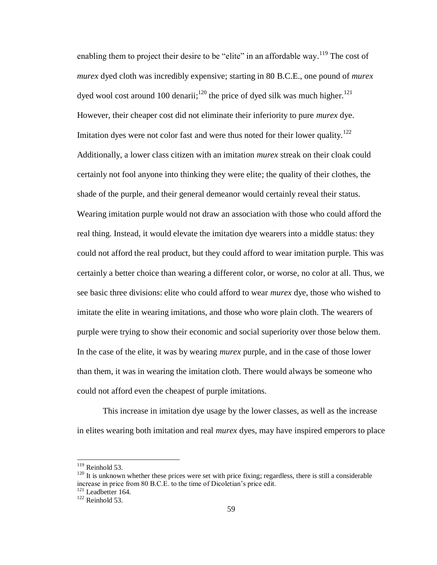enabling them to project their desire to be "elite" in an affordable way.<sup>119</sup> The cost of *murex* dyed cloth was incredibly expensive; starting in 80 B.C.E., one pound of *murex*  dyed wool cost around 100 denarii;<sup>120</sup> the price of dyed silk was much higher.<sup>121</sup> However, their cheaper cost did not eliminate their inferiority to pure *murex* dye. Imitation dyes were not color fast and were thus noted for their lower quality.<sup>122</sup> Additionally, a lower class citizen with an imitation *murex* streak on their cloak could certainly not fool anyone into thinking they were elite; the quality of their clothes, the shade of the purple, and their general demeanor would certainly reveal their status. Wearing imitation purple would not draw an association with those who could afford the real thing. Instead, it would elevate the imitation dye wearers into a middle status: they could not afford the real product, but they could afford to wear imitation purple. This was certainly a better choice than wearing a different color, or worse, no color at all. Thus, we see basic three divisions: elite who could afford to wear *murex* dye, those who wished to imitate the elite in wearing imitations, and those who wore plain cloth. The wearers of purple were trying to show their economic and social superiority over those below them. In the case of the elite, it was by wearing *murex* purple, and in the case of those lower than them, it was in wearing the imitation cloth. There would always be someone who could not afford even the cheapest of purple imitations.

This increase in imitation dye usage by the lower classes, as well as the increase in elites wearing both imitation and real *murex* dyes, may have inspired emperors to place

 $119$  Reinhold 53.

 $120$  It is unknown whether these prices were set with price fixing; regardless, there is still a considerable increase in price from 80 B.C.E. to the time of Dicoletian's price edit.  $121$  Leadbetter 164.

 $122$  Reinhold 53.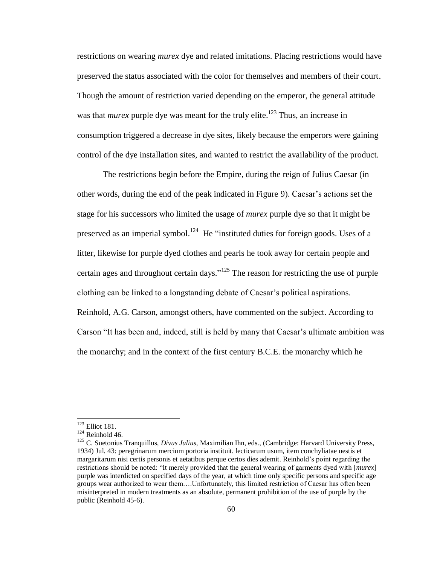restrictions on wearing *murex* dye and related imitations. Placing restrictions would have preserved the status associated with the color for themselves and members of their court. Though the amount of restriction varied depending on the emperor, the general attitude was that *murex* purple dye was meant for the truly elite.<sup>123</sup> Thus, an increase in consumption triggered a decrease in dye sites, likely because the emperors were gaining control of the dye installation sites, and wanted to restrict the availability of the product.

The restrictions begin before the Empire, during the reign of Julius Caesar (in other words, during the end of the peak indicated in Figure 9). Caesar's actions set the stage for his successors who limited the usage of *murex* purple dye so that it might be preserved as an imperial symbol.<sup>124</sup> He "instituted duties for foreign goods. Uses of a litter, likewise for purple dyed clothes and pearls he took away for certain people and certain ages and throughout certain days."<sup>125</sup> The reason for restricting the use of purple clothing can be linked to a longstanding debate of Caesar's political aspirations. Reinhold, A.G. Carson, amongst others, have commented on the subject. According to Carson "It has been and, indeed, still is held by many that Caesar's ultimate ambition was the monarchy; and in the context of the first century B.C.E. the monarchy which he

<sup>&</sup>lt;sup>123</sup> Elliot 181.

 $124$  Reinhold 46.

<sup>125</sup> C. Suetonius Tranquillus, *Divus Julius,* Maximilian Ihn, eds., (Cambridge: Harvard University Press, 1934) Jul. 43: [peregrinarum](http://www.perseus.tufts.edu/hopper/morph?l=peregrinarum&la=la&prior=suspicione) [mercium](http://www.perseus.tufts.edu/hopper/morph?l=mercium&la=la&prior=peregrinarum) [portoria](http://www.perseus.tufts.edu/hopper/morph?l=portoria&la=la&prior=mercium) [instituit.](http://www.perseus.tufts.edu/hopper/morph?l=instituit&la=la&prior=portoria) [lecticarum](http://www.perseus.tufts.edu/hopper/morph?l=lecticarum&la=la&prior=instituit) [usum,](http://www.perseus.tufts.edu/hopper/morph?l=usum&la=la&prior=lecticarum) [item](http://www.perseus.tufts.edu/hopper/morph?l=item&la=la&prior=usum) [conchyliatae](http://www.perseus.tufts.edu/hopper/morph?l=conchyliatae&la=la&prior=item) [uestis](http://www.perseus.tufts.edu/hopper/morph?l=uestis&la=la&prior=conchyliatae) [et](http://www.perseus.tufts.edu/hopper/morph?l=et&la=la&prior=uestis) [margaritarum](http://www.perseus.tufts.edu/hopper/morph?l=margaritarum&la=la&prior=et) [nisi](http://www.perseus.tufts.edu/hopper/morph?l=nisi&la=la&prior=margaritarum) [certis](http://www.perseus.tufts.edu/hopper/morph?l=certis&la=la&prior=nisi) [personis](http://www.perseus.tufts.edu/hopper/morph?l=personis&la=la&prior=certis) [et](http://www.perseus.tufts.edu/hopper/morph?l=et&la=la&prior=personis) [aetatibus](http://www.perseus.tufts.edu/hopper/morph?l=aetatibus&la=la&prior=et) [perque](http://www.perseus.tufts.edu/hopper/morph?l=perque&la=la&prior=aetatibus) [certos](http://www.perseus.tufts.edu/hopper/morph?l=certos&la=la&prior=perque) [dies](http://www.perseus.tufts.edu/hopper/morph?l=dies&la=la&prior=certos) [ademit.](http://www.perseus.tufts.edu/hopper/morph?l=ademit&la=la&prior=dies) Reinhold's point regarding the restrictions should be noted: "It merely provided that the general wearing of garments dyed with [*murex*] purple was interdicted on specified days of the year, at which time only specific persons and specific age groups wear authorized to wear them….Unfortunately, this limited restriction of Caesar has often been misinterpreted in modern treatments as an absolute, permanent prohibition of the use of purple by the public (Reinhold 45-6).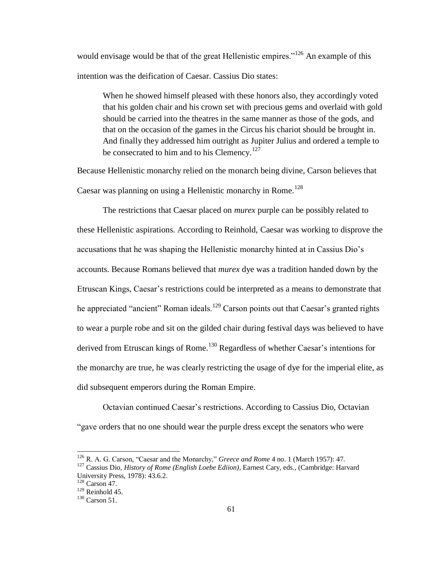would envisage would be that of the great Hellenistic empires.<sup> $126$ </sup> An example of this intention was the deification of Caesar. Cassius Dio states:

When he showed himself pleased with these honors also, they accordingly voted that his golden chair and his crown set with precious gems and overlaid with gold should be carried into the theatres in the same manner as those of the gods, and that on the occasion of the games in the Circus his chariot should be brought in. And finally they addressed him outright as Jupiter Julius and ordered a temple to be consecrated to him and to his Clemency.<sup>127</sup>

Because Hellenistic monarchy relied on the monarch being divine, Carson believes that Caesar was planning on using a Hellenistic monarchy in Rome.<sup>128</sup>

The restrictions that Caesar placed on *murex* purple can be possibly related to these Hellenistic aspirations. According to Reinhold, Caesar was working to disprove the accusations that he was shaping the Hellenistic monarchy hinted at in Cassius Dio's accounts. Because Romans believed that *murex* dye was a tradition handed down by the Etruscan Kings, Caesar's restrictions could be interpreted as a means to demonstrate that he appreciated "ancient" Roman ideals.<sup>129</sup> Carson points out that Caesar's granted rights to wear a purple robe and sit on the gilded chair during festival days was believed to have derived from Etruscan kings of Rome.<sup>130</sup> Regardless of whether Caesar's intentions for the monarchy are true, he was clearly restricting the usage of dye for the imperial elite, as did subsequent emperors during the Roman Empire.

Octavian continued Caesar's restrictions. According to Cassius Dio, Octavian "gave orders that no one should wear the purple dress except the senators who were

<sup>&</sup>lt;sup>126</sup> R. A. G. Carson, "Caesar and the Monarchy," *Greece and Rome* 4 no. 1 (March 1957): 47.

<sup>127</sup> Cassius Dio, *History of Rome (English Loebe Ediion)*, Earnest Cary, eds., (Cambridge: Harvard University Press, 1978): 43.6.2.

<sup>128</sup> Carson 47.

 $129$  Reinhold 45.

<sup>130</sup> Carson 51.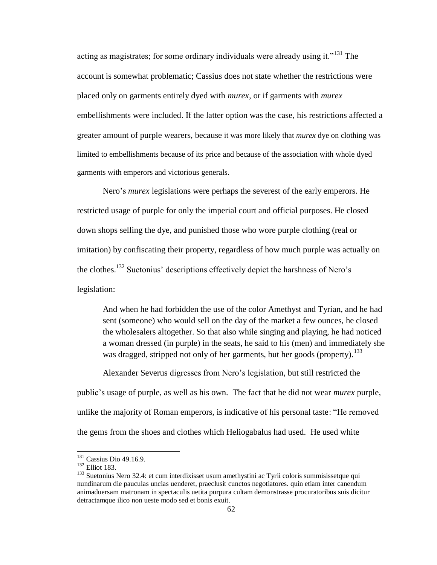acting as magistrates; for some ordinary individuals were already using it.<sup> $131$ </sup> The account is somewhat problematic; Cassius does not state whether the restrictions were placed only on garments entirely dyed with *murex,* or if garments with *murex*  embellishments were included. If the latter option was the case, his restrictions affected a greater amount of purple wearers, because it was more likely that *murex* dye on clothing was limited to embellishments because of its price and because of the association with whole dyed garments with emperors and victorious generals.

Nero's *murex* legislations were perhaps the severest of the early emperors. He restricted usage of purple for only the imperial court and official purposes. He closed down shops selling the dye, and punished those who wore purple clothing (real or imitation) by confiscating their property, regardless of how much purple was actually on the clothes.<sup>132</sup> Suetonius' descriptions effectively depict the harshness of Nero's legislation:

And when he had forbidden the use of the color Amethyst and Tyrian, and he had sent (someone) who would sell on the day of the market a few ounces, he closed the wholesalers altogether. So that also while singing and playing, he had noticed a woman dressed (in purple) in the seats, he said to his (men) and immediately she was dragged, stripped not only of her garments, but her goods (property).<sup>133</sup>

Alexander Severus digresses from Nero's legislation, but still restricted the

public's usage of purple, as well as his own. The fact that he did not wear *murex* purple, unlike the majority of Roman emperors, is indicative of his personal taste: "He removed the gems from the shoes and clothes which Heliogabalus had used. He used white

<sup>&</sup>lt;sup>131</sup> Cassius Dio 49.16.9.

<sup>132</sup> Elliot 183.

<sup>&</sup>lt;sup>133</sup> Suetonius Nero 32.4[: et](http://www.perseus.tufts.edu/hopper/morph?l=et&la=la&prior=detulissent) [cum](http://www.perseus.tufts.edu/hopper/morph?l=cum&la=la&prior=et) [interdixisset](http://www.perseus.tufts.edu/hopper/morph?l=interdixisset&la=la&prior=cum) [usum](http://www.perseus.tufts.edu/hopper/morph?l=usum&la=la&prior=interdixisset) [amethystini](http://www.perseus.tufts.edu/hopper/morph?l=amethystini&la=la&prior=usum) [ac](http://www.perseus.tufts.edu/hopper/morph?l=ac&la=la&prior=amethystini) [Tyrii](http://www.perseus.tufts.edu/hopper/morph?l=Tyrii&la=la&prior=ac) [coloris](http://www.perseus.tufts.edu/hopper/morph?l=coloris&la=la&prior=Tyrii) [summisissetque](http://www.perseus.tufts.edu/hopper/morph?l=summisissetque&la=la&prior=coloris) [qui](http://www.perseus.tufts.edu/hopper/morph?l=qui&la=la&prior=summisissetque) [nundinarum](http://www.perseus.tufts.edu/hopper/morph?l=nundinarum&la=la&prior=qui) [die](http://www.perseus.tufts.edu/hopper/morph?l=die&la=la&prior=nundinarum) [pauculas](http://www.perseus.tufts.edu/hopper/morph?l=pauculas&la=la&prior=die) [uncias](http://www.perseus.tufts.edu/hopper/morph?l=uncias&la=la&prior=pauculas) [uenderet,](http://www.perseus.tufts.edu/hopper/morph?l=uenderet&la=la&prior=uncias) [praeclusit](http://www.perseus.tufts.edu/hopper/morph?l=praeclusit&la=la&prior=uenderet) [cunctos](http://www.perseus.tufts.edu/hopper/morph?l=cunctos&la=la&prior=praeclusit) [negotiatores.](http://www.perseus.tufts.edu/hopper/morph?l=negotiatores&la=la&prior=cunctos) [quin](http://www.perseus.tufts.edu/hopper/morph?l=quin&la=la&prior=negotiatores) [etiam](http://www.perseus.tufts.edu/hopper/morph?l=etiam&la=la&prior=quin) [inter](http://www.perseus.tufts.edu/hopper/morph?l=inter&la=la&prior=etiam) [canendum](http://www.perseus.tufts.edu/hopper/morph?l=canendum&la=la&prior=inter) [animaduersam](http://www.perseus.tufts.edu/hopper/morph?l=animaduersam&la=la&prior=canendum) [matronam](http://www.perseus.tufts.edu/hopper/morph?l=matronam&la=la&prior=animaduersam) [in](http://www.perseus.tufts.edu/hopper/morph?l=in&la=la&prior=matronam) [spectaculis](http://www.perseus.tufts.edu/hopper/morph?l=spectaculis&la=la&prior=in) [uetita](http://www.perseus.tufts.edu/hopper/morph?l=uetita&la=la&prior=spectaculis) [purpura](http://www.perseus.tufts.edu/hopper/morph?l=purpura&la=la&prior=uetita) [cultam](http://www.perseus.tufts.edu/hopper/morph?l=cultam&la=la&prior=purpura) [demonstrasse](http://www.perseus.tufts.edu/hopper/morph?l=demonstrasse&la=la&prior=cultam) [procuratoribus](http://www.perseus.tufts.edu/hopper/morph?l=procuratoribus&la=la&prior=demonstrasse) [suis](http://www.perseus.tufts.edu/hopper/morph?l=suis&la=la&prior=procuratoribus) [dicitur](http://www.perseus.tufts.edu/hopper/morph?l=dicitur&la=la&prior=suis) [detractamque](http://www.perseus.tufts.edu/hopper/morph?l=detractamque&la=la&prior=dicitur) [ilico](http://www.perseus.tufts.edu/hopper/morph?l=ilico&la=la&prior=detractamque) [non](http://www.perseus.tufts.edu/hopper/morph?l=non&la=la&prior=ilico) [ueste](http://www.perseus.tufts.edu/hopper/morph?l=ueste&la=la&prior=non) [modo](http://www.perseus.tufts.edu/hopper/morph?l=modo&la=la&prior=ueste) [sed](http://www.perseus.tufts.edu/hopper/morph?l=sed&la=la&prior=modo) [et](http://www.perseus.tufts.edu/hopper/morph?l=et&la=la&prior=sed) [bonis](http://www.perseus.tufts.edu/hopper/morph?l=bonis&la=la&prior=et) [exuit.](http://www.perseus.tufts.edu/hopper/morph?l=exuit&la=la&prior=bonis)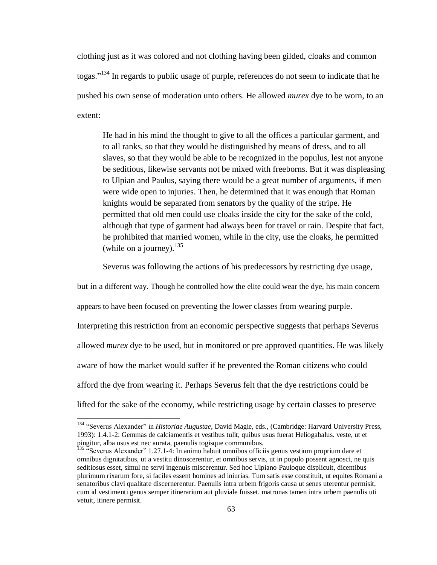clothing just as it was colored and not clothing having been gilded, cloaks and common togas."<sup>134</sup> In regards to public usage of purple, references do not seem to indicate that he pushed his own sense of moderation unto others. He allowed *murex* dye to be worn, to an extent:

He had in his mind the thought to give to all the offices a particular garment, and to all ranks, so that they would be distinguished by means of dress, and to all slaves, so that they would be able to be recognized in the populus, lest not anyone be seditious, likewise servants not be mixed with freeborns. But it was displeasing to Ulpian and Paulus, saying there would be a great number of arguments, if men were wide open to injuries. Then, he determined that it was enough that Roman knights would be separated from senators by the quality of the stripe. He permitted that old men could use cloaks inside the city for the sake of the cold, although that type of garment had always been for travel or rain. Despite that fact, he prohibited that married women, while in the city, use the cloaks, he permitted (while on a journey).  $^{135}$ 

Severus was following the actions of his predecessors by restricting dye usage,

but in a different way. Though he controlled how the elite could wear the dye, his main concern appears to have been focused on preventing the lower classes from wearing purple. Interpreting this restriction from an economic perspective suggests that perhaps Severus allowed *murex* dye to be used, but in monitored or pre approved quantities. He was likely aware of how the market would suffer if he prevented the Roman citizens who could afford the dye from wearing it. Perhaps Severus felt that the dye restrictions could be lifted for the sake of the economy, while restricting usage by certain classes to preserve

<sup>&</sup>lt;sup>134</sup> "Severus Alexander" in *Historiae Augustae*, David Magie, eds., (Cambridge: Harvard University Press, 1993): 1.4.1-2: Gemmas de calciamentis et vestibus tulit, quibus usus fuerat Heliogabalus. veste, ut et pingitur, alba usus est nec aurata, paenulis togisque communibus.

 $135$  "Severus Alexander" 1.27.1-4: In animo habuit omnibus officiis genus vestium proprium dare et omnibus dignitatibus, ut a vestitu dinoscerentur, et omnibus servis, ut in populo possent agnosci, ne quis seditiosus esset, simul ne servi ingenuis miscerentur. Sed hoc Ulpiano Pauloque displicuit, dicentibus plurimum rixarum fore, si faciles essent homines ad iniurias. Tum satis esse constituit, ut equites Romani a senatoribus clavi qualitate discernerentur. Paenulis intra urbem frigoris causa ut senes uterentur permisit, cum id vestimenti genus semper itinerarium aut pluviale fuisset. matronas tamen intra urbem paenulis uti vetuit, itinere permisit.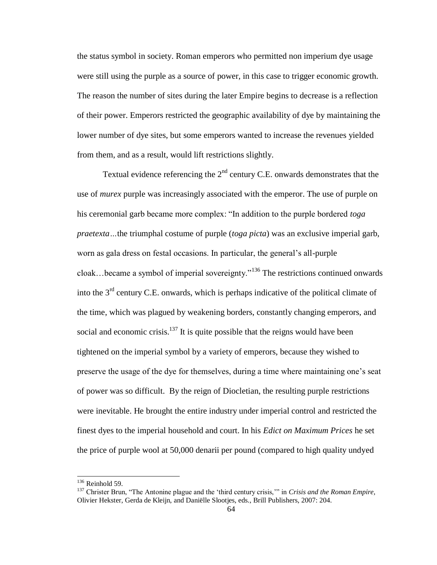the status symbol in society. Roman emperors who permitted non imperium dye usage were still using the purple as a source of power, in this case to trigger economic growth. The reason the number of sites during the later Empire begins to decrease is a reflection of their power. Emperors restricted the geographic availability of dye by maintaining the lower number of dye sites, but some emperors wanted to increase the revenues yielded from them, and as a result, would lift restrictions slightly.

Textual evidence referencing the  $2<sup>nd</sup>$  century C.E. onwards demonstrates that the use of *murex* purple was increasingly associated with the emperor. The use of purple on his ceremonial garb became more complex: "In addition to the purple bordered *toga praetexta…*the triumphal costume of purple (*toga picta*) was an exclusive imperial garb, worn as gala dress on festal occasions. In particular, the general's all-purple cloak...became a symbol of imperial sovereignty.<sup> $136$ </sup> The restrictions continued onwards into the  $3<sup>rd</sup>$  century C.E. onwards, which is perhaps indicative of the political climate of the time, which was plagued by weakening borders, constantly changing emperors, and social and economic crisis. $137$  It is quite possible that the reigns would have been tightened on the imperial symbol by a variety of emperors, because they wished to preserve the usage of the dye for themselves, during a time where maintaining one's seat of power was so difficult. By the reign of Diocletian, the resulting purple restrictions were inevitable. He brought the entire industry under imperial control and restricted the finest dyes to the imperial household and court. In his *Edict on Maximum Prices* he set the price of purple wool at 50,000 denarii per pound (compared to high quality undyed

 $136$  Reinhold 59.

<sup>&</sup>lt;sup>137</sup> Christer Brun, "The Antonine plague and the 'third century crisis," in *Crisis and the Roman Empire*, Olivier Hekster, Gerda de Kleijn, and Daniëlle Slootjes, eds., Brill Publishers, 2007: 204.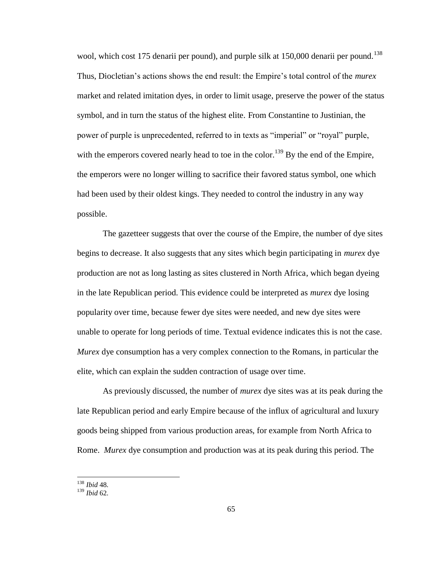wool, which cost 175 denarii per pound), and purple silk at  $150,000$  denarii per pound.<sup>138</sup> Thus, Diocletian's actions shows the end result: the Empire's total control of the *murex*  market and related imitation dyes, in order to limit usage, preserve the power of the status symbol, and in turn the status of the highest elite. From Constantine to Justinian, the power of purple is unprecedented, referred to in texts as "imperial" or "royal" purple, with the emperors covered nearly head to toe in the color.<sup>139</sup> By the end of the Empire, the emperors were no longer willing to sacrifice their favored status symbol, one which had been used by their oldest kings. They needed to control the industry in any way possible.

The gazetteer suggests that over the course of the Empire, the number of dye sites begins to decrease. It also suggests that any sites which begin participating in *murex* dye production are not as long lasting as sites clustered in North Africa, which began dyeing in the late Republican period. This evidence could be interpreted as *murex* dye losing popularity over time, because fewer dye sites were needed, and new dye sites were unable to operate for long periods of time. Textual evidence indicates this is not the case. *Murex* dye consumption has a very complex connection to the Romans, in particular the elite, which can explain the sudden contraction of usage over time.

As previously discussed, the number of *murex* dye sites was at its peak during the late Republican period and early Empire because of the influx of agricultural and luxury goods being shipped from various production areas, for example from North Africa to Rome. *Murex* dye consumption and production was at its peak during this period. The

<sup>138</sup> *Ibid* 48.

<sup>139</sup> *Ibid* 62.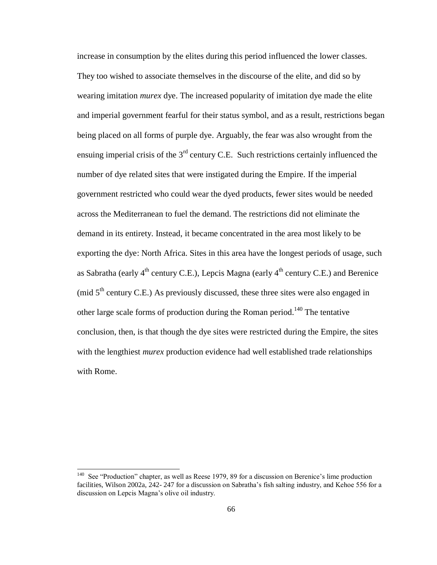increase in consumption by the elites during this period influenced the lower classes. They too wished to associate themselves in the discourse of the elite, and did so by wearing imitation *murex* dye. The increased popularity of imitation dye made the elite and imperial government fearful for their status symbol, and as a result, restrictions began being placed on all forms of purple dye. Arguably, the fear was also wrought from the ensuing imperial crisis of the  $3<sup>rd</sup>$  century C.E. Such restrictions certainly influenced the number of dye related sites that were instigated during the Empire. If the imperial government restricted who could wear the dyed products, fewer sites would be needed across the Mediterranean to fuel the demand. The restrictions did not eliminate the demand in its entirety. Instead, it became concentrated in the area most likely to be exporting the dye: North Africa. Sites in this area have the longest periods of usage, such as Sabratha (early  $4^{\text{th}}$  century C.E.), Lepcis Magna (early  $4^{\text{th}}$  century C.E.) and Berenice (mid  $5<sup>th</sup>$  century C.E.) As previously discussed, these three sites were also engaged in other large scale forms of production during the Roman period.<sup>140</sup> The tentative conclusion, then, is that though the dye sites were restricted during the Empire, the sites with the lengthiest *murex* production evidence had well established trade relationships with Rome.

<sup>&</sup>lt;sup>140</sup> See "Production" chapter, as well as Reese 1979, 89 for a discussion on Berenice's lime production facilities, Wilson 2002a, 242- 247 for a discussion on Sabratha's fish salting industry, and Kehoe 556 for a discussion on Lepcis Magna's olive oil industry.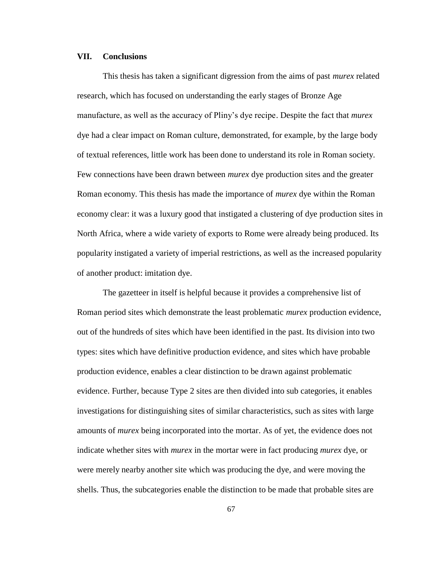## **VII. Conclusions**

This thesis has taken a significant digression from the aims of past *murex* related research, which has focused on understanding the early stages of Bronze Age manufacture, as well as the accuracy of Pliny's dye recipe. Despite the fact that *murex*  dye had a clear impact on Roman culture, demonstrated, for example, by the large body of textual references, little work has been done to understand its role in Roman society. Few connections have been drawn between *murex* dye production sites and the greater Roman economy. This thesis has made the importance of *murex* dye within the Roman economy clear: it was a luxury good that instigated a clustering of dye production sites in North Africa, where a wide variety of exports to Rome were already being produced. Its popularity instigated a variety of imperial restrictions, as well as the increased popularity of another product: imitation dye.

The gazetteer in itself is helpful because it provides a comprehensive list of Roman period sites which demonstrate the least problematic *murex* production evidence, out of the hundreds of sites which have been identified in the past. Its division into two types: sites which have definitive production evidence, and sites which have probable production evidence, enables a clear distinction to be drawn against problematic evidence. Further, because Type 2 sites are then divided into sub categories, it enables investigations for distinguishing sites of similar characteristics, such as sites with large amounts of *murex* being incorporated into the mortar. As of yet, the evidence does not indicate whether sites with *murex* in the mortar were in fact producing *murex* dye, or were merely nearby another site which was producing the dye, and were moving the shells. Thus, the subcategories enable the distinction to be made that probable sites are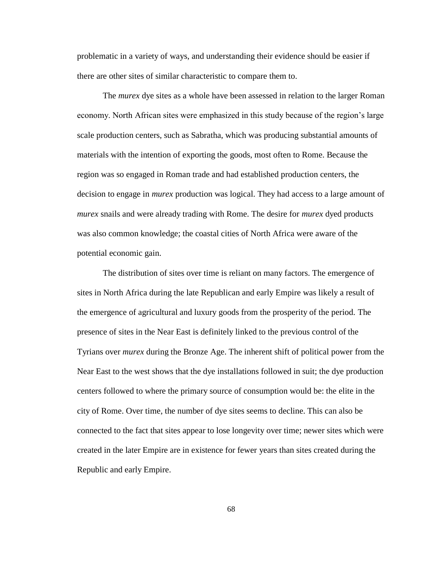problematic in a variety of ways, and understanding their evidence should be easier if there are other sites of similar characteristic to compare them to.

The *murex* dye sites as a whole have been assessed in relation to the larger Roman economy. North African sites were emphasized in this study because of the region's large scale production centers, such as Sabratha, which was producing substantial amounts of materials with the intention of exporting the goods, most often to Rome. Because the region was so engaged in Roman trade and had established production centers, the decision to engage in *murex* production was logical. They had access to a large amount of *murex* snails and were already trading with Rome. The desire for *murex* dyed products was also common knowledge; the coastal cities of North Africa were aware of the potential economic gain.

The distribution of sites over time is reliant on many factors. The emergence of sites in North Africa during the late Republican and early Empire was likely a result of the emergence of agricultural and luxury goods from the prosperity of the period. The presence of sites in the Near East is definitely linked to the previous control of the Tyrians over *murex* during the Bronze Age. The inherent shift of political power from the Near East to the west shows that the dye installations followed in suit; the dye production centers followed to where the primary source of consumption would be: the elite in the city of Rome. Over time, the number of dye sites seems to decline. This can also be connected to the fact that sites appear to lose longevity over time; newer sites which were created in the later Empire are in existence for fewer years than sites created during the Republic and early Empire.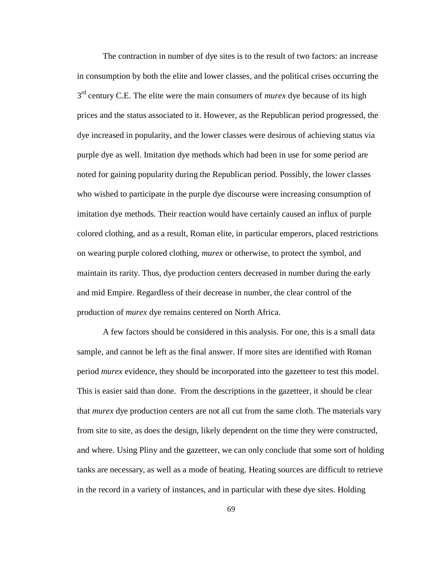The contraction in number of dye sites is to the result of two factors: an increase in consumption by both the elite and lower classes, and the political crises occurring the 3<sup>rd</sup> century C.E. The elite were the main consumers of *murex* dye because of its high prices and the status associated to it. However, as the Republican period progressed, the dye increased in popularity, and the lower classes were desirous of achieving status via purple dye as well. Imitation dye methods which had been in use for some period are noted for gaining popularity during the Republican period. Possibly, the lower classes who wished to participate in the purple dye discourse were increasing consumption of imitation dye methods. Their reaction would have certainly caused an influx of purple colored clothing, and as a result, Roman elite, in particular emperors, placed restrictions on wearing purple colored clothing, *murex* or otherwise, to protect the symbol, and maintain its rarity. Thus, dye production centers decreased in number during the early and mid Empire. Regardless of their decrease in number, the clear control of the production of *murex* dye remains centered on North Africa.

A few factors should be considered in this analysis. For one, this is a small data sample, and cannot be left as the final answer. If more sites are identified with Roman period *murex* evidence, they should be incorporated into the gazetteer to test this model. This is easier said than done. From the descriptions in the gazetteer, it should be clear that *murex* dye production centers are not all cut from the same cloth. The materials vary from site to site, as does the design, likely dependent on the time they were constructed, and where. Using Pliny and the gazetteer, we can only conclude that some sort of holding tanks are necessary, as well as a mode of heating. Heating sources are difficult to retrieve in the record in a variety of instances, and in particular with these dye sites. Holding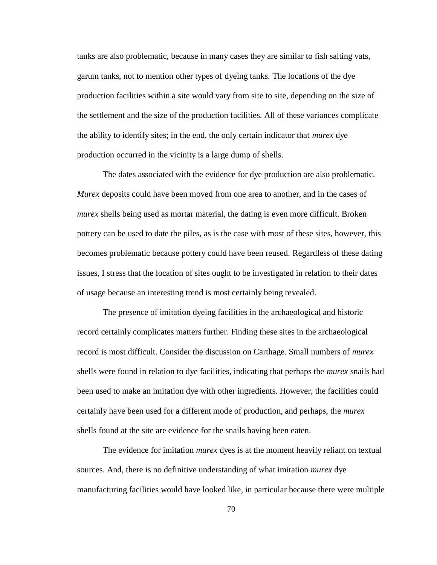tanks are also problematic, because in many cases they are similar to fish salting vats, garum tanks, not to mention other types of dyeing tanks. The locations of the dye production facilities within a site would vary from site to site, depending on the size of the settlement and the size of the production facilities. All of these variances complicate the ability to identify sites; in the end, the only certain indicator that *murex* dye production occurred in the vicinity is a large dump of shells.

The dates associated with the evidence for dye production are also problematic. *Murex* deposits could have been moved from one area to another, and in the cases of *murex* shells being used as mortar material, the dating is even more difficult. Broken pottery can be used to date the piles, as is the case with most of these sites, however, this becomes problematic because pottery could have been reused. Regardless of these dating issues, I stress that the location of sites ought to be investigated in relation to their dates of usage because an interesting trend is most certainly being revealed.

The presence of imitation dyeing facilities in the archaeological and historic record certainly complicates matters further. Finding these sites in the archaeological record is most difficult. Consider the discussion on Carthage. Small numbers of *murex*  shells were found in relation to dye facilities, indicating that perhaps the *murex* snails had been used to make an imitation dye with other ingredients. However, the facilities could certainly have been used for a different mode of production, and perhaps, the *murex*  shells found at the site are evidence for the snails having been eaten.

The evidence for imitation *murex* dyes is at the moment heavily reliant on textual sources. And, there is no definitive understanding of what imitation *murex* dye manufacturing facilities would have looked like, in particular because there were multiple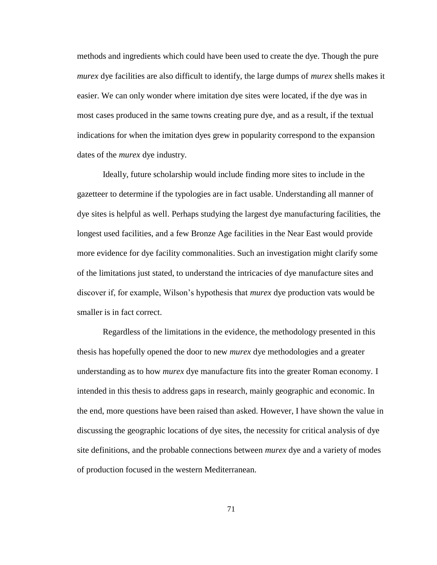methods and ingredients which could have been used to create the dye. Though the pure *murex* dye facilities are also difficult to identify, the large dumps of *murex* shells makes it easier. We can only wonder where imitation dye sites were located, if the dye was in most cases produced in the same towns creating pure dye, and as a result, if the textual indications for when the imitation dyes grew in popularity correspond to the expansion dates of the *murex* dye industry.

Ideally, future scholarship would include finding more sites to include in the gazetteer to determine if the typologies are in fact usable. Understanding all manner of dye sites is helpful as well. Perhaps studying the largest dye manufacturing facilities, the longest used facilities, and a few Bronze Age facilities in the Near East would provide more evidence for dye facility commonalities. Such an investigation might clarify some of the limitations just stated, to understand the intricacies of dye manufacture sites and discover if, for example, Wilson's hypothesis that *murex* dye production vats would be smaller is in fact correct.

Regardless of the limitations in the evidence, the methodology presented in this thesis has hopefully opened the door to new *murex* dye methodologies and a greater understanding as to how *murex* dye manufacture fits into the greater Roman economy. I intended in this thesis to address gaps in research, mainly geographic and economic. In the end, more questions have been raised than asked. However, I have shown the value in discussing the geographic locations of dye sites, the necessity for critical analysis of dye site definitions, and the probable connections between *murex* dye and a variety of modes of production focused in the western Mediterranean.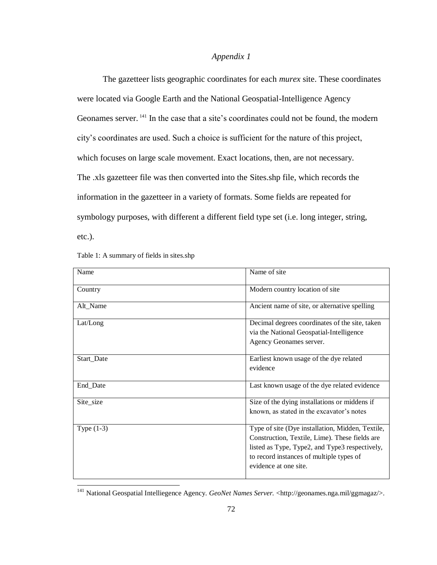# *Appendix 1*

The gazetteer lists geographic coordinates for each *murex* site. These coordinates were located via Google Earth and the National Geospatial-Intelligence Agency Geonames server. <sup>141</sup> In the case that a site's coordinates could not be found, the modern city's coordinates are used. Such a choice is sufficient for the nature of this project, which focuses on large scale movement. Exact locations, then, are not necessary. The .xls gazetteer file was then converted into the Sites.shp file, which records the information in the gazetteer in a variety of formats. Some fields are repeated for symbology purposes, with different a different field type set (i.e. long integer, string, etc.).

| Table 1: A summary of fields in sites.shp |  |
|-------------------------------------------|--|
|-------------------------------------------|--|

| Name         | Name of site                                                                                                                                                                                                              |
|--------------|---------------------------------------------------------------------------------------------------------------------------------------------------------------------------------------------------------------------------|
| Country      | Modern country location of site                                                                                                                                                                                           |
| Alt Name     | Ancient name of site, or alternative spelling                                                                                                                                                                             |
| Lat/Long     | Decimal degrees coordinates of the site, taken<br>via the National Geospatial-Intelligence<br>Agency Geonames server.                                                                                                     |
| Start_Date   | Earliest known usage of the dye related<br>evidence                                                                                                                                                                       |
| End_Date     | Last known usage of the dye related evidence                                                                                                                                                                              |
| Site_size    | Size of the dying installations or middens if<br>known, as stated in the excavator's notes                                                                                                                                |
| Type $(1-3)$ | Type of site (Dye installation, Midden, Textile,<br>Construction, Textile, Lime). These fields are<br>listed as Type, Type2, and Type3 respectively,<br>to record instances of multiple types of<br>evidence at one site. |

<sup>141</sup> National Geospatial Intelliegence Agency. *GeoNet Names Server.* <http://geonames.nga.mil/ggmagaz/>.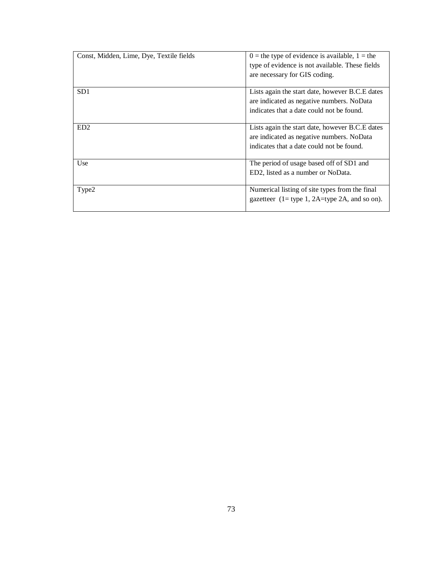| Const, Midden, Lime, Dye, Textile fields | $0 =$ the type of evidence is available, $1 =$ the<br>type of evidence is not available. These fields |
|------------------------------------------|-------------------------------------------------------------------------------------------------------|
|                                          | are necessary for GIS coding.                                                                         |
| SD1                                      | Lists again the start date, however B.C.E dates                                                       |
|                                          | are indicated as negative numbers. NoData                                                             |
|                                          | indicates that a date could not be found.                                                             |
| ED <sub>2</sub>                          | Lists again the start date, however B.C.E dates                                                       |
|                                          | are indicated as negative numbers. NoData                                                             |
|                                          | indicates that a date could not be found.                                                             |
| Use                                      | The period of usage based off of SD1 and                                                              |
|                                          | ED2, listed as a number or NoData.                                                                    |
|                                          |                                                                                                       |
| Type2                                    | Numerical listing of site types from the final<br>gazetteer $(1 = type 1, 2A = type 2A, and so on).$  |
|                                          |                                                                                                       |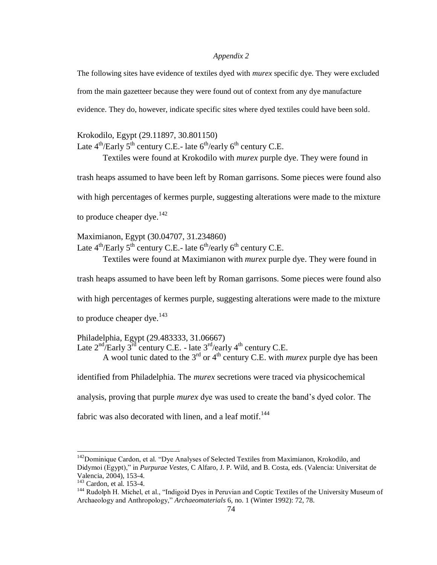## *Appendix 2*

The following sites have evidence of textiles dyed with *murex* specific dye. They were excluded from the main gazetteer because they were found out of context from any dye manufacture evidence. They do, however, indicate specific sites where dyed textiles could have been sold.

## Krokodilo, Egypt (29.11897, 30.801150)

Late  $4^{th}/\text{Early } 5^{th}$  century C.E.- late  $6^{th}/\text{early } 6^{th}$  century C.E.

Textiles were found at Krokodilo with *murex* purple dye. They were found in

trash heaps assumed to have been left by Roman garrisons. Some pieces were found also

with high percentages of kermes purple, suggesting alterations were made to the mixture

to produce cheaper dye.  $142$ 

Maximianon, Egypt (30.04707, 31.234860) Late  $4^{th}/\text{Early 5}^{th}$  century C.E.- late  $6^{th}/\text{early } 6^{th}$  century C.E.

Textiles were found at Maximianon with *murex* purple dye. They were found in

trash heaps assumed to have been left by Roman garrisons. Some pieces were found also with high percentages of kermes purple, suggesting alterations were made to the mixture to produce cheaper dye. $143$ 

Philadelphia, Egypt (29.483333, 31.06667) Late  $2<sup>nd</sup>$  Early  $3<sup>rd</sup>$  century C.E. - late  $3<sup>rd</sup>$  /early 4<sup>th</sup> century C.E. A wool tunic dated to the  $3<sup>rd</sup>$  or  $4<sup>th</sup>$  century C.E. with *murex* purple dye has been

identified from Philadelphia. The *murex* secretions were traced via physicochemical

analysis, proving that purple *murex* dye was used to create the band's dyed color. The

fabric was also decorated with linen, and a leaf motif.<sup>144</sup>

 $142$ Dominique Cardon, et al. "Dye Analyses of Selected Textiles from Maximianon, Krokodilo, and Didymoi (Egypt)," in *Purpurae Vestes*, C Alfaro, J. P. Wild, and B. Costa, eds. (Valencia: Universitat de Valencia, 2004), 153-4.

<sup>143</sup> Cardon, et al. 153-4.

<sup>&</sup>lt;sup>144</sup> Rudolph H. Michel, et al., "Indigoid Dyes in Peruvian and Coptic Textiles of the University Museum of Archaeology and Anthropology,‖ *Archaeomaterials* 6, no. 1 (Winter 1992): 72, 78.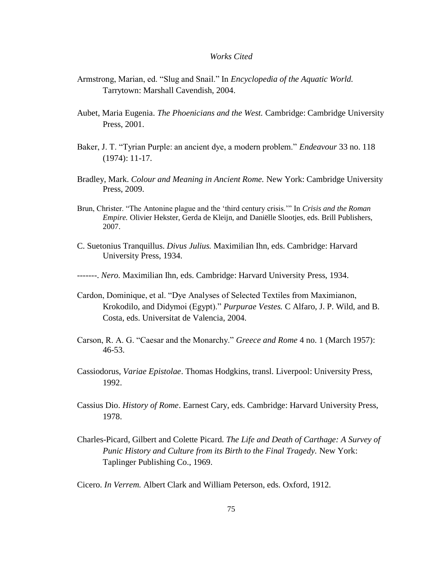## *Works Cited*

- Armstrong, Marian, ed. "Slug and Snail." In *Encyclopedia of the Aquatic World.* Tarrytown: Marshall Cavendish, 2004.
- Aubet, Maria Eugenia. *The Phoenicians and the West.* Cambridge: Cambridge University Press, 2001.
- Baker, J. T. "Tyrian Purple: an ancient dye, a modern problem." *Endeavour* 33 no. 118 (1974): 11-17.
- Bradley, Mark. *Colour and Meaning in Ancient Rome.* New York: Cambridge University Press, 2009.
- Brun, Christer. "The Antonine plague and the 'third century crisis." In *Crisis and the Roman Empire.* Olivier Hekster, Gerda de Kleijn, and Daniëlle Slootjes, eds. Brill Publishers, 2007.
- C. Suetonius Tranquillus. *Divus Julius.* Maximilian Ihn, eds. Cambridge: Harvard University Press, 1934.

-------. *Nero.* Maximilian Ihn, eds. Cambridge: Harvard University Press, 1934.

- Cardon, Dominique, et al. "Dye Analyses of Selected Textiles from Maximianon, Krokodilo, and Didymoi (Egypt)." *Purpurae Vestes*. C Alfaro, J. P. Wild, and B. Costa, eds. Universitat de Valencia, 2004.
- Carson, R. A. G. "Caesar and the Monarchy." *Greece and Rome* 4 no. 1 (March 1957): 46-53.
- Cassiodorus, *Variae Epistolae*. Thomas Hodgkins, transl. Liverpool: University Press, 1992.
- Cassius Dio. *History of Rome*. Earnest Cary, eds. Cambridge: Harvard University Press, 1978.
- Charles-Picard, Gilbert and Colette Picard. *The Life and Death of Carthage: A Survey of Punic History and Culture from its Birth to the Final Tragedy.* New York: Taplinger Publishing Co., 1969.

Cicero. *In Verrem.* Albert Clark and William Peterson, eds. Oxford, 1912.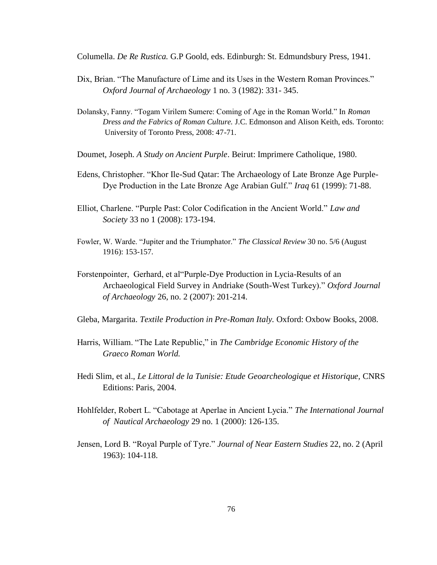Columella. *De Re Rustica.* G.P Goold, eds. Edinburgh: St. Edmundsbury Press, 1941.

- Dix, Brian. "The Manufacture of Lime and its Uses in the Western Roman Provinces." *Oxford Journal of Archaeology* 1 no. 3 (1982): 331- 345.
- Dolansky, Fanny. "Togam Virilem Sumere: Coming of Age in the Roman World." In *Roman Dress and the Fabrics of Roman Culture.* J.C. Edmonson and Alison Keith, eds. Toronto: University of Toronto Press, 2008: 47-71.
- Doumet, Joseph. *A Study on Ancient Purple*. Beirut: Imprimere Catholique, 1980.
- Edens, Christopher. "Khor Ile-Sud Qatar: The Archaeology of Late Bronze Age Purple-Dye Production in the Late Bronze Age Arabian Gulf.‖ *Iraq* 61 (1999): 71-88.
- Elliot, Charlene. "Purple Past: Color Codification in the Ancient World." Law and *Society* 33 no 1 (2008): 173-194.
- Fowler, W. Warde. "Jupiter and the Triumphator." *The Classical Review* 30 no. 5/6 (August 1916): 153-157.
- Forstenpointer, Gerhard, et al "Purple-Dye Production in Lycia-Results of an Archaeological Field Survey in Andriake (South-West Turkey)." Oxford Journal *of Archaeology* 26, no. 2 (2007): 201-214.
- Gleba, Margarita. *Textile Production in Pre-Roman Italy.* Oxford: Oxbow Books, 2008.
- Harris, William. "The Late Republic," in *The Cambridge Economic History of the Graeco Roman World.*
- Hedi Slim, et al., *Le Littoral de la Tunisie: Etude Geoarcheologique et Historique, CNRS* Editions: Paris, 2004.
- Hohlfelder, Robert L. "Cabotage at Aperlae in Ancient Lycia." The International Journal *of Nautical Archaeology* 29 no. 1 (2000): 126-135.
- Jensen, Lord B. "Royal Purple of Tyre." *Journal of Near Eastern Studies* 22, no. 2 (April 1963): 104-118.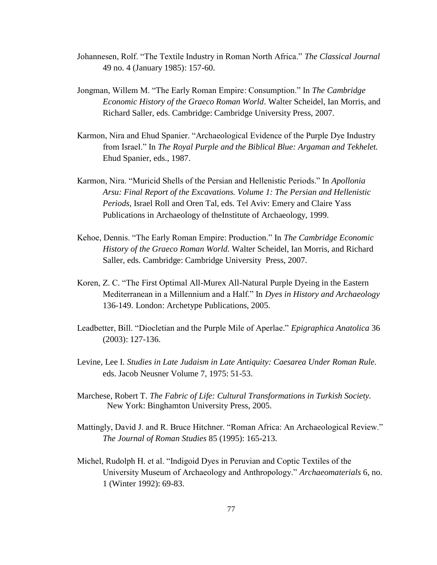- Johannesen, Rolf. "The Textile Industry in Roman North Africa." *The Classical Journal* 49 no. 4 (January 1985): 157-60.
- Jongman, Willem M. "The Early Roman Empire: Consumption." In *The Cambridge Economic History of the Graeco Roman World*. Walter Scheidel, Ian Morris, and Richard Saller, eds. Cambridge: Cambridge University Press, 2007.
- Karmon, Nira and Ehud Spanier. "Archaeological Evidence of the Purple Dye Industry from Israel." In *The Royal Purple and the Biblical Blue: Argaman and Tekhelet.* Ehud Spanier, eds., 1987.
- Karmon, Nira. "Muricid Shells of the Persian and Hellenistic Periods." In *Apollonia Arsu: Final Report of the Excavations. Volume 1: The Persian and Hellenistic Periods,* Israel Roll and Oren Tal, eds. Tel Aviv: Emery and Claire Yass Publications in Archaeology of theInstitute of Archaeology, 1999.
- Kehoe, Dennis. "The Early Roman Empire: Production." In *The Cambridge Economic History of the Graeco Roman World.* Walter Scheidel, Ian Morris, and Richard Saller, eds. Cambridge: Cambridge University Press, 2007.
- Koren, Z. C. "The First Optimal All-Murex All-Natural Purple Dyeing in the Eastern Mediterranean in a Millennium and a Half." In *Dyes in History and Archaeology* 136-149. London: Archetype Publications, 2005.
- Leadbetter, Bill. "Diocletian and the Purple Mile of Aperlae." *Epigraphica Anatolica* 36 (2003): 127-136.
- Levine, Lee I. *Studies in Late Judaism in Late Antiquity: Caesarea Under Roman Rule.* eds. Jacob Neusner Volume 7, 1975: 51-53.
- Marchese, Robert T. *The Fabric of Life: Cultural Transformations in Turkish Society.* New York: Binghamton University Press, 2005.
- Mattingly, David J. and R. Bruce Hitchner. "Roman Africa: An Archaeological Review." *The Journal of Roman Studies* 85 (1995): 165-213.
- Michel, Rudolph H. et al. "Indigoid Dyes in Peruvian and Coptic Textiles of the University Museum of Archaeology and Anthropology.‖ *Archaeomaterials* 6, no. 1 (Winter 1992): 69-83.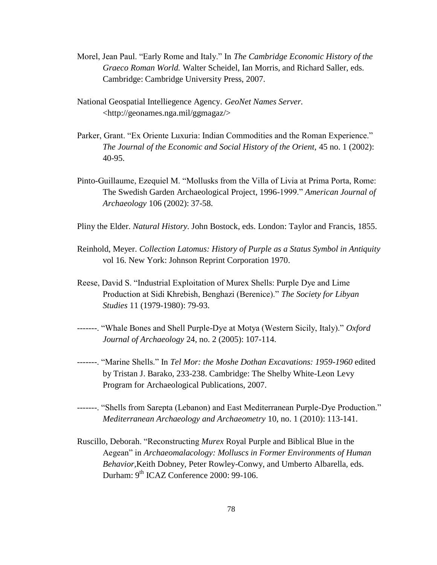- Morel, Jean Paul. "Early Rome and Italy." In *The Cambridge Economic History of the Graeco Roman World.* Walter Scheidel, Ian Morris, and Richard Saller, eds. Cambridge: Cambridge University Press, 2007.
- National Geospatial Intelliegence Agency. *GeoNet Names Server.* <http://geonames.nga.mil/ggmagaz/>
- Parker, Grant. "Ex Oriente Luxuria: Indian Commodities and the Roman Experience." *The Journal of the Economic and Social History of the Orient,* 45 no. 1 (2002): 40-95.
- Pinto-Guillaume, Ezequiel M. "Mollusks from the Villa of Livia at Prima Porta, Rome: The Swedish Garden Archaeological Project, 1996-1999." American Journal of *Archaeology* 106 (2002): 37-58.
- Pliny the Elder. *Natural History.* John Bostock, eds. London: Taylor and Francis, 1855.
- Reinhold, Meyer. *Collection Latomus: History of Purple as a Status Symbol in Antiquity*  vol 16. New York: Johnson Reprint Corporation 1970.
- Reese, David S. "Industrial Exploitation of Murex Shells: Purple Dye and Lime Production at Sidi Khrebish, Benghazi (Berenice)." *The Society for Libyan Studies* 11 (1979-1980): 79-93.
- -------. "Whale Bones and Shell Purple-Dye at Motya (Western Sicily, Italy)." Oxford *Journal of Archaeology* 24, no. 2 (2005): 107-114.
- -------. ―Marine Shells.‖ In *Tel Mor: the Moshe Dothan Excavations: 1959-1960* edited by Tristan J. Barako, 233-238. Cambridge: The Shelby White-Leon Levy Program for Archaeological Publications, 2007.
- -------. "Shells from Sarepta (Lebanon) and East Mediterranean Purple-Dye Production." *Mediterranean Archaeology and Archaeometry* 10, no. 1 (2010): 113-141.
- Ruscillo, Deborah. "Reconstructing *Murex* Royal Purple and Biblical Blue in the Aegean" in *Archaeomalacology: Molluscs in Former Environments of Human Behavior,*Keith Dobney, Peter Rowley-Conwy, and Umberto Albarella, eds. Durham: 9<sup>th</sup> ICAZ Conference 2000: 99-106.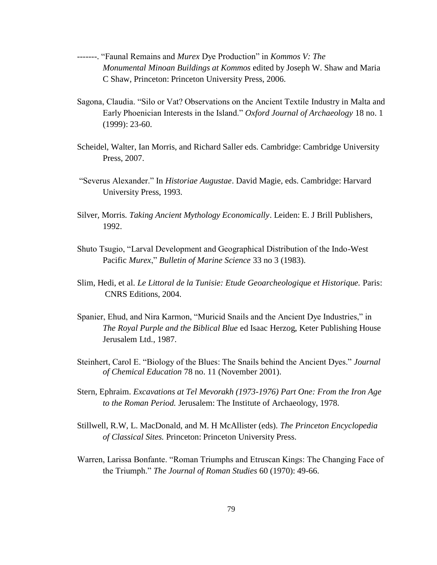- -------. ―Faunal Remains and *Murex* Dye Production‖ in *Kommos V: The Monumental Minoan Buildings at Kommos* edited by Joseph W. Shaw and Maria C Shaw, Princeton: Princeton University Press, 2006.
- Sagona, Claudia. "Silo or Vat? Observations on the Ancient Textile Industry in Malta and Early Phoenician Interests in the Island." Oxford Journal of Archaeology 18 no. 1 (1999): 23-60.
- Scheidel, Walter, Ian Morris, and Richard Saller eds. Cambridge: Cambridge University Press, 2007.
- ―Severus Alexander.‖ In *Historiae Augustae*. David Magie, eds. Cambridge: Harvard University Press, 1993.
- Silver, Morris. *Taking Ancient Mythology Economically*. Leiden: E. J Brill Publishers, 1992.
- Shuto Tsugio, "Larval Development and Geographical Distribution of the Indo-West Pacific *Murex*," *Bulletin of Marine Science* 33 no 3 (1983).
- Slim, Hedi, et al. *Le Littoral de la Tunisie: Etude Geoarcheologique et Historique.* Paris: CNRS Editions, 2004.
- Spanier, Ehud, and Nira Karmon, "Muricid Snails and the Ancient Dye Industries," in *The Royal Purple and the Biblical Blue* ed Isaac Herzog, Keter Publishing House Jerusalem Ltd., 1987.
- Steinhert, Carol E. "Biology of the Blues: The Snails behind the Ancient Dyes." *Journal of Chemical Education* 78 no. 11 (November 2001).
- Stern, Ephraim. *Excavations at Tel Mevorakh (1973-1976) Part One: From the Iron Age to the Roman Period.* Jerusalem: The Institute of Archaeology, 1978.
- Stillwell, R.W, L. MacDonald, and M. H McAllister (eds). *The Princeton Encyclopedia of Classical Sites.* Princeton: Princeton University Press.
- Warren, Larissa Bonfante. "Roman Triumphs and Etruscan Kings: The Changing Face of the Triumph." *The Journal of Roman Studies* 60 (1970): 49-66.